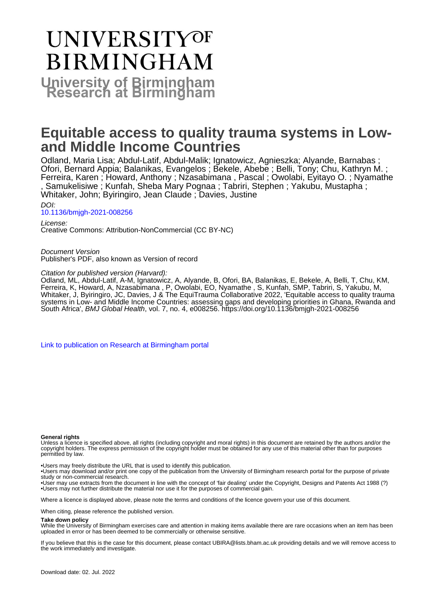# **UNIVERSITYOF BIRMINGHAM University of Birmingham**

# **Equitable access to quality trauma systems in Lowand Middle Income Countries**

Odland, Maria Lisa; Abdul-Latif, Abdul-Malik; Ignatowicz, Agnieszka; Alyande, Barnabas ; Ofori, Bernard Appia; Balanikas, Evangelos ; Bekele, Abebe ; Belli, Tony; Chu, Kathryn M. ; Ferreira, Karen ; Howard, Anthony ; Nzasabimana , Pascal ; Owolabi, Eyitayo O. ; Nyamathe , Samukelisiwe ; Kunfah, Sheba Mary Pognaa ; Tabriri, Stephen ; Yakubu, Mustapha ; Whitaker, John; Byiringiro, Jean Claude ; Davies, Justine

DOI: [10.1136/bmjgh-2021-008256](https://doi.org/10.1136/bmjgh-2021-008256)

License: Creative Commons: Attribution-NonCommercial (CC BY-NC)

Document Version Publisher's PDF, also known as Version of record

#### Citation for published version (Harvard):

Odland, ML, Abdul-Latif, A-M, Ignatowicz, A, Alyande, B, Ofori, BA, Balanikas, E, Bekele, A, Belli, T, Chu, KM, Ferreira, K, Howard, A, Nzasabimana , P, Owolabi, EO, Nyamathe , S, Kunfah, SMP, Tabriri, S, Yakubu, M, Whitaker, J, Byiringiro, JC, Davies, J & The EquiTrauma Collaborative 2022, 'Equitable access to quality trauma systems in Low- and Middle Income Countries: assessing gaps and developing priorities in Ghana, Rwanda and South Africa', BMJ Global Health, vol. 7, no. 4, e008256. <https://doi.org/10.1136/bmjgh-2021-008256>

[Link to publication on Research at Birmingham portal](https://birmingham.elsevierpure.com/en/publications/a20246f6-fef8-4cc8-bc19-f1d34beb6722)

#### **General rights**

Unless a licence is specified above, all rights (including copyright and moral rights) in this document are retained by the authors and/or the copyright holders. The express permission of the copyright holder must be obtained for any use of this material other than for purposes permitted by law.

• Users may freely distribute the URL that is used to identify this publication.

• Users may download and/or print one copy of the publication from the University of Birmingham research portal for the purpose of private study or non-commercial research.

• User may use extracts from the document in line with the concept of 'fair dealing' under the Copyright, Designs and Patents Act 1988 (?) • Users may not further distribute the material nor use it for the purposes of commercial gain.

Where a licence is displayed above, please note the terms and conditions of the licence govern your use of this document.

When citing, please reference the published version.

#### **Take down policy**

While the University of Birmingham exercises care and attention in making items available there are rare occasions when an item has been uploaded in error or has been deemed to be commercially or otherwise sensitive.

If you believe that this is the case for this document, please contact UBIRA@lists.bham.ac.uk providing details and we will remove access to the work immediately and investigate.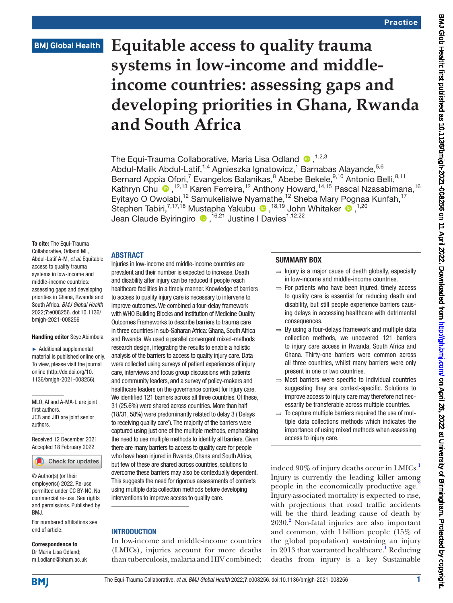# **BMJ Global Health**

# **Equitable access to quality trauma systems in low-income and middleincome countries: assessing gaps and developing priorities in Ghana, Rwanda and South Africa**

The Equi-Trauma Collaborative, Maria Lisa Odland <sup>0</sup>.<sup>1,2,3</sup> Abdul-Malik Abdul-Latif,<sup>1,4</sup> Agnieszka Ignatowicz,<sup>1</sup> Barnabas Alayande,<sup>5,6</sup> Bernard Appia Ofori,<sup>7</sup> Evangelos Balanikas,<sup>8</sup> Abebe Bekele, <sup>9,10</sup> Antonio Belli, <sup>8,11</sup> Kathryn Chu <sup>®</sup>,<sup>12,13</sup> Karen Ferreira,<sup>12</sup> Anthony Howard,<sup>14,15</sup> Pascal Nzasabimana,<sup>16</sup> Eyitayo O Owolabi,<sup>12</sup> Samukelisiwe Nyamathe,<sup>12</sup> Sheba Mary Pognaa Kunfah,<sup>17</sup> Stephen Tabiri,<sup>7,17,18</sup> Mustapha Yakubu <sup>(D)</sup>,<sup>18,19</sup> John Whitaker (D),<sup>1,20</sup> JeanClaude Byiringiro (D, <sup>16,21</sup> Justine I Davies<sup>1,12,22</sup>

To cite: The Equi-Trauma Collaborative, Odland ML, Abdul-Latif A-M, *et al*. Equitable access to quality trauma systems in low-income and middle-income countries: assessing gaps and developing priorities in Ghana, Rwanda and South Africa. *BMJ Global Health* 2022;7:e008256. doi:10.1136/ bmjgh-2021-008256

#### Handling editor Seye Abimbola

► Additional supplemental material is published online only. To view, please visit the journal online ([http://dx.doi.org/10.](http://dx.doi.org/10.1136/bmjgh-2021-008256) [1136/bmjgh-2021-008256](http://dx.doi.org/10.1136/bmjgh-2021-008256)).

MLO, AI and A-MA-L are joint first authors. JCB and JID are joint senior authors.

Received 12 December 2021 Accepted 18 February 2022



© Author(s) (or their employer(s)) 2022. Re-use permitted under CC BY-NC. No commercial re-use. See rights and permissions. Published by BMJ.

For numbered affiliations see end of article.

Correspondence to Dr Maria Lisa Odland; m.l.odland@bham.ac.uk

Injuries in low-income and middle-income countries are prevalent and their number is expected to increase. Death and disability after injury can be reduced if people reach healthcare facilities in a timely manner. Knowledge of barriers to access to quality injury care is necessary to intervene to improve outcomes. We combined a four-delay framework with WHO Building Blocks and Institution of Medicine Quality Outcomes Frameworks to describe barriers to trauma care in three countries in sub-Saharan Africa: Ghana, South Africa and Rwanda. We used a parallel convergent mixed-methods research design, integrating the results to enable a holistic analysis of the barriers to access to quality injury care. Data were collected using surveys of patient experiences of injury care, interviews and focus group discussions with patients and community leaders, and a survey of policy-makers and healthcare leaders on the governance context for injury care. We identified 121 barriers across all three countries. Of these, 31 (25.6%) were shared across countries. More than half (18/31, 58%) were predominantly related to delay 3 ('Delays to receiving quality care'). The majority of the barriers were captured using just one of the multiple methods, emphasising the need to use multiple methods to identify all barriers. Given there are many barriers to access to quality care for people who have been injured in Rwanda, Ghana and South Africa,

but few of these are shared across countries, solutions to overcome these barriers may also be contextually dependent. This suggests the need for rigorous assessments of contexts using multiple data collection methods before developing interventions to improve access to quality care.

#### **INTRODUCTION**

ABSTRACT

In low-income and middle-income countries (LMICs), injuries account for more deaths than tuberculosis, malaria and HIV combined;

#### SUMMARY BOX

- $\Rightarrow$  Injury is a major cause of death globally, especially in low-income and middle-income countries.
- $\Rightarrow$  For patients who have been injured, timely access to quality care is essential for reducing death and disability, but still people experience barriers causing delays in accessing healthcare with detrimental consequences.
- $\Rightarrow$  By using a four-delays framework and multiple data collection methods, we uncovered 121 barriers to injury care access in Rwanda, South Africa and Ghana. Thirty-one barriers were common across all three countries, whilst many barriers were only present in one or two countries.
- $\Rightarrow$  Most barriers were specific to individual countries suggesting they are context-specific. Solutions to improve access to injury care may therefore not necessarily be transferable across multiple countries.
- $\Rightarrow$  To capture multiple barriers required the use of multiple data collections methods which indicates the importance of using mixed methods when assessing access to injury care.

indeed 90% of injury deaths occur in LMICs.<sup>[1](#page-7-0)</sup> Injury is currently the leading killer among people in the economically productive age.<sup>[2](#page-7-1)</sup> Injury-associated mortality is expected to rise, with projections that road traffic accidents will be the third leading cause of death by 2030.[2](#page-7-1) Non-fatal injuries are also important and common, with 1billion people (15% of the global population) sustaining an injury in 20[1](#page-7-0)3 that warranted healthcare.<sup>1</sup> Reducing deaths from injury is a key Sustainable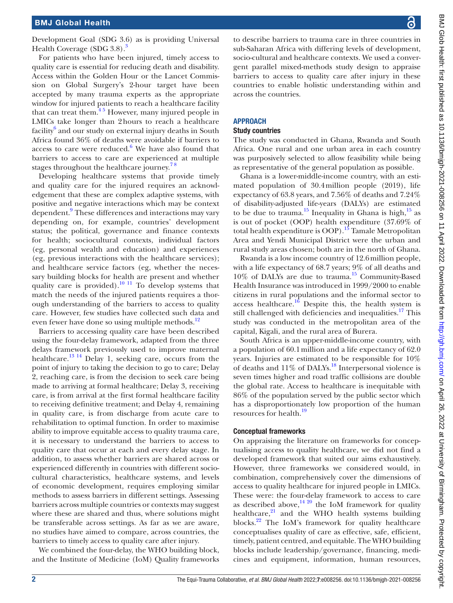Development Goal (SDG 3.6) as is providing Universal Health Coverage (SDG [3](#page-7-2).8).<sup>3</sup>

For patients who have been injured, timely access to quality care is essential for reducing death and disability. Access within the Golden Hour or the Lancet Commission on Global Surgery's 2-hour target have been accepted by many trauma experts as the appropriate window for injured patients to reach a healthcare facility that can treat them. $45$  However, many injured people in LMICs take longer than 2hours to reach a healthcare facility<sup>[6](#page-7-4)</sup> and our study on external injury deaths in South Africa found 36% of deaths were avoidable if barriers to access to care were reduced. $^6$  $^6$  We have also found that barriers to access to care are experienced at multiple stages throughout the healthcare journey.<sup>78</sup>

Developing healthcare systems that provide timely and quality care for the injured requires an acknowledgement that these are complex adaptive systems, with positive and negative interactions which may be context dependent.<sup>9</sup> These differences and interactions may vary depending on, for example, countries' development status; the political, governance and finance contexts for health; sociocultural contexts, individual factors (eg, personal wealth and education) and experiences (eg, previous interactions with the healthcare services); and healthcare service factors (eg, whether the necessary building blocks for health are present and whether quality care is provided).<sup>[10 11](#page-8-0)</sup> To develop systems that match the needs of the injured patients requires a thorough understanding of the barriers to access to quality care. However, few studies have collected such data and even fewer have done so using multiple methods.<sup>12</sup>

Barriers to accessing quality care have been described using the four-delay framework, adapted from the three delays framework previously used to improve maternal healthcare.<sup>13 14</sup> Delay 1, seeking care, occurs from the point of injury to taking the decision to go to care; Delay 2, reaching care, is from the decision to seek care being made to arriving at formal healthcare; Delay 3, receiving care, is from arrival at the first formal healthcare facility to receiving definitive treatment; and Delay 4, remaining in quality care, is from discharge from acute care to rehabilitation to optimal function. In order to maximise ability to improve equitable access to quality trauma care, it is necessary to understand the barriers to access to quality care that occur at each and every delay stage. In addition, to assess whether barriers are shared across or experienced differently in countries with different sociocultural characteristics, healthcare systems, and levels of economic development, requires employing similar methods to assess barriers in different settings. Assessing barriers across multiple countries or contexts may suggest where these are shared and thus, where solutions might be transferable across settings. As far as we are aware, no studies have aimed to compare, across countries, the barriers to timely access to quality care after injury.

We combined the four-delay, the WHO building block, and the Institute of Medicine (IoM) Quality frameworks

to describe barriers to trauma care in three countries in sub-Saharan Africa with differing levels of development, socio-cultural and healthcare contexts. We used a convergent parallel mixed-methods study design to appraise barriers to access to quality care after injury in these countries to enable holistic understanding within and across the countries.

### **APPROACH**

#### Study countries

The study was conducted in Ghana, Rwanda and South Africa. One rural and one urban area in each country was purposively selected to allow feasibility while being as representative of the general population as possible.

Ghana is a lower-middle-income country, with an estimated population of 30.4million people (2019), life expectancy of 63.8 years, and 7.56% of deaths and 7.24% of disability-adjusted life-years (DALYs) are estimated to be due to trauma.<sup>15</sup> Inequality in Ghana is high, $15$  as is out of pocket (OOP) health expenditure (37.69% of total health expenditure is  $OOP$ ).<sup>[15](#page-8-3)</sup> Tamale Metropolitan Area and Yendi Municipal District were the urban and rural study areas chosen; both are in the north of Ghana.

Rwanda is a low income country of 12.6million people, with a life expectancy of 68.7 years; 9% of all deaths and 10% of DALYs are due to trauma.[15](#page-8-3) Community-Based Health Insurance was introduced in 1999/2000 to enable citizens in rural populations and the informal sector to access healthcare.<sup>[16](#page-8-4)</sup> Despite this, the health system is still challenged with deficiencies and inequalities.<sup>17</sup> This study was conducted in the metropolitan area of the capital, Kigali, and the rural area of Burera.

South Africa is an upper-middle-income country, with a population of 60.1million and a life expectancy of 62.0 years. Injuries are estimated to be responsible for 10% of deaths and  $11\%$  of DALYs.<sup>[18](#page-8-6)</sup> Interpersonal violence is seven times higher and road traffic collisions are double the global rate. Access to healthcare is inequitable with 86% of the population served by the public sector which has a disproportionately low proportion of the human resources for health.<sup>[19](#page-8-7)</sup>

#### Conceptual frameworks

On appraising the literature on frameworks for conceptualising access to quality healthcare, we did not find a developed framework that suited our aims exhaustively. However, three frameworks we considered would, in combination, comprehensively cover the dimensions of access to quality healthcare for injured people in LMICs. These were: the four-delay framework to access to care as described above,<sup>14 20</sup> the IoM framework for quality healthcare, $^{21}$  and the WHO health systems building blocks. $22$  The IoM's framework for quality healthcare conceptualises quality of care as effective, safe, efficient, timely, patient centred, and equitable. The WHO building blocks include leadership/governance, financing, medicines and equipment, information, human resources,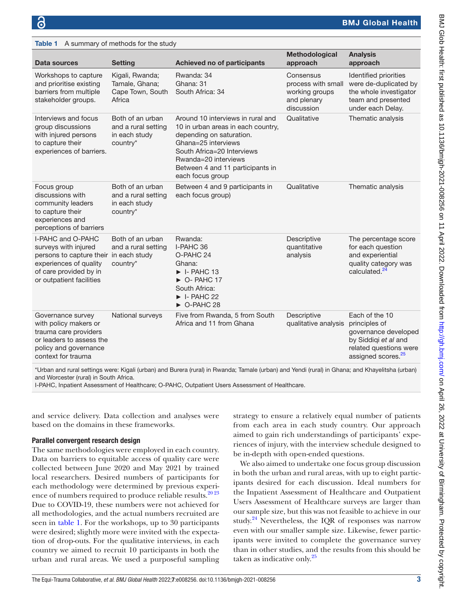<span id="page-3-0"></span> $Table 1$  A summary of methods for the study

| Data sources                                                                                                                                                        | <b>Setting</b>                                                       | Achieved no of participants                                                                                                                                                                                                              | Methodological<br>approach                                                     | <b>Analysis</b><br>approach                                                                                                                 |
|---------------------------------------------------------------------------------------------------------------------------------------------------------------------|----------------------------------------------------------------------|------------------------------------------------------------------------------------------------------------------------------------------------------------------------------------------------------------------------------------------|--------------------------------------------------------------------------------|---------------------------------------------------------------------------------------------------------------------------------------------|
| Workshops to capture<br>and prioritise existing<br>barriers from multiple<br>stakeholder groups.                                                                    | Kigali, Rwanda;<br>Tamale, Ghana;<br>Cape Town, South<br>Africa      | Rwanda: 34<br>Ghana: 31<br>South Africa: 34                                                                                                                                                                                              | Consensus<br>process with small<br>working groups<br>and plenary<br>discussion | Identified priorities<br>were de-duplicated by<br>the whole investigator<br>team and presented<br>under each Delay.                         |
| Interviews and focus<br>group discussions<br>with injured persons<br>to capture their<br>experiences of barriers.                                                   | Both of an urban<br>and a rural setting<br>in each study<br>country* | Around 10 interviews in rural and<br>10 in urban areas in each country,<br>depending on saturation.<br>Ghana=25 interviews<br>South Africa=20 Interviews<br>Rwanda=20 interviews<br>Between 4 and 11 participants in<br>each focus group | Qualitative                                                                    | Thematic analysis                                                                                                                           |
| Focus group<br>discussions with<br>community leaders<br>to capture their<br>experiences and<br>perceptions of barriers                                              | Both of an urban<br>and a rural setting<br>in each study<br>country* | Between 4 and 9 participants in<br>each focus group)                                                                                                                                                                                     | Qualitative                                                                    | Thematic analysis                                                                                                                           |
| I-PAHC and O-PAHC<br>surveys with injured<br>persons to capture their in each study<br>experiences of quality<br>of care provided by in<br>or outpatient facilities | Both of an urban<br>and a rural setting<br>country*                  | Rwanda:<br>I-PAHC 36<br>O-PAHC 24<br>Ghana:<br>$\blacktriangleright$ I-PAHC 13<br>$\triangleright$ O-PAHC 17<br>South Africa:<br>$\blacktriangleright$ I-PAHC 22<br>$\triangleright$ O-PAHC 28                                           | Descriptive<br>quantitative<br>analysis                                        | The percentage score<br>for each question<br>and experiential<br>quality category was<br>calculated. <sup>24</sup>                          |
| Governance survey<br>with policy makers or<br>trauma care providers<br>or leaders to assess the<br>policy and governance<br>context for trauma                      | National surveys                                                     | Five from Rwanda, 5 from South<br>Africa and 11 from Ghana                                                                                                                                                                               | Descriptive<br>qualitative analysis                                            | Each of the 10<br>principles of<br>governance developed<br>by Siddiqi et al and<br>related questions were<br>assigned scores. <sup>25</sup> |

\*Urban and rural settings were: Kigali (urban) and Burera (rural) in Rwanda; Tamale (urban) and Yendi (rural) in Ghana; and Khayelitsha (urban) and Worcester (rural) in South Africa.

I-PAHC, Inpatient Assessment of Healthcare; O-PAHC, Outpatient Users Assessment of Healthcare.

and service delivery. Data collection and analyses were based on the domains in these frameworks.

### Parallel convergent research design

The same methodologies were employed in each country. Data on barriers to equitable access of quality care were collected between June 2020 and May 2021 by trained local researchers. Desired numbers of participants for each methodology were determined by previous experience of numbers required to produce reliable results.<sup>2023</sup> Due to COVID-19, these numbers were not achieved for all methodologies, and the actual numbers recruited are seen in [table](#page-3-0) 1. For the workshops, up to 30 participants were desired; slightly more were invited with the expectation of drop-outs. For the qualitative interviews, in each country we aimed to recruit 10 participants in both the urban and rural areas. We used a purposeful sampling

strategy to ensure a relatively equal number of patients from each area in each study country. Our approach aimed to gain rich understandings of participants' experiences of injury, with the interview schedule designed to be in-depth with open-ended questions.

We also aimed to undertake one focus group discussion in both the urban and rural areas, with up to eight participants desired for each discussion. Ideal numbers for the Inpatient Assessment of Healthcare and Outpatient Users Assessment of Healthcare surveys are larger than our sample size, but this was not feasible to achieve in our study. $24$  Nevertheless, the IQR of responses was narrow even with our smaller sample size. Likewise, fewer participants were invited to complete the governance survey than in other studies, and the results from this should be taken as indicative only. $^{25}$  $^{25}$  $^{25}$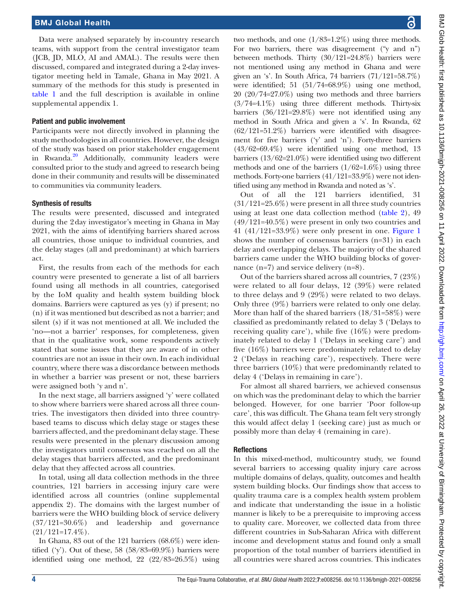Data were analysed separately by in-country research teams, with support from the central investigator team (JCB, JD, MLO, AI and AMAL). The results were then discussed, compared and integrated during a 2-day investigator meeting held in Tamale, Ghana in May 2021. A summary of the methods for this study is presented in [table](#page-3-0) 1 and the full description is available in [online](https://dx.doi.org/10.1136/bmjgh-2021-008256)  [supplemental appendix 1.](https://dx.doi.org/10.1136/bmjgh-2021-008256)

# Patient and public involvement

Participants were not directly involved in planning the study methodologies in all countries. However, the design of the study was based on prior stakeholder engagement in Rwanda.<sup>[20](#page-8-11)</sup> Additionally, community leaders were consulted prior to the study and agreed to research being done in their community and results will be disseminated to communities via community leaders.

# Synthesis of results

The results were presented, discussed and integrated during the 2day investigator's meeting in Ghana in May 2021, with the aims of identifying barriers shared across all countries, those unique to individual countries, and the delay stages (all and predominant) at which barriers act.

First, the results from each of the methods for each country were presented to generate a list of all barriers found using all methods in all countries, categorised by the IoM quality and health system building block domains. Barriers were captured as yes (y) if present; no (n) if it was mentioned but described as not a barrier; and silent (s) if it was not mentioned at all. We included the 'no—not a barrier' responses, for completeness, given that in the qualitative work, some respondents actively stated that some issues that they are aware of in other countries are not an issue in their own. In each individual country, where there was a discordance between methods in whether a barrier was present or not, these barriers were assigned both 'y and n'.

In the next stage, all barriers assigned 'y' were collated to show where barriers were shared across all three countries. The investigators then divided into three countrybased teams to discuss which delay stage or stages these barriers affected, and the predominant delay stage. These results were presented in the plenary discussion among the investigators until consensus was reached on all the delay stages that barriers affected, and the predominant delay that they affected across all countries.

In total, using all data collection methods in the three countries, 121 barriers in accessing injury care were identified across all countries [\(online supplemental](https://dx.doi.org/10.1136/bmjgh-2021-008256)  [appendix 2\)](https://dx.doi.org/10.1136/bmjgh-2021-008256). The domains with the largest number of barriers were the WHO building block of service delivery (37/121=30.6%) and leadership and governance  $(21/121=17.4\%).$ 

In Ghana, 83 out of the 121 barriers (68.6%) were identified ('y'). Out of these,  $58$  ( $58/83=69.9\%$ ) barriers were identified using one method, 22 (22/83=26.5%) using

two methods, and one (1/83=1.2%) using three methods. For two barriers, there was disagreement ("y and n") between methods. Thirty (30/121=24.8%) barriers were not mentioned using any method in Ghana and were given an 's'. In South Africa, 74 barriers (71/121=58.7%) were identified; 51 (51/74=68.9%) using one method, 20 (20/74=27.0%) using two methods and three barriers  $(3/74=4.1\%)$  using three different methods. Thirty-six barriers (36/121=29.8%) were not identified using any method in South Africa and given a 's'. In Rwanda, 62  $(62/121=51.2\%)$  barriers were identified with disagreement for five barriers ('y' and 'n'). Forty-three barriers (43/62=69.4%) were identified using one method, 13 barriers (13/62=21.0%) were identified using two different methods and one of the barriers  $(1/62=1.6\%)$  using three methods. Forty-one barriers (41/121=33.9%) were not identified using any method in Rwanda and noted as 's'.

Out of all the 121 barriers identified, 31  $(31/121=25.6\%)$  were present in all three study countries using at least one data collection method ([table](#page-5-0) 2), 49 (49/121=40.5%) were present in only two countries and 41 (41/121=33.9%) were only present in one. [Figure](#page-6-0) 1 shows the number of consensus barriers (n=31) in each delay and overlapping delays. The majority of the shared barriers came under the WHO building blocks of governance (n=7) and service delivery (n=8).

Out of the barriers shared across all countries, 7 (23%) were related to all four delays, 12 (39%) were related to three delays and 9 (29%) were related to two delays. Only three (9%) barriers were related to only one delay. More than half of the shared barriers (18/31=58%) were classified as predominantly related to delay 3 ('Delays to receiving quality care'), while five (16%) were predominately related to delay 1 ('Delays in seeking care') and five (16%) barriers were predominately related to delay 2 ('Delays in reaching care'), respectively. There were three barriers (10%) that were predominantly related to delay 4 ('Delays in remaining in care').

For almost all shared barriers, we achieved consensus on which was the predominant delay to which the barrier belonged. However, for one barrier 'Poor follow-up care', this was difficult. The Ghana team felt very strongly this would affect delay 1 (seeking care) just as much or possibly more than delay 4 (remaining in care).

# **Reflections**

In this mixed-method, multicountry study, we found several barriers to accessing quality injury care across multiple domains of delays, quality, outcomes and health system building blocks. Our findings show that access to quality trauma care is a complex health system problem and indicate that understanding the issue in a holistic manner is likely to be a prerequisite to improving access to quality care. Moreover, we collected data from three different countries in Sub-Saharan Africa with different income and development status and found only a small proportion of the total number of barriers identified in all countries were shared across countries. This indicates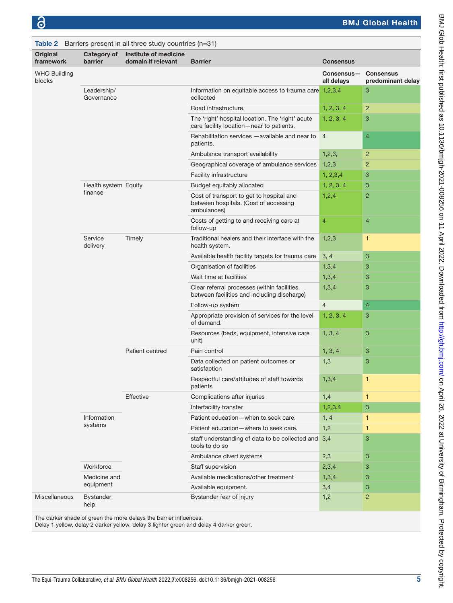<span id="page-5-0"></span>

|                               |                           | Table 2 Barriers present in all three study countries $(n=31)$ |                                                                                                  |                          |                                       |
|-------------------------------|---------------------------|----------------------------------------------------------------|--------------------------------------------------------------------------------------------------|--------------------------|---------------------------------------|
| Original<br>framework         | Category of<br>barrier    | Institute of medicine<br>domain if relevant                    | <b>Barrier</b>                                                                                   | <b>Consensus</b>         |                                       |
| <b>WHO Building</b><br>blocks |                           |                                                                |                                                                                                  | Consensus-<br>all delays | <b>Consensus</b><br>predominant delay |
|                               | Leadership/<br>Governance |                                                                | Information on equitable access to trauma care 1,2,3,4<br>collected                              |                          | 3                                     |
|                               |                           |                                                                | Road infrastructure.                                                                             | 1, 2, 3, 4               | $\overline{2}$                        |
|                               |                           |                                                                | The 'right' hospital location. The 'right' acute<br>care facility location-near to patients.     | 1, 2, 3, 4               | 3                                     |
|                               |                           |                                                                | Rehabilitation services - available and near to<br>patients.                                     | $\overline{4}$           | $\overline{4}$                        |
|                               |                           |                                                                | Ambulance transport availability                                                                 | 1,2,3,                   | $\overline{2}$                        |
|                               |                           |                                                                | Geographical coverage of ambulance services                                                      | 1,2,3                    | 2                                     |
|                               |                           |                                                                | Facility infrastructure                                                                          | 1, 2, 3, 4               | 3                                     |
|                               | Health system Equity      |                                                                | Budget equitably allocated                                                                       | 1, 2, 3, 4               | 3                                     |
|                               | finance                   |                                                                | Cost of transport to get to hospital and<br>between hospitals. (Cost of accessing<br>ambulances) | 1,2,4                    | $\overline{c}$                        |
|                               |                           |                                                                | Costs of getting to and receiving care at<br>follow-up                                           | $\overline{4}$           | 4                                     |
|                               | Service<br>delivery       | Timely                                                         | Traditional healers and their interface with the<br>health system.                               | 1,2,3                    | $\mathbf{1}$                          |
|                               |                           |                                                                | Available health facility targets for trauma care                                                | 3, 4                     | 3                                     |
|                               |                           |                                                                | Organisation of facilities                                                                       | 1,3,4                    | 3                                     |
|                               |                           |                                                                | Wait time at facilities                                                                          | 1,3,4                    | 3                                     |
|                               |                           |                                                                | Clear referral processes (within facilities,<br>between facilities and including discharge)      | 1,3,4                    | 3                                     |
|                               |                           |                                                                | Follow-up system                                                                                 | $\overline{4}$           | $\overline{4}$                        |
|                               |                           |                                                                | Appropriate provision of services for the level<br>of demand.                                    | 1, 2, 3, 4               | 3                                     |
|                               |                           |                                                                | Resources (beds, equipment, intensive care<br>unit)                                              | 1, 3, 4                  | 3                                     |
|                               |                           | Patient centred                                                | Pain control                                                                                     | 1, 3, 4                  | 3                                     |
|                               |                           |                                                                | Data collected on patient outcomes or<br>satisfaction                                            | 1,3                      | 3                                     |
|                               |                           |                                                                | Respectful care/attitudes of staff towards<br>patients                                           | 1,3,4                    | 1                                     |
|                               |                           | Effective                                                      | Complications after injuries                                                                     | 1,4                      | $\mathbf{1}$                          |
|                               |                           |                                                                | Interfacility transfer                                                                           | 1,2,3,4                  | 3                                     |
|                               | Information               |                                                                | Patient education-when to seek care.                                                             | 1, 4                     | 1                                     |
|                               | systems                   |                                                                | Patient education-where to seek care.                                                            | 1,2                      | $\mathbf{1}$                          |
|                               |                           |                                                                | staff understanding of data to be collected and<br>tools to do so                                | 3,4                      | 3                                     |
|                               |                           |                                                                | Ambulance divert systems                                                                         | 2,3                      | 3                                     |
|                               | Workforce                 |                                                                | Staff supervision                                                                                | 2,3,4                    | 3                                     |
|                               | Medicine and              |                                                                | Available medications/other treatment                                                            | 1,3,4                    | 3                                     |
|                               | equipment                 |                                                                | Available equipment.                                                                             | 3,4                      | 3                                     |
| Miscellaneous                 | <b>Bystander</b><br>help  |                                                                | Bystander fear of injury                                                                         | 1,2                      | $\overline{2}$                        |

The darker shade of green the more delays the barrier influences.

Delay 1 yellow, delay 2 darker yellow, delay 3 lighter green and delay 4 darker green.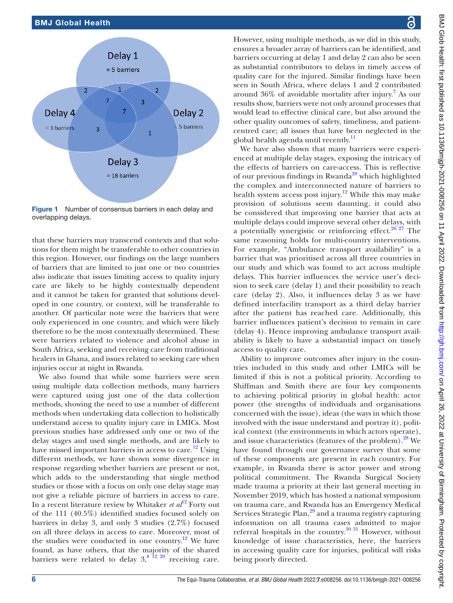

<span id="page-6-0"></span>Figure 1 Number of consensus barriers in each delay and overlapping delays.

that these barriers may transcend contexts and that solutions for them might be transferable to other countries in this region. However, our findings on the large numbers of barriers that are limited to just one or two countries also indicate that issues limiting access to quality injury care are likely to be highly contextually dependent and it cannot be taken for granted that solutions developed in one country, or context, will be transferable to another. Of particular note were the barriers that were only experienced in one country, and which were likely therefore to be the most contextually determined. These were barriers related to violence and alcohol abuse in South Africa, seeking and receiving care from traditional healers in Ghana, and issues related to seeking care when injuries occur at night in Rwanda.

We also found that while some barriers were seen using multiple data collection methods, many barriers were captured using just one of the data collection methods, showing the need to use a number of different methods when undertaking data collection to holistically understand access to quality injury care in LMICs. Most previous studies have addressed only one or two of the delay stages and used single methods, and are likely to have missed important barriers in access to care.<sup>[12](#page-8-1)</sup> Using different methods, we have shown some divergence in response regarding whether barriers are present or not, which adds to the understanding that single method studies or those with a focus on only one delay stage may not give a reliable picture of barriers in access to care. In a recent literature review by Whitaker *et al*<sup>12</sup> Forty out of the 111 (40.5%) identified studies focused solely on barriers in delay 3, and only 3 studies (2.7%) focused on all three delays in access to care. Moreover, most of the studies were conducted in one country.<sup>12</sup> We have found, as have others, that the majority of the shared barriers were related to delay  $3<sup>8</sup>$   $^{12}$   $^{20}$  receiving care.

BMJ Glob Health: first published as 10.1136/bnigh-2021-008256 on 11 April 2022. Downloaded from http://gh.bmj.com/ on April 26, 2022 at University of Birmingham. Protected by copyright. BMJ Glob Health: first published as 10.1136/bmjgh-2021-008256 on 11 April 2022. Downloaded from <http://gh.bmj.com/> on April 26, 2022 at University of Birmingham. Protected by copyright. ෬ However, using multiple methods, as we did in this study, ensures a broader array of barriers can be identified, and barriers occurring at delay 1 and delay 2 can also be seen as substantial contributors to delays in timely access of quality care for the injured. Similar findings have been seen in South Africa, where delays 1 and 2 contributed around  $36\%$  of avoidable mortality after injury.<sup>[7](#page-7-5)</sup> As our results show, barriers were not only around processes that would lead to effective clinical care, but also around the other quality outcomes of safety, timeliness, and patientcentred care; all issues that have been neglected in the We have also shown that many barriers were experienced at multiple delay stages, exposing the intricacy of the effects of barriers on care-access. This is reflective of our previous findings in Rwanda<sup>20</sup> which highlighted the complex and interconnected nature of barriers to health system access post injury.<sup>[12](#page-8-1)</sup> While this may make provision of solutions seem daunting, it could also be considered that improving one barrier that acts at multiple delays could improve several other delays, with a potentially synergistic or reinforcing effect. $26\frac{27}{7}$  The same reasoning holds for multi-country interventions. For example, "Ambulance transport availability" is a barrier that was prioritised across all three countries in our study and which was found to act across multiple delays. This barrier influences the service user's decision to seek care (delay 1) and their possibility to reach care (delay 2). Also, it influences delay 3 as we have defined interfacility transport as a third delay barrier after the patient has reached care. Additionally, this barrier influences patient's decision to remain in care (delay 4). Hence improving ambulance transport availability is likely to have a substantial impact on timely Ability to improve outcomes after injury in the countries included in this study and other LMICs will be limited if this is not a political priority. According to Shiffman and Smith there are four key components to achieving political priority in global health: actor power (the strengths of individuals and organisations concerned with the issue), ideas (the ways in which those involved with the issue understand and portray it), political context (the environments in which actors operate), and issue characteristics (features of the problem).<sup>[28](#page-8-16)</sup> We have found through our governance survey that some of these components are present in each country. For example, in Rwanda there is actor power and strong political commitment. The Rwanda Surgical Society made trauma a priority at their last general meeting in November 2019, which has hosted a national symposium on trauma care, and Rwanda has an Emergency Medical Services Strategic Plan,<sup>[29](#page-8-17)</sup> and a trauma registry capturing information on all trauma cases admitted to major referral hospitals in the country. $30\,31$  However, without

knowledge of issue characteristics, here, the barriers in accessing quality care for injuries, political will risks

being poorly directed.

global health agenda until recently.<sup>[11](#page-8-14)</sup>

access to quality care.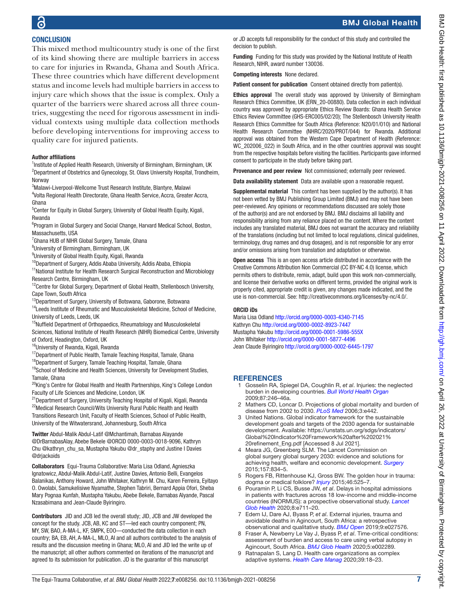# BMJ Global Health

# **CONCLUSION** This mixed method multicountry study is one of the first

of its kind showing there are multiple barriers in access to care for injuries in Rwanda, Ghana and South Africa. These three countries which have different development status and income levels had multiple barriers in access to injury care which shows that the issue is complex. Only a quarter of the barriers were shared across all three countries, suggesting the need for rigorous assessment in individual contexts using multiple data collection methods before developing interventions for improving access to quality care for injured patients.

### Author affiliations

<sup>1</sup>Institute of Applied Health Research, University of Birmingham, Birmingham, UK <sup>2</sup>Department of Obstetrics and Gynecology, St. Olavs University Hospital, Trondheim, **Norway** 

<sup>3</sup>Malawi-Liverpool-Wellcome Trust Research Institute, Blantyre, Malawi

4 Volta Regional Health Directorate, Ghana Health Service, Accra, Greater Accra, Ghana

<sup>5</sup> Center for Equity in Global Surgery, University of Global Health Equity, Kigali, Rwanda

<sup>6</sup>Program in Global Surgery and Social Change, Harvard Medical School, Boston, Massachusetts, USA

<sup>7</sup> Ghana HUB of NIHR Global Surgery, Tamale, Ghana

<sup>8</sup>University of Birmingham, Birmingham, UK

<sup>9</sup>University of Global Health Equity, Kigali, Rwanda

<sup>10</sup>Department of Surgery, Addis Ababa University, Addis Ababa, Ethiopia

<sup>11</sup>National Institute for Health Research Surgical Reconstruction and Microbiology Research Centre, Birmingham, UK

<sup>12</sup>Centre for Global Surgery, Department of Global Health, Stellenbosch University, Cape Town, South Africa

<sup>13</sup>Department of Surgery, University of Botswana, Gaborone, Botswana

<sup>14</sup>Leeds Institute of Rheumatic and Musculoskeletal Medicine, School of Medicine, University of Leeds, Leeds, UK

<sup>15</sup>Nuffield Department of Orthopaedics, Rheumatology and Musculoskeletal

Sciences, National Institute of Health Research (NIHR) Biomedical Centre, University of Oxford, Headington, Oxford, UK

<sup>16</sup>University of Rwanda, Kigali, Rwanda

<sup>17</sup>Department of Public Health, Tamale Teaching Hospital, Tamale, Ghana

<sup>18</sup>Department of Surgery, Tamale Teaching Hospital, Tamale, Ghana

<sup>19</sup>School of Medicine and Health Sciences, University for Development Studies, Tamale, Ghana

<sup>20</sup>King's Centre for Global Health and Health Partnerships, King's College London Faculty of Life Sciences and Medicine, London, UK

<sup>21</sup> Department of Surgery, University Teaching Hospital of Kigali, Kigali, Rwanda <sup>22</sup>Medical Research Council/Wits University Rural Public Health and Health Transitions Research Unit, Faculty of Health Sciences, School of Public Health, University of the Witwatersrand, Johannesburg, South Africa

Twitter Abdul-Malik Abdul-Latif [@Mchantimah,](https://twitter.com/Mchantimah) Barnabas Alayande [@DrBarnabasAlay](https://twitter.com/DrBarnabasAlay), Abebe Bekele [@ORCID 0000-0003-0018-9096,](https://twitter.com/ORCID 0000-0003-0018-9096) Kathryn Chu [@kathryn\\_chu\\_sa,](https://twitter.com/kathryn_chu_sa) Mustapha Yakubu [@dr\\_staphy](https://twitter.com/dr_staphy) and Justine I Davies [@drjackoids](https://twitter.com/drjackoids)

Collaborators Equi-Trauma Collaborative: Maria Lisa Odland, Agnieszka Ignatowicz, Abdul-Malik Abdul-Latif, Justine Davies, Antonio Belli, Evangelos Balanikas, Anthony Howard, John Whitaker, Kathryn M. Chu, Karen Ferreira, Eyitayo O. Owolabi, Samukelisiwe Nyamathe, Stephen Tabriri, Bernard Appia Ofori, Sheba Mary Pognaa Kunfah, Mustapha Yakubu, Abebe Bekele, Barnabas Alyande, Pascal Nzasabimana and Jean-Claude Byiringiro.

Contributors JID and JCB led the overall study; JID, JCB and JW developed the concept for the study. JCB, AB, KC and ST—led each country component; PN, MY, SW, BAO, A-MA-L, KF, SMPK, EOO—conducted the data collection in each country; BA, EB, AH, A-MA-L, MLO, AI and all authors contributed to the analysis of results and the discussion meeting in Ghana; MLO, AI and JID led the write up of the manuscript; all other authors commented on iterations of the manuscript and agreed to its submission for publication. JD is the guarantor of this manuscript

or JD accepts full responsibility for the conduct of this study and controlled the decision to publish.

Funding Funding for this study was provided by the National Institute of Health Research, NIHR, award number 130036.

Competing interests None declared.

Patient consent for publication Consent obtained directly from patient(s).

Ethics approval The overall study was approved by University of Birmingham Research Ethics Committee, UK (ERN\_20-00880). Data collection in each individual country was approved by appropriate Ethics Review Boards: Ghana Health Service Ethics Review Committee (GHS-ERC005/02/20); The Stellenbosch University Health Research Ethics Committee for South Africa (Reference: N20/01/010) and National Health Research Committee (NHRC/2020/PROT/044) for Rwanda. Additional approval was obtained from the Western Cape Department of Health (Reference: WC\_202006\_022) in South Africa, and in the other countries approval was sought from the respective hospitals before visiting the facilities. Participants gave informed consent to participate in the study before taking part.

Provenance and peer review Not commissioned; externally peer reviewed.

Data availability statement Data are available upon a reasonable request.

Supplemental material This content has been supplied by the author(s). It has not been vetted by BMJ Publishing Group Limited (BMJ) and may not have been peer-reviewed. Any opinions or recommendations discussed are solely those of the author(s) and are not endorsed by BMJ. BMJ disclaims all liability and responsibility arising from any reliance placed on the content. Where the content includes any translated material, BMJ does not warrant the accuracy and reliability of the translations (including but not limited to local regulations, clinical guidelines, terminology, drug names and drug dosages), and is not responsible for any error and/or omissions arising from translation and adaptation or otherwise.

Open access This is an open access article distributed in accordance with the Creative Commons Attribution Non Commercial (CC BY-NC 4.0) license, which permits others to distribute, remix, adapt, build upon this work non-commercially, and license their derivative works on different terms, provided the original work is properly cited, appropriate credit is given, any changes made indicated, and the use is non-commercial. See:<http://creativecommons.org/licenses/by-nc/4.0/>.

#### ORCID iDs

Maria Lisa Odland<http://orcid.org/0000-0003-4340-7145> Kathryn Chu<http://orcid.org/0000-0002-8923-7447> Mustapha Yakubu<http://orcid.org/0000-0001-5986-555X> John Whitaker<http://orcid.org/0000-0001-5877-4496> Jean Claude Byiringiro<http://orcid.org/0000-0002-6445-1797>

# **REFERENCES**

- <span id="page-7-0"></span>1 Gosselin RA, Spiegel DA, Coughlin R, *et al*. Injuries: the neglected burden in developing countries. *[Bull World Health Organ](http://dx.doi.org/10.2471/BLT.08.052290)* 2009;87:246–46a.
- <span id="page-7-1"></span>2 Mathers CD, Loncar D. Projections of global mortality and burden of disease from 2002 to 2030. *[PLoS Med](http://dx.doi.org/10.1371/journal.pmed.0030442)* 2006;3:e442.
- <span id="page-7-2"></span>3 United Nations. Global indicator framework for the sustainable development goals and targets of the 2030 agenda for sustainable development. Available: [https://unstats.un.org/sdgs/indicators/](https://unstats.un.org/sdgs/indicators/Global%20Indicator%20Framework%20after%202021%20refinement_Eng.pdf) [Global%20Indicator%20Framework%20after%202021%](https://unstats.un.org/sdgs/indicators/Global%20Indicator%20Framework%20after%202021%20refinement_Eng.pdf) [20refinement\\_Eng.pdf](https://unstats.un.org/sdgs/indicators/Global%20Indicator%20Framework%20after%202021%20refinement_Eng.pdf) [Accessed 8 Jul 2021].
- <span id="page-7-3"></span>Meara JG, Greenberg SLM. The Lancet Commission on global surgery global surgery 2030: evidence and solutions for achieving health, welfare and economic development. *[Surgery](http://dx.doi.org/10.1016/j.surg.2015.02.009)* 2015;157:834–5.
- 5 Rogers FB, Rittenhouse KJ, Gross BW. The golden hour in trauma: dogma or medical folklore? *[Injury](http://dx.doi.org/10.1016/j.injury.2014.08.043)* 2015;46:525–7.
- <span id="page-7-4"></span>6 Pouramin P, Li CS, Busse JW, *et al*. Delays in hospital admissions in patients with fractures across 18 low-income and middle-income countries (INORMUS): a prospective observational study. *[Lancet](http://dx.doi.org/10.1016/S2214-109X(20)30067-X)  [Glob Health](http://dx.doi.org/10.1016/S2214-109X(20)30067-X)* 2020;8:e711–20.
- <span id="page-7-5"></span>7 Edem IJ, Dare AJ, Byass P, *et al*. External injuries, trauma and avoidable deaths in Agincourt, South Africa: a retrospective observational and qualitative study. *[BMJ Open](http://dx.doi.org/10.1136/bmjopen-2018-027576)* 2019;9:e027576.
- <span id="page-7-7"></span>8 Fraser A, Newberry Le Vay J, Byass P, *et al*. Time-critical conditions: assessment of burden and access to care using verbal autopsy in Agincourt, South Africa. *[BMJ Glob Health](http://dx.doi.org/10.1136/bmjgh-2020-002289)* 2020;5:e002289.
- <span id="page-7-6"></span>9 Ratnapalan S, Lang D. Health care organizations as complex adaptive systems. *[Health Care Manag](http://dx.doi.org/10.1097/HCM.0000000000000284)* 2020;39:18–23.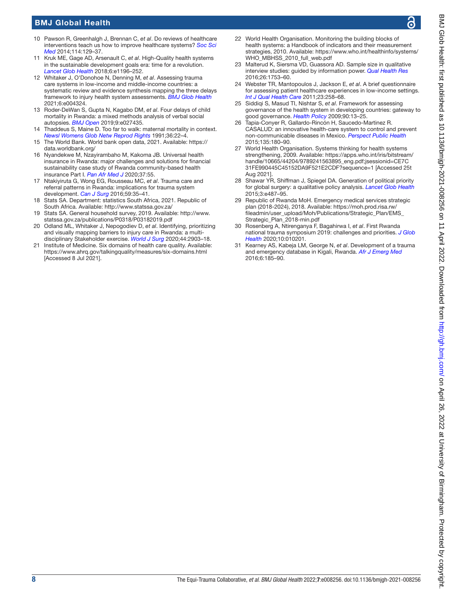# BMJ Global Health

- <span id="page-8-0"></span>10 Pawson R, Greenhalgh J, Brennan C, *et al*. Do reviews of healthcare interventions teach us how to improve healthcare systems? *[Soc Sci](http://dx.doi.org/10.1016/j.socscimed.2014.05.032)  [Med](http://dx.doi.org/10.1016/j.socscimed.2014.05.032)* 2014;114:129–37.
- <span id="page-8-14"></span>11 Kruk ME, Gage AD, Arsenault C, *et al*. High-Quality health systems in the sustainable development goals era: time for a revolution. *[Lancet Glob Health](http://dx.doi.org/10.1016/S2214-109X(18)30386-3)* 2018;6:e1196–252.
- <span id="page-8-1"></span>12 Whitaker J, O'Donohoe N, Denning M, *et al*. Assessing trauma care systems in low-income and middle-income countries: a systematic review and evidence synthesis mapping the three delays framework to injury health system assessments. *[BMJ Glob Health](http://dx.doi.org/10.1136/bmjgh-2020-004324)* 2021;6:e004324.
- <span id="page-8-2"></span>13 Roder-DeWan S, Gupta N, Kagabo DM, *et al*. Four delays of child mortality in Rwanda: a mixed methods analysis of verbal social autopsies. *[BMJ Open](http://dx.doi.org/10.1136/bmjopen-2018-027435)* 2019;9:e027435.
- <span id="page-8-8"></span>14 Thaddeus S, Maine D. Too far to walk: maternal mortality in context. *[Newsl Womens Glob Netw Reprod Rights](http://www.ncbi.nlm.nih.gov/pubmed/12284530)* 1991;36:22–4.
- <span id="page-8-3"></span>15 The World Bank. World bank open data, 2021. Available: [https://](https://data.worldbank.org/) [data.worldbank.org/](https://data.worldbank.org/)
- <span id="page-8-4"></span>16 Nyandekwe M, Nzayirambaho M, Kakoma JB. Universal health insurance in Rwanda: major challenges and solutions for financial sustainability case study of Rwanda community-based health insurance Part I. *[Pan Afr Med J](http://dx.doi.org/10.11604/pamj.2020.37.55.20376)* 2020;37:55.
- <span id="page-8-5"></span>17 Ntakiyiruta G, Wong EG, Rousseau MC, *et al*. Trauma care and referral patterns in Rwanda: implications for trauma system development. *[Can J Surg](http://dx.doi.org/10.1503/cjs.008115)* 2016;59:35–41.
- <span id="page-8-6"></span>18 Stats SA. Department: statistics South Africa, 2021. Republic of South Africa. Available: <http://www.statssa.gov.za/>
- <span id="page-8-7"></span>19 Stats SA. General household survey, 2019. Available: [http://www.](http://www.statssa.gov.za/publications/P0318/P03182019.pdf) [statssa.gov.za/publications/P0318/P03182019.pdf](http://www.statssa.gov.za/publications/P0318/P03182019.pdf)
- <span id="page-8-11"></span>20 Odland ML, Whitaker J, Nepogodiev D, *et al*. Identifying, prioritizing and visually mapping barriers to injury care in Rwanda: a multidisciplinary Stakeholder exercise. *[World J Surg](http://dx.doi.org/10.1007/s00268-020-05571-6)* 2020;44:2903–18.
- <span id="page-8-9"></span>21 Institute of Medicine. Six domains of health care quality. Available: <https://www.ahrq.gov/talkingquality/measures/six-domains.html> [Accessed 8 Jul 2021].
- <span id="page-8-10"></span>22 World Health Organisation. Monitoring the building blocks of health systems: a Handbook of indicators and their measurement strategies, 2010. Available: [https://www.who.int/healthinfo/systems/](https://www.who.int/healthinfo/systems/WHO_MBHSS_2010_full_web.pdf) [WHO\\_MBHSS\\_2010\\_full\\_web.pdf](https://www.who.int/healthinfo/systems/WHO_MBHSS_2010_full_web.pdf)
- 23 Malterud K, Siersma VD, Guassora AD. Sample size in qualitative interview studies: guided by information power. *[Qual Health Res](http://dx.doi.org/10.1177/1049732315617444)* 2016;26:1753–60.
- <span id="page-8-12"></span>24 Webster TR, Mantopoulos J, Jackson E, *et al*. A brief questionnaire for assessing patient healthcare experiences in low-income settings. *[Int J Qual Health Care](http://dx.doi.org/10.1093/intqhc/mzr019)* 2011;23:258–68.
- <span id="page-8-13"></span>25 Siddiqi S, Masud TI, Nishtar S, *et al*. Framework for assessing governance of the health system in developing countries: gateway to good governance. *[Health Policy](http://dx.doi.org/10.1016/j.healthpol.2008.08.005)* 2009;90:13–25.
- <span id="page-8-15"></span>26 Tapia-Conyer R, Gallardo-Rincón H, Saucedo-Martinez R. CASALUD: an innovative health-care system to control and prevent non-communicable diseases in Mexico. *[Perspect Public Health](http://dx.doi.org/10.1177/1757913913511423)* 2015;135:180–90.
- World Health Organisation. Systems thinking for health systems strengthening, 2009. Available: [https://apps.who.int/iris/bitstream/](https://apps.who.int/iris/bitstream/handle/10665/44204/9789241563895_eng.pdf;jsessionid=CE7C31FE990445C45152DA9F521E2CDF?sequence=1) [handle/10665/44204/9789241563895\\_eng.pdf;jsessionid=CE7C](https://apps.who.int/iris/bitstream/handle/10665/44204/9789241563895_eng.pdf;jsessionid=CE7C31FE990445C45152DA9F521E2CDF?sequence=1) [31FE990445C45152DA9F521E2CDF?sequence=1](https://apps.who.int/iris/bitstream/handle/10665/44204/9789241563895_eng.pdf;jsessionid=CE7C31FE990445C45152DA9F521E2CDF?sequence=1) [Accessed 25t Aug 2021].
- <span id="page-8-16"></span>28 Shawar YR, Shiffman J, Spiegel DA. Generation of political priority for global surgery: a qualitative policy analysis. *[Lancet Glob Health](http://dx.doi.org/10.1016/S2214-109X(15)00098-4)* 2015;3:e487–95.
- <span id="page-8-17"></span>29 Republic of Rwanda MoH. Emergency medical services strategic plan (2018-2024), 2018. Available: [https://moh.prod.risa.rw/](https://moh.prod.risa.rw/fileadmin/user_upload/Moh/Publications/Strategic_Plan/EMS_Strategic_Plan_2018-min.pdf) [fileadmin/user\\_upload/Moh/Publications/Strategic\\_Plan/EMS\\_](https://moh.prod.risa.rw/fileadmin/user_upload/Moh/Publications/Strategic_Plan/EMS_Strategic_Plan_2018-min.pdf) [Strategic\\_Plan\\_2018-min.pdf](https://moh.prod.risa.rw/fileadmin/user_upload/Moh/Publications/Strategic_Plan/EMS_Strategic_Plan_2018-min.pdf)
- <span id="page-8-18"></span>30 Rosenberg A, Ntirenganya F, Bagahirwa I, *et al*. First Rwanda national trauma symposium 2019: challenges and priorities. *[J Glob](http://dx.doi.org/10.7189/jogh.10.010201)  [Health](http://dx.doi.org/10.7189/jogh.10.010201)* 2020;10:010201.
- 31 Kearney AS, Kabeja LM, George N, *et al*. Development of a trauma and emergency database in Kigali, Rwanda. *[Afr J Emerg Med](http://dx.doi.org/10.1016/j.afjem.2016.10.002)* 2016;6:185–90.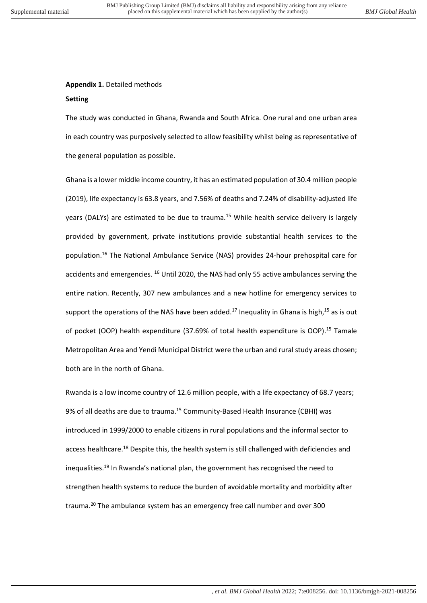# **Appendix 1.** Detailed methods

### **Setting**

The study was conducted in Ghana, Rwanda and South Africa. One rural and one urban area in each country was purposively selected to allow feasibility whilst being as representative of the general population as possible.

Ghana is a lower middle income country, it has an estimated population of 30.4 million people (2019), life expectancy is 63.8 years, and 7.56% of deaths and 7.24% of disability-adjusted life years (DALYs) are estimated to be due to trauma.<sup>15</sup> While health service delivery is largely provided by government, private institutions provide substantial health services to the population.<sup>16</sup> The National Ambulance Service (NAS) provides 24-hour prehospital care for accidents and emergencies. <sup>16</sup> Until 2020, the NAS had only 55 active ambulances serving the entire nation. Recently, 307 new ambulances and a new hotline for emergency services to support the operations of the NAS have been added.<sup>17</sup> Inequality in Ghana is high,<sup>15</sup> as is out of pocket (OOP) health expenditure (37.69% of total health expenditure is OOP).<sup>15</sup> Tamale Metropolitan Area and Yendi Municipal District were the urban and rural study areas chosen; both are in the north of Ghana.

Rwanda is a low income country of 12.6 million people, with a life expectancy of 68.7 years; 9% of all deaths are due to trauma.<sup>15</sup> Community-Based Health Insurance (CBHI) was introduced in 1999/2000 to enable citizens in rural populations and the informal sector to access healthcare.<sup>18</sup> Despite this, the health system is still challenged with deficiencies and inequalities.<sup>19</sup> In Rwanda's national plan, the government has recognised the need to strengthen health systems to reduce the burden of avoidable mortality and morbidity after trauma.<sup>20</sup> The ambulance system has an emergency free call number and over 300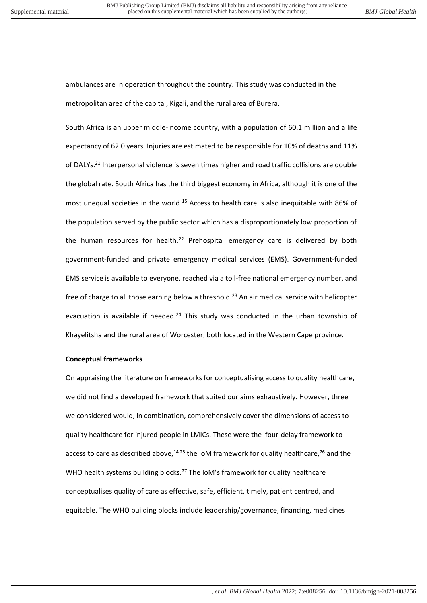ambulances are in operation throughout the country. This study was conducted in the metropolitan area of the capital, Kigali, and the rural area of Burera.

South Africa is an upper middle-income country, with a population of 60.1 million and a life expectancy of 62.0 years. Injuries are estimated to be responsible for 10% of deaths and 11% of DALYs.<sup>21</sup> Interpersonal violence is seven times higher and road traffic collisions are double the global rate. South Africa has the third biggest economy in Africa, although it is one of the most unequal societies in the world.<sup>15</sup> Access to health care is also inequitable with 86% of the population served by the public sector which has a disproportionately low proportion of the human resources for health.<sup>22</sup> Prehospital emergency care is delivered by both government-funded and private emergency medical services (EMS). Government-funded EMS service is available to everyone, reached via a toll-free national emergency number, and free of charge to all those earning below a threshold.<sup>23</sup> An air medical service with helicopter evacuation is available if needed. $24$  This study was conducted in the urban township of Khayelitsha and the rural area of Worcester, both located in the Western Cape province.

#### **Conceptual frameworks**

On appraising the literature on frameworks for conceptualising access to quality healthcare, we did not find a developed framework that suited our aims exhaustively. However, three we considered would, in combination, comprehensively cover the dimensions of access to quality healthcare for injured people in LMICs. These were the four-delay framework to access to care as described above, $1425$  the IoM framework for quality healthcare, $26$  and the WHO health systems building blocks.<sup>27</sup> The IoM's framework for quality healthcare conceptualises quality of care as effective, safe, efficient, timely, patient centred, and equitable. The WHO building blocks include leadership/governance, financing, medicines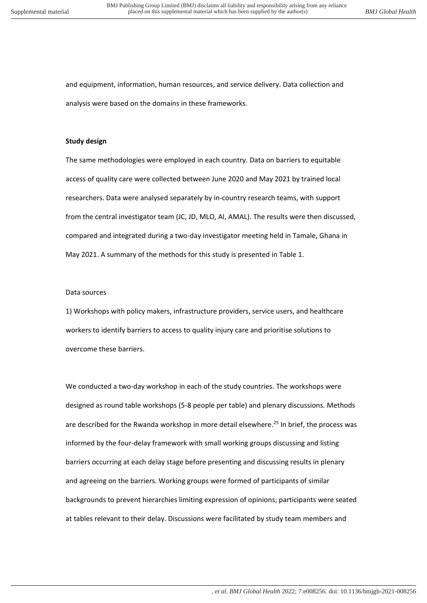and equipment, information, human resources, and service delivery. Data collection and analysis were based on the domains in these frameworks.

#### **Study design**

The same methodologies were employed in each country. Data on barriers to equitable access of quality care were collected between June 2020 and May 2021 by trained local researchers. Data were analysed separately by in-country research teams, with support from the central investigator team (JC, JD, MLO, AI, AMAL). The results were then discussed, compared and integrated during a two-day investigator meeting held in Tamale, Ghana in May 2021. A summary of the methods for this study is presented in Table 1.

#### Data sources

1) Workshops with policy makers, infrastructure providers, service users, and healthcare workers to identify barriers to access to quality injury care and prioritise solutions to overcome these barriers.

We conducted a two-day workshop in each of the study countries. The workshops were designed as round table workshops (5-8 people per table) and plenary discussions. Methods are described for the Rwanda workshop in more detail elsewhere.<sup>25</sup> In brief, the process was informed by the four-delay framework with small working groups discussing and listing barriers occurring at each delay stage before presenting and discussing results in plenary and agreeing on the barriers. Working groups were formed of participants of similar backgrounds to prevent hierarchies limiting expression of opinions; participants were seated at tables relevant to their delay. Discussions were facilitated by study team members and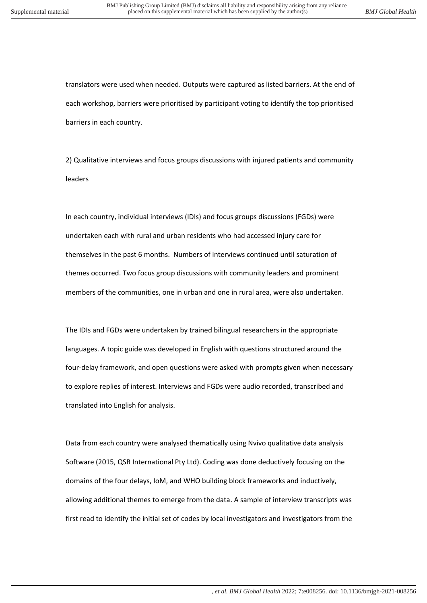translators were used when needed. Outputs were captured as listed barriers. At the end of each workshop, barriers were prioritised by participant voting to identify the top prioritised barriers in each country.

2) Qualitative interviews and focus groups discussions with injured patients and community leaders

In each country, individual interviews (IDIs) and focus groups discussions (FGDs) were undertaken each with rural and urban residents who had accessed injury care for themselves in the past 6 months. Numbers of interviews continued until saturation of themes occurred. Two focus group discussions with community leaders and prominent members of the communities, one in urban and one in rural area, were also undertaken.

The IDIs and FGDs were undertaken by trained bilingual researchers in the appropriate languages. A topic guide was developed in English with questions structured around the four-delay framework, and open questions were asked with prompts given when necessary to explore replies of interest. Interviews and FGDs were audio recorded, transcribed and translated into English for analysis.

Data from each country were analysed thematically using Nvivo qualitative data analysis Software (2015, QSR International Pty Ltd). Coding was done deductively focusing on the domains of the four delays, IoM, and WHO building block frameworks and inductively, allowing additional themes to emerge from the data. A sample of interview transcripts was first read to identify the initial set of codes by local investigators and investigators from the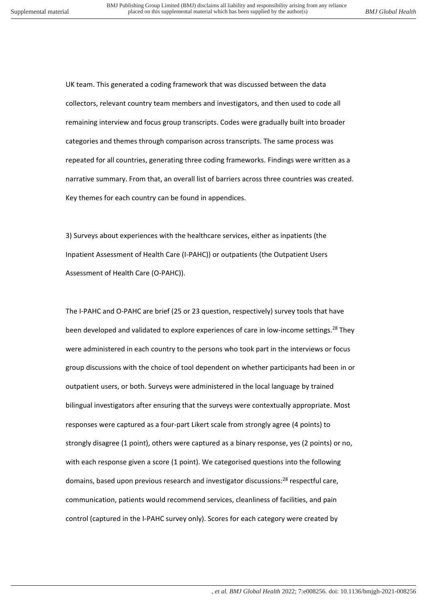UK team. This generated a coding framework that was discussed between the data collectors, relevant country team members and investigators, and then used to code all remaining interview and focus group transcripts. Codes were gradually built into broader categories and themes through comparison across transcripts. The same process was repeated for all countries, generating three coding frameworks. Findings were written as a narrative summary. From that, an overall list of barriers across three countries was created. Key themes for each country can be found in appendices.

3) Surveys about experiences with the healthcare services, either as inpatients (the Inpatient Assessment of Health Care (I-PAHC)) or outpatients (the Outpatient Users Assessment of Health Care (O-PAHC)).

The I-PAHC and O-PAHC are brief (25 or 23 question, respectively) survey tools that have been developed and validated to explore experiences of care in low-income settings.<sup>28</sup> They were administered in each country to the persons who took part in the interviews or focus group discussions with the choice of tool dependent on whether participants had been in or outpatient users, or both. Surveys were administered in the local language by trained bilingual investigators after ensuring that the surveys were contextually appropriate. Most responses were captured as a four-part Likert scale from strongly agree (4 points) to strongly disagree (1 point), others were captured as a binary response, yes (2 points) or no, with each response given a score (1 point). We categorised questions into the following domains, based upon previous research and investigator discussions:<sup>28</sup> respectful care, communication, patients would recommend services, cleanliness of facilities, and pain control (captured in the I-PAHC survey only). Scores for each category were created by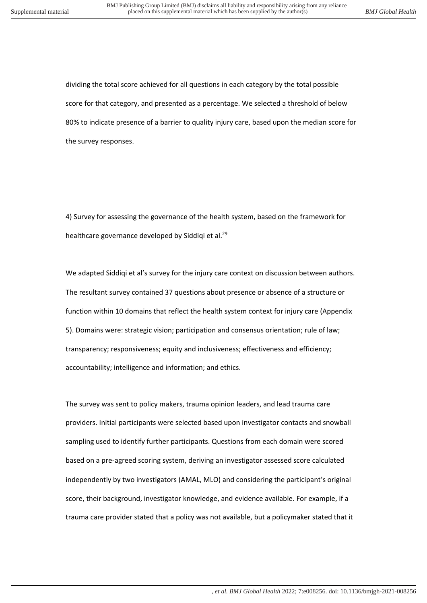dividing the total score achieved for all questions in each category by the total possible score for that category, and presented as a percentage. We selected a threshold of below 80% to indicate presence of a barrier to quality injury care, based upon the median score for the survey responses.

4) Survey for assessing the governance of the health system, based on the framework for healthcare governance developed by Siddiqi et al.<sup>29</sup>

We adapted Siddiqi et al's survey for the injury care context on discussion between authors. The resultant survey contained 37 questions about presence or absence of a structure or function within 10 domains that reflect the health system context for injury care (Appendix 5). Domains were: strategic vision; participation and consensus orientation; rule of law; transparency; responsiveness; equity and inclusiveness; effectiveness and efficiency; accountability; intelligence and information; and ethics.

The survey was sent to policy makers, trauma opinion leaders, and lead trauma care providers. Initial participants were selected based upon investigator contacts and snowball sampling used to identify further participants. Questions from each domain were scored based on a pre-agreed scoring system, deriving an investigator assessed score calculated independently by two investigators (AMAL, MLO) and considering the participant's original score, their background, investigator knowledge, and evidence available. For example, if a trauma care provider stated that a policy was not available, but a policymaker stated that it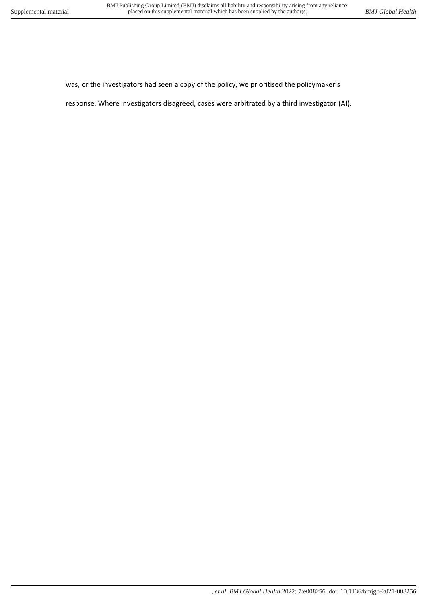was, or the investigators had seen a copy of the policy, we prioritised the policymaker's

response. Where investigators disagreed, cases were arbitrated by a third investigator (AI).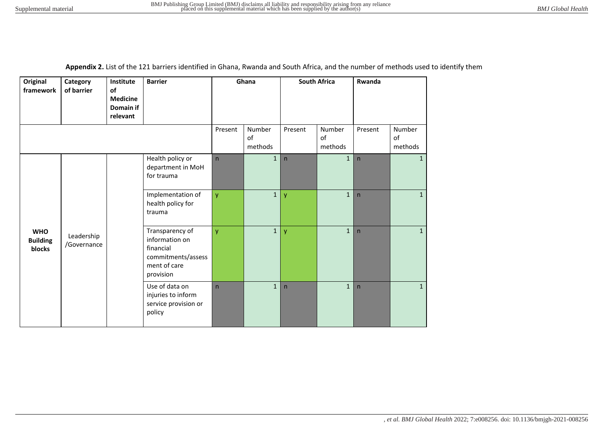|  | Appendix 2. List of the 121 barriers identified in Ghana, Rwanda and South Africa, and the number of methods used to identify them |  |
|--|------------------------------------------------------------------------------------------------------------------------------------|--|
|--|------------------------------------------------------------------------------------------------------------------------------------|--|

| Original<br>framework                   | Category<br>of barrier   | Institute<br>of<br><b>Medicine</b><br>Domain if<br>relevant | <b>Barrier</b>                                                                                    | Ghana        |                         | <b>South Africa</b> |                         | Rwanda                  |                         |
|-----------------------------------------|--------------------------|-------------------------------------------------------------|---------------------------------------------------------------------------------------------------|--------------|-------------------------|---------------------|-------------------------|-------------------------|-------------------------|
|                                         |                          |                                                             |                                                                                                   | Present      | Number<br>of<br>methods | Present             | Number<br>of<br>methods | Present                 | Number<br>of<br>methods |
|                                         |                          |                                                             | Health policy or<br>department in MoH<br>for trauma                                               | $\mathsf{n}$ | $\mathbf{1}$            | n                   | $\mathbf{1}$            | $\overline{\mathsf{n}}$ | 1                       |
| <b>WHO</b><br><b>Building</b><br>blocks |                          |                                                             | Implementation of<br>health policy for<br>trauma                                                  | y            | 1                       | y                   | $\mathbf{1}$            | n                       | $\mathbf{1}$            |
|                                         | Leadership<br>Governance |                                                             | Transparency of<br>information on<br>financial<br>commitments/assess<br>ment of care<br>provision | y            | $\mathbf{1}$            | y                   | $\mathbf 1$             | $\overline{\mathsf{n}}$ | $\mathbf{1}$            |
|                                         |                          |                                                             | Use of data on<br>injuries to inform<br>service provision or<br>policy                            | $\mathsf{n}$ | $\mathbf{1}$            | $\mathsf{n}$        | $\mathbf{1}$            | $\overline{\mathsf{n}}$ | $\mathbf{1}$            |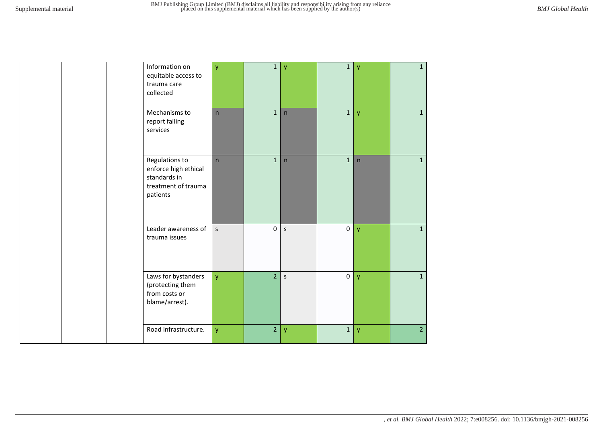| Information on<br>equitable access to<br>trauma care<br>collected                         | y       | $\mathbf 1$    | $\overline{y}$ | $\mathbf{1}$ | y            | $\mathbf{1}$   |
|-------------------------------------------------------------------------------------------|---------|----------------|----------------|--------------|--------------|----------------|
| Mechanisms to<br>report failing<br>services                                               | n       | $\mathbf{1}$   | n              | $\mathbf 1$  | y            | $\mathbf{1}$   |
| Regulations to<br>enforce high ethical<br>standards in<br>treatment of trauma<br>patients | n       | $\mathbf{1}$   | $\mathsf{n}$   | $\mathbf{1}$ | $\mathsf{n}$ | $\mathbf{1}$   |
| Leader awareness of<br>trauma issues                                                      | $\sf S$ | $\pmb{0}$      | $\sf S$        | $\pmb{0}$    | y            | $\mathbf{1}$   |
| Laws for bystanders<br>(protecting them<br>from costs or<br>blame/arrest).                | ÿ       | $\overline{2}$ | $\mathsf S$    | $\mathbf 0$  | y            | $\mathbf{1}$   |
| Road infrastructure.                                                                      | ÿ       | $\overline{2}$ | y              | $\mathbf 1$  | y            | $\overline{2}$ |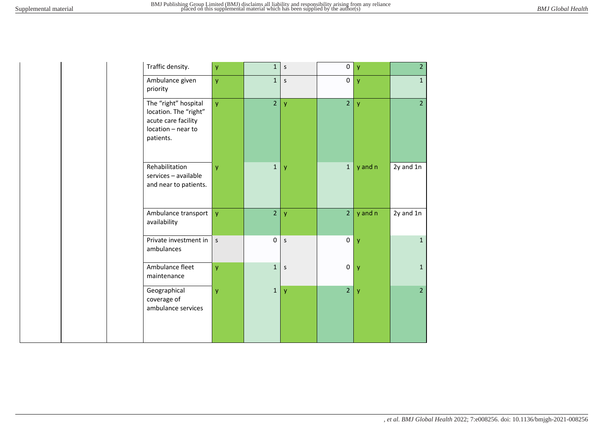| Traffic density.                                                                                        | y            | $\mathbf{1}$   | S            | 0              | y            | $\overline{2}$ |
|---------------------------------------------------------------------------------------------------------|--------------|----------------|--------------|----------------|--------------|----------------|
| Ambulance given<br>priority                                                                             | y            | $\mathbf{1}$   | $\mathsf{s}$ | $\pmb{0}$      | y            | $\mathbf{1}$   |
| The "right" hospital<br>location. The "right"<br>acute care facility<br>location - near to<br>patients. | y            | $\overline{2}$ | $\mathsf{y}$ | $\overline{2}$ | $\mathsf{y}$ | $\overline{2}$ |
| Rehabilitation<br>services - available<br>and near to patients.                                         | y            | $\mathbf{1}$   | y            | $\mathbf{1}$   | y and n      | 2y and 1n      |
| Ambulance transport<br>availability                                                                     | y            | $\overline{2}$ | y            | $\overline{2}$ | y and n      | 2y and 1n      |
| Private investment in<br>ambulances                                                                     | $\mathsf{S}$ | 0              | $\mathsf{s}$ | $\pmb{0}$      | y            | $\mathbf{1}$   |
| Ambulance fleet<br>maintenance                                                                          | y            | $\mathbf{1}$   | $\mathsf{s}$ | 0              | $\mathsf{y}$ | $\mathbf{1}$   |
| Geographical<br>coverage of<br>ambulance services                                                       | y            | $\mathbf{1}$   | y            | $\overline{2}$ | y            | $\overline{2}$ |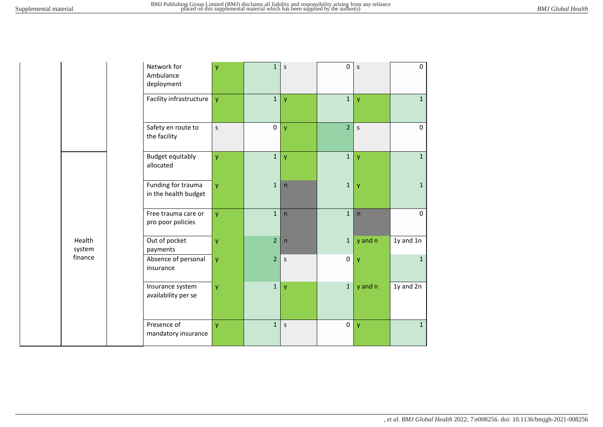|                  | Network for<br>Ambulance<br>deployment     | y            | $\mathbf{1}$   | $\sf S$      | $\pmb{0}$      | S              | $\mathbf 0$  |
|------------------|--------------------------------------------|--------------|----------------|--------------|----------------|----------------|--------------|
|                  | Facility infrastructure                    | $\mathbf{y}$ | 1              | y            | 1              | $\mathsf{y}$   | $\mathbf{1}$ |
|                  | Safety en route to<br>the facility         | $\mathsf{s}$ | $\pmb{0}$      | y            | $\overline{2}$ | $\mathsf{s}$   | $\mathbf 0$  |
|                  | <b>Budget equitably</b><br>allocated       | ÿ            | $\mathbf 1$    | y            | $\mathbf{1}$   | $\mathsf{y}$   | $\mathbf{1}$ |
|                  | Funding for trauma<br>in the health budget | y.           | $\mathbf{1}$   | $\mathsf{n}$ | $\mathbf{1}$   | y              | $\mathbf{1}$ |
|                  | Free trauma care or<br>pro poor policies   | <b>y</b>     | $\mathbf{1}$   | n            | $\mathbf{1}$   | n              | $\mathbf 0$  |
| Health<br>system | Out of pocket<br>payments                  | ÿ            | $\overline{2}$ | n            | $\mathbf 1$    | y and n        | 1y and 1n    |
| finance          | Absence of personal<br>insurance           | y            | $\overline{2}$ | $\mathsf S$  | $\pmb{0}$      | $\overline{y}$ | $\mathbf{1}$ |
|                  | Insurance system<br>availability per se    | y            | $\mathbf{1}$   | y            | $\mathbf 1$    | y and n        | 1y and 2n    |
|                  | Presence of<br>mandatory insurance         | y            | $\mathbf{1}$   | $\sf S$      | $\pmb{0}$      | y              | $\mathbf 1$  |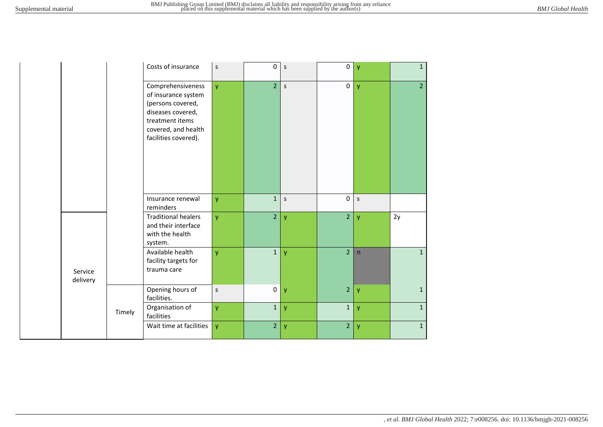|                     |        | Costs of insurance                                                                                                                                   | S            | $\pmb{0}$      | $\mathsf S$  | $\overline{0}$ | y            | $\mathbf{1}$   |
|---------------------|--------|------------------------------------------------------------------------------------------------------------------------------------------------------|--------------|----------------|--------------|----------------|--------------|----------------|
|                     |        | Comprehensiveness<br>of insurance system<br>(persons covered,<br>diseases covered,<br>treatment items<br>covered, and health<br>facilities covered). | y.           | $\overline{2}$ | $\mathsf{s}$ | $\pmb{0}$      | $\mathbf{V}$ | $\overline{2}$ |
|                     |        | Insurance renewal<br>reminders                                                                                                                       | y.           | $\mathbf{1}$   | $\mathsf S$  | $\overline{0}$ | $\mathsf{s}$ |                |
|                     |        | <b>Traditional healers</b><br>and their interface<br>with the health<br>system.                                                                      | y.           | $\overline{2}$ | y            | $\overline{2}$ | y            | 2y             |
| Service<br>delivery |        | Available health<br>facility targets for<br>trauma care                                                                                              | y.           | $\mathbf 1$    | y            | $\overline{2}$ | n            | $\mathbf{1}$   |
|                     |        | Opening hours of<br>facilities.                                                                                                                      | $\mathsf{S}$ | $\pmb{0}$      | y            | $\overline{2}$ | y            | $\mathbf{1}$   |
|                     | Timely | Organisation of<br>facilities                                                                                                                        | Ÿ.           | $\mathbf{1}$   | y            | $\mathbf 1$    | y            | $\mathbf{1}$   |
|                     |        | Wait time at facilities                                                                                                                              | Ÿ.           | $\overline{2}$ | y            | $\overline{2}$ | y            | $\mathbf{1}$   |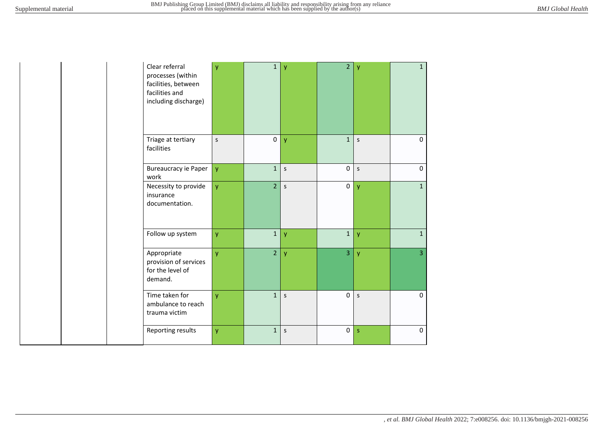| Clear referral<br>processes (within<br>facilities, between<br>facilities and<br>including discharge) | ÿ | 1              | $\mathbf{y}$ | $\overline{2}$ | $\mathsf{y}$ | $\mathbf{1}$   |
|------------------------------------------------------------------------------------------------------|---|----------------|--------------|----------------|--------------|----------------|
| Triage at tertiary<br>facilities                                                                     | S | $\pmb{0}$      | $\mathsf{y}$ | $\overline{1}$ | $\mathsf{s}$ | $\Omega$       |
| <b>Bureaucracy ie Paper</b><br>work                                                                  | ÿ | $\mathbf{1}$   | S            | 0              | $\mathsf{s}$ | $\Omega$       |
| Necessity to provide<br>insurance<br>documentation.                                                  | ÿ | $\overline{2}$ | $\sf S$      | 0              | y            | $\mathbf{1}$   |
| Follow up system                                                                                     | y | $\mathbf{1}$   | $\mathsf{y}$ | $\mathbf 1$    | $\mathsf{y}$ | $\mathbf{1}$   |
| Appropriate<br>provision of services<br>for the level of<br>demand.                                  | y | $\overline{2}$ | y            | $\overline{3}$ | $\mathsf{y}$ | $\overline{3}$ |
| Time taken for<br>ambulance to reach<br>trauma victim                                                | ÿ | $\mathbf{1}$   | s            | $\mathbf 0$    | $\mathsf{s}$ | 0              |
| Reporting results                                                                                    | ÿ | $\mathbf 1$    | S            | $\mathbf 0$    | <b>S</b>     | 0              |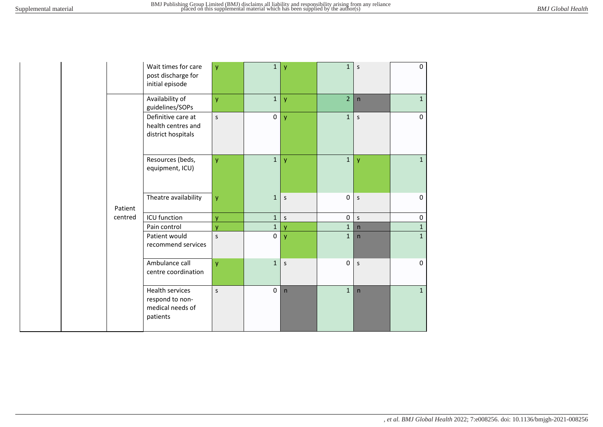|         | Wait times for care<br>post discharge for<br>initial episode              | ÿ        | 1            | y            | $\mathbf{1}$   | S            | $\Omega$     |
|---------|---------------------------------------------------------------------------|----------|--------------|--------------|----------------|--------------|--------------|
|         | Availability of<br>guidelines/SOPs                                        | y        | $\mathbf 1$  | y            | $\overline{2}$ | $\mathsf{n}$ | $\mathbf{1}$ |
|         | Definitive care at<br>health centres and<br>district hospitals            | $\sf S$  | $\mathsf 0$  | y            | $\mathbf{1}$   | S            | $\mathbf 0$  |
|         | Resources (beds,<br>equipment, ICU)                                       | y        | $\mathbf{1}$ | y            | $\mathbf{1}$   | y            | $\mathbf{1}$ |
| Patient | Theatre availability                                                      | y        | $\mathbf{1}$ | $\mathsf S$  | $\mathbf 0$    | $\mathsf{s}$ | 0            |
| centred | ICU function                                                              | <b>V</b> | $\mathbf{1}$ | $\mathsf S$  | 0              | $\mathsf{s}$ | 0            |
|         | Pain control                                                              | <b>V</b> | $\mathbf{1}$ | $\mathsf{V}$ | $\mathbf{1}$   | n            | $\mathbf 1$  |
|         | Patient would<br>recommend services                                       | S        | $\mathbf 0$  | y            | $\mathbf{1}$   | n            | $\mathbf{1}$ |
|         | Ambulance call<br>centre coordination                                     | y        | $\mathbf{1}$ | $\sf S$      | $\mathbf 0$    | $\sf S$      | $\mathbf 0$  |
|         | <b>Health services</b><br>respond to non-<br>medical needs of<br>patients | S        | $\pmb{0}$    | n            | $\mathbf{1}$   | n            | $\mathbf{1}$ |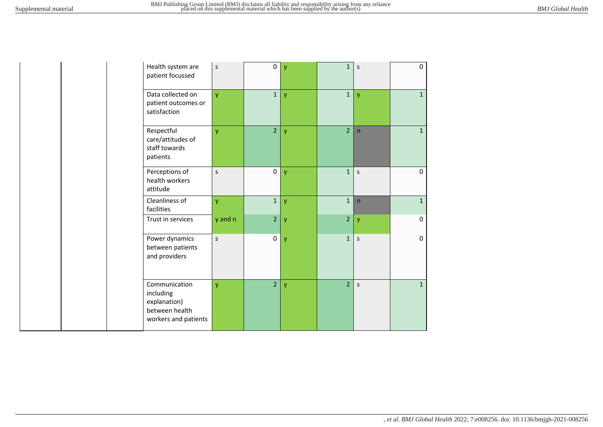| Health system are<br>patient focussed                                                | S            | $\pmb{0}$      | y | $\mathbf{1}$   | S            | 0            |
|--------------------------------------------------------------------------------------|--------------|----------------|---|----------------|--------------|--------------|
| Data collected on<br>patient outcomes or<br>satisfaction                             | <b>y</b>     | $1\,$          | y | $\mathbf 1$    | y            | $\mathbf{1}$ |
| Respectful<br>care/attitudes of<br>staff towards<br>patients                         | y            | $\overline{2}$ | y | $\overline{2}$ | n            | $\mathbf{1}$ |
| Perceptions of<br>health workers<br>attitude                                         | S            | $\mathsf 0$    | y | $\mathbf{1}$   | $\mathsf S$  | $\mathbf{0}$ |
| Cleanliness of<br>facilities                                                         | y            | $\mathbf{1}$   | y | $\mathbf{1}$   | $\mathsf{n}$ | $\mathbf{1}$ |
| Trust in services                                                                    | y and n      | $\overline{2}$ | y | $\overline{2}$ | y            | $\mathbf 0$  |
| Power dynamics<br>between patients<br>and providers                                  | $\mathsf{s}$ | $\pmb{0}$      | y | $\mathbf{1}$   | $\mathsf{s}$ | $\mathbf 0$  |
| Communication<br>including<br>explanation)<br>between health<br>workers and patients | <b>V</b>     | $\overline{2}$ | y | $\overline{2}$ | $\mathsf S$  | $\mathbf{1}$ |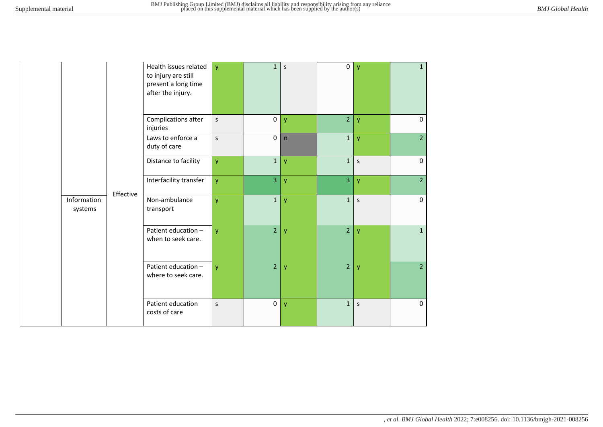|  |                                     | Health issues related<br>to injury are still<br>present a long time<br>after the injury. | y            | $\mathbf{1}$        | $\mathsf S$  | $\pmb{0}$      | $\mathbf{V}$ | $\mathbf{1}$   |
|--|-------------------------------------|------------------------------------------------------------------------------------------|--------------|---------------------|--------------|----------------|--------------|----------------|
|  |                                     | Complications after<br>injuries                                                          | $\mathsf{S}$ | $\mathsf{O}\xspace$ | $\mathbf{y}$ | $\overline{2}$ | y            | $\pmb{0}$      |
|  |                                     | Laws to enforce a<br>duty of care                                                        | $\mathsf{S}$ | $\pmb{0}$           | n            | $\mathbf{1}$   | y            | $\overline{2}$ |
|  |                                     | Distance to facility                                                                     | <b>y</b>     | $\mathbf 1$         | $\mathsf{y}$ | 1              | $\mathsf S$  | $\pmb{0}$      |
|  | Effective<br>Information<br>systems | Interfacility transfer                                                                   | y.           | $\overline{3}$      | y            | $\overline{3}$ | y            | $\overline{2}$ |
|  |                                     | Non-ambulance<br>transport                                                               | ÿ            | $\mathbf{1}$        | $\mathsf{y}$ | $\mathbf{1}$   | $\mathsf{S}$ | $\mathbf 0$    |
|  |                                     | Patient education -<br>when to seek care.                                                | <b>y</b>     | $\overline{2}$      | $\mathbf{y}$ | $\overline{2}$ | y            | $\mathbf{1}$   |
|  |                                     | Patient education -<br>where to seek care.                                               | y.           | $\overline{2}$      | y            | 2 <sup>1</sup> | y            | $\overline{2}$ |
|  |                                     | Patient education<br>costs of care                                                       | S            | $\mathsf{O}\xspace$ | y            | $\mathbf{1}$   | $\mathsf S$  | $\pmb{0}$      |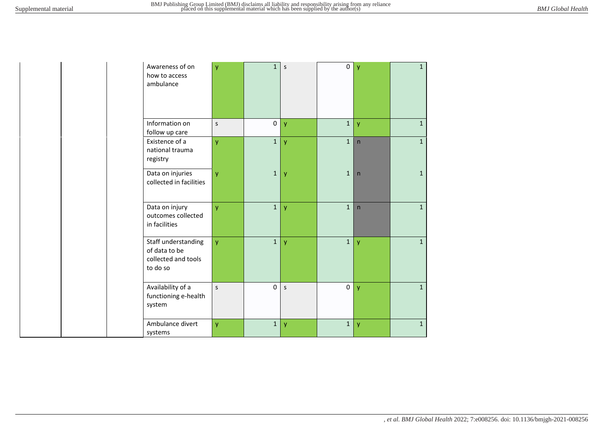| Awareness of on<br>how to access<br>ambulance                           | y            | $\mathbf{1}$ | $\mathsf S$ | $\mathbf 0$  | $\mathsf{y}$            | $\mathbf{1}$ |  |
|-------------------------------------------------------------------------|--------------|--------------|-------------|--------------|-------------------------|--------------|--|
| Information on<br>follow up care                                        | S            | $\pmb{0}$    | y           | $\mathbf 1$  | y                       | $\mathbf{1}$ |  |
| Existence of a<br>national trauma<br>registry                           | y            | $\mathbf{1}$ | y           | $\mathbf{1}$ | n                       | $\mathbf{1}$ |  |
| Data on injuries<br>collected in facilities                             | <b>V</b>     | $\mathbf{1}$ | <b>V</b>    | $\mathbf{1}$ | $\overline{\mathsf{n}}$ | $\mathbf{1}$ |  |
| Data on injury<br>outcomes collected<br>in facilities                   | ÿ            | $\mathbf{1}$ | y           | $\mathbf 1$  | n                       | $\mathbf{1}$ |  |
| Staff understanding<br>of data to be<br>collected and tools<br>to do so | <b>y</b>     | $\mathbf{1}$ | y           | $\mathbf{1}$ | $\mathbf{V}$            | $\mathbf{1}$ |  |
| Availability of a<br>functioning e-health<br>system                     | $\mathsf{s}$ | $\mathbf 0$  | $\mathsf S$ | $\pmb{0}$    | y                       | $\mathbf{1}$ |  |
| Ambulance divert<br>systems                                             | y            | $\mathbf 1$  | y           | $\mathbf{1}$ | y                       | $\mathbf{1}$ |  |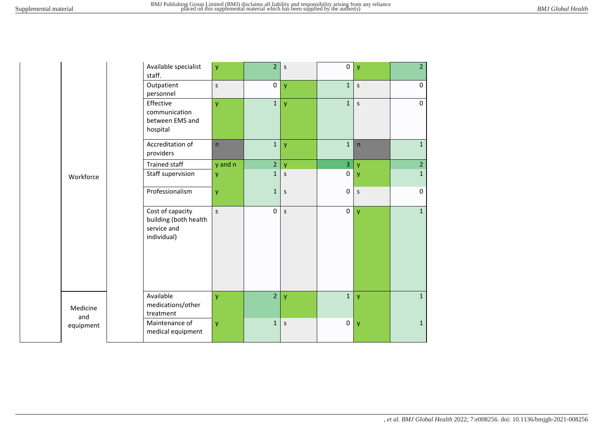|                 | Available specialist<br>staff.                                          | y       | $\overline{2}$      | S            | $\mathbf 0$    | y            | $\overline{2}$ |
|-----------------|-------------------------------------------------------------------------|---------|---------------------|--------------|----------------|--------------|----------------|
|                 | Outpatient<br>personnel                                                 | $\sf S$ | $\mathbf 0$         | y            | $\mathbf 1$    | $\mathsf S$  | 0              |
|                 | Effective<br>communication<br>between EMS and<br>hospital               | ÿ       | $\mathbf{1}$        | ÿ            | $\mathbf{1}$   | $\sf S$      | $\mathbf 0$    |
|                 | Accreditation of<br>providers                                           | n       | $\mathbf{1}$        | y            | $\mathbf 1$    | $\mathsf{n}$ | $\mathbf{1}$   |
|                 | <b>Trained staff</b>                                                    | y and n | $\overline{2}$      | V            | $\overline{3}$ | v            | $\overline{2}$ |
| Workforce       | Staff supervision                                                       | y       | $\mathbf{1}$        | $\sf S$      | $\mathsf 0$    | $\mathsf{y}$ | $\mathbf{1}$   |
|                 | Professionalism                                                         | ÿ       | $\mathbf{1}$        | $\mathsf{s}$ | $\pmb{0}$      | $\sf S$      | $\pmb{0}$      |
|                 | Cost of capacity<br>building (both health<br>service and<br>individual) | S       | $\mathsf{O}\xspace$ | S            | $\pmb{0}$      | y            | $\mathbf{1}$   |
| Medicine<br>and | Available<br>medications/other<br>treatment                             | y       | $\overline{2}$      | y            | $\mathbf 1$    | y            | $1\,$          |
| equipment       | Maintenance of<br>medical equipment                                     | y       | $\mathbf{1}$        | S            | $\pmb{0}$      | y            | $\mathbf{1}$   |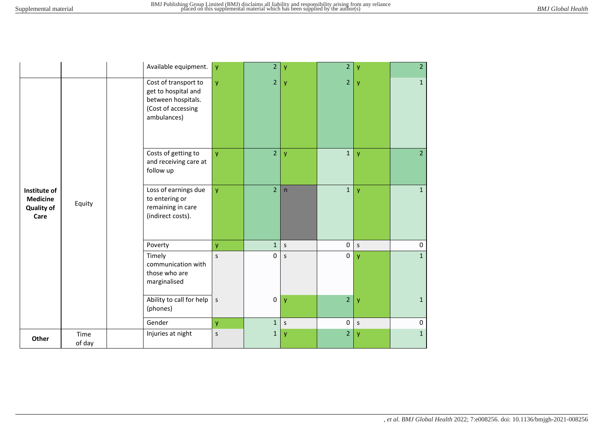|                                                              |                | Available equipment.                                                                                   | y            | $\overline{2}$ | y       | $\overline{2}$      | ٧            | 2 <sup>1</sup>      |
|--------------------------------------------------------------|----------------|--------------------------------------------------------------------------------------------------------|--------------|----------------|---------|---------------------|--------------|---------------------|
|                                                              |                | Cost of transport to<br>get to hospital and<br>between hospitals.<br>(Cost of accessing<br>ambulances) | ÿ            | 2 <sup>7</sup> | y       | $\overline{2}$      | y            | $\mathbf{1}$        |
|                                                              |                | Costs of getting to<br>and receiving care at<br>follow up                                              | <b>y</b>     | $\overline{2}$ | y       | $\mathbf{1}$        | y            | 2 <sup>1</sup>      |
| Institute of<br><b>Medicine</b><br><b>Quality of</b><br>Care | Equity         | Loss of earnings due<br>to entering or<br>remaining in care<br>(indirect costs).                       | y            | $\overline{2}$ | n       | $\mathbf{1}$        | y            | $\mathbf{1}$        |
|                                                              |                | Poverty                                                                                                | y            | 1              | $\sf S$ | $\mathsf{O}\xspace$ | $\mathsf{S}$ | $\mathsf{O}\xspace$ |
|                                                              |                | Timely<br>communication with<br>those who are<br>marginalised                                          | $\mathsf{s}$ | 0              | S       | $\mathbf 0$         | y            | $\mathbf{1}$        |
|                                                              |                | Ability to call for help<br>(phones)                                                                   | $\sf S$      | $\mathbf 0$    | y       | $\overline{2}$      | y            | $\mathbf 1$         |
|                                                              |                | Gender                                                                                                 | y            | $1\vert$       | $\sf S$ | $\mathbf 0$         | $\sf S$      | $\pmb{0}$           |
| Other                                                        | Time<br>of day | Injuries at night                                                                                      | $\sf S$      | 1              | y       | $\overline{2}$      | y            | $\mathbf{1}$        |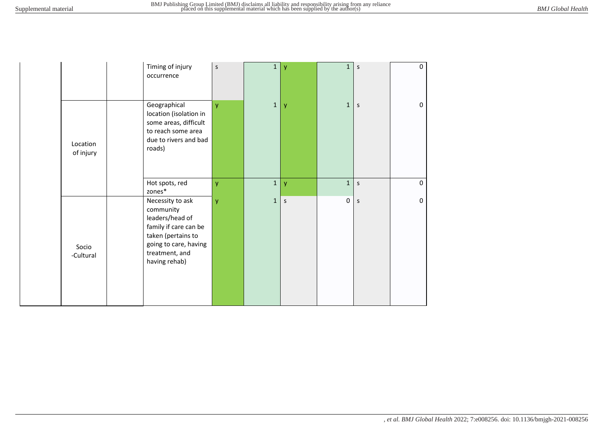|                       | Timing of injury<br>occurrence                                                                                                                              | S        | $\mathbf{1}$ | y | $\mathbf{1}$ | S            | 0           |
|-----------------------|-------------------------------------------------------------------------------------------------------------------------------------------------------------|----------|--------------|---|--------------|--------------|-------------|
| Location<br>of injury | Geographical<br>location (isolation in<br>some areas, difficult<br>to reach some area<br>due to rivers and bad<br>roads)                                    | <b>y</b> | $\mathbf{1}$ | y | $\mathbf{1}$ | S            | 0           |
|                       | Hot spots, red<br>zones*                                                                                                                                    | <b>y</b> | $\mathbf{1}$ | y | $\mathbf{1}$ | $\mathsf{s}$ | $\mathbf 0$ |
| Socio<br>-Cultural    | Necessity to ask<br>community<br>leaders/head of<br>family if care can be<br>taken (pertains to<br>going to care, having<br>treatment, and<br>having rehab) | <b>y</b> | $\mathbf{1}$ | S | $\mathbf 0$  | $\mathsf S$  | $\mathbf 0$ |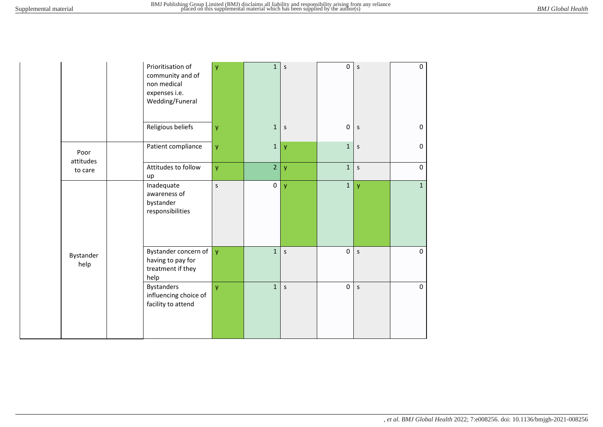|                   | non medical<br>expenses i.e. | Prioritisation of<br>community and of<br>Wedding/Funeral       | y       | 1              | S       | $\mathbf 0$  | s           | 0            |
|-------------------|------------------------------|----------------------------------------------------------------|---------|----------------|---------|--------------|-------------|--------------|
|                   |                              | Religious beliefs                                              | y       | $\mathbf{1}$   | $\sf S$ | $\mathbf 0$  | $\sf S$     | 0            |
| Poor<br>attitudes |                              | Patient compliance                                             | y       | $\mathbf{1}$   | y       | $\mathbf{1}$ | $\mathsf S$ | $\mathbf 0$  |
| to care           | up                           | Attitudes to follow                                            | y       | $\overline{2}$ | y       | $\mathbf 1$  | $\sf S$     | $\mathbf 0$  |
|                   | Inadequate<br>bystander      | awareness of<br>responsibilities                               | $\sf S$ | $\pmb{0}$      | y       | $\mathbf 1$  | y           | $\mathbf{1}$ |
| Bystander<br>help | help                         | Bystander concern of<br>having to pay for<br>treatment if they | y       | $\mathbf{1}$   | $\sf S$ | $\mathbf 0$  | S           | $\mathbf 0$  |
|                   | <b>Bystanders</b>            | influencing choice of<br>facility to attend                    | y       | $\mathbf{1}$   | $\sf S$ | $\mathbf 0$  | $\sf S$     | $\mathbf 0$  |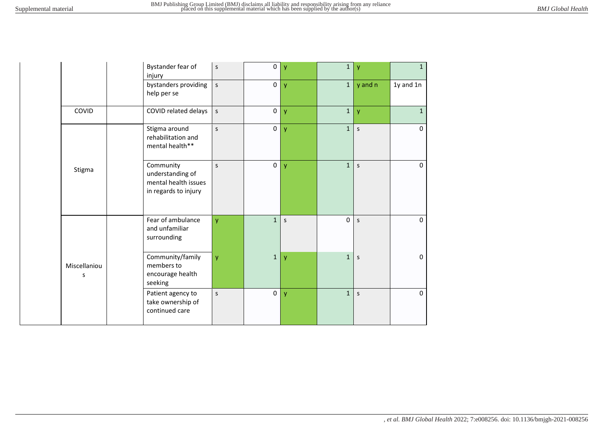|                   | Bystander fear of<br>injury                                                   | S            | $\mathsf{O}\xspace$ | $\mathbf{V}$ | $\mathbf{1}$ | y       | $\mathbf{1}$ |
|-------------------|-------------------------------------------------------------------------------|--------------|---------------------|--------------|--------------|---------|--------------|
|                   | bystanders providing<br>help per se                                           | $\mathsf{s}$ | 0                   | $\mathsf{y}$ | $\mathbf{1}$ | y and n | 1y and 1n    |
| COVID             | COVID related delays                                                          | $\sf S$      | $\pmb{0}$           | $\mathsf{y}$ | $\mathbf{1}$ | y       | $\mathbf{1}$ |
|                   | Stigma around<br>rehabilitation and<br>mental health**                        | S            | $\pmb{0}$           | $\mathsf{y}$ | $\mathbf{1}$ | S       | 0            |
| Stigma            | Community<br>understanding of<br>mental health issues<br>in regards to injury | S            | $\pmb{0}$           | y            | $\mathbf{1}$ | S       | $\mathbf{0}$ |
|                   | Fear of ambulance<br>and unfamiliar<br>surrounding                            | y            | $\mathbf{1}$        | S            | 0            | $\sf S$ | $\Omega$     |
| Miscellaniou<br>S | Community/family<br>members to<br>encourage health<br>seeking                 | y            | $\mathbf 1$         | y            | $\mathbf{1}$ | $\sf S$ | $\mathbf 0$  |
|                   | Patient agency to<br>take ownership of<br>continued care                      | S            | $\pmb{0}$           | $\mathsf{y}$ | $\mathbf{1}$ | S       | $\Omega$     |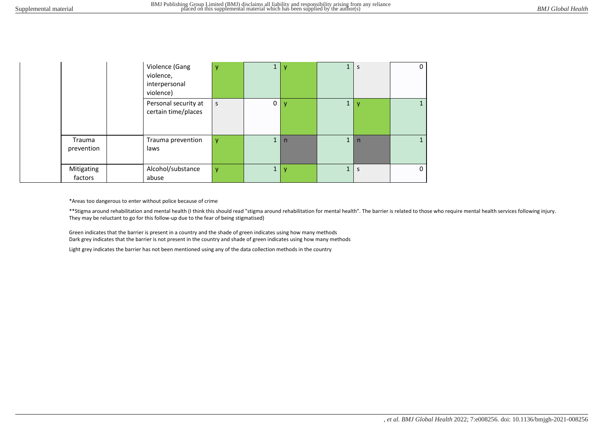|                       | Violence (Gang<br>violence,<br>interpersonal<br>violence) | y            | ÷.           |   | Ŧ            | S            | 0            |
|-----------------------|-----------------------------------------------------------|--------------|--------------|---|--------------|--------------|--------------|
|                       | Personal security at<br>certain time/places               | S            | 0            | v | $\mathbf{1}$ | v            |              |
| Trauma<br>prevention  | Trauma prevention<br>laws                                 | v            | $\mathbf{1}$ | n | $\mathbf{1}$ | $\mathsf{n}$ |              |
| Mitigating<br>factors | Alcohol/substance<br>abuse                                | $\mathsf{v}$ | 1            |   | $\mathbf{1}$ | S            | $\mathbf{0}$ |

\*Areas too dangerous to enter without police because of crime

\*\*Stigma around rehabilitation and mental health (I think this should read "stigma around rehabilitation for mental health". The barrier is related to those who require mental health services following injury. They may be reluctant to go for this follow-up due to the fear of being stigmatised)

Green indicates that the barrier is present in a country and the shade of green indicates using how many methods Dark grey indicates that the barrier is not present in the country and shade of green indicates using how many methods

Light grey indicates the barrier has not been mentioned using any of the data collection methods in the country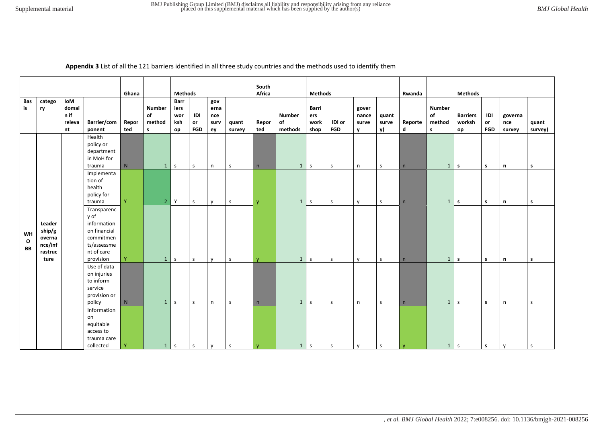**Appendix 3** List of all the 121 barriers identified in all three study countries and the methods used to identify them

|                    |         |        |                                        |              |                |              |            |              |              | South        |                |              |              |       |        |              |                |                 |            |              |              |
|--------------------|---------|--------|----------------------------------------|--------------|----------------|--------------|------------|--------------|--------------|--------------|----------------|--------------|--------------|-------|--------|--------------|----------------|-----------------|------------|--------------|--------------|
|                    |         |        | <b>Methods</b><br>Ghana<br>Barr<br>gov |              |                |              |            |              | Africa       |              | <b>Methods</b> |              |              |       | Rwanda |              | <b>Methods</b> |                 |            |              |              |
| Bas                | catego  | IoM    |                                        |              |                |              |            |              |              |              |                |              |              |       |        |              |                |                 |            |              |              |
| is                 | ry      | domai  |                                        |              | <b>Number</b>  | iers         |            | erna         |              |              |                | Barri        |              | gover |        |              | <b>Number</b>  |                 |            |              |              |
|                    |         | n if   |                                        |              | of             | wor          | IDI        | nce          |              |              | <b>Number</b>  | ers          |              | nance | quant  |              | of             | <b>Barriers</b> | IDI        | governa      |              |
|                    |         | releva | Barrier/com                            | Repor<br>ted | method         | ksh          | or         | surv         | quant        | Repor        | of             | work         | IDI or       | surve | surve  | Reporte<br>d | method         | worksh          | or         | nce          | quant        |
|                    |         | nt     | ponent<br>Health                       |              | $\mathsf{s}$   | op           | <b>FGD</b> | ey           | survey       | ted          | methods        | shop         | FGD          | v     | v)     |              | s              | op              | <b>FGD</b> | survey       | survey)      |
|                    |         |        | policy or                              |              |                |              |            |              |              |              |                |              |              |       |        |              |                |                 |            |              |              |
|                    |         |        | department                             |              |                |              |            |              |              |              |                |              |              |       |        |              |                |                 |            |              |              |
|                    |         |        | in MoH for                             |              |                |              |            |              |              |              |                |              |              |       |        |              |                |                 |            |              |              |
|                    |         |        | trauma                                 | ${\sf N}$    | $\mathbf{1}$   | $\mathsf{s}$ | s          | n            | S            | n            | $\mathbf{1}$   | $\mathsf{s}$ | $\mathsf{s}$ | n     | S.     | n            | 1              | $\mathsf{s}$    | s          | n            | s            |
|                    |         |        | Implementa                             |              |                |              |            |              |              |              |                |              |              |       |        |              |                |                 |            |              |              |
|                    |         |        | tion of                                |              |                |              |            |              |              |              |                |              |              |       |        |              |                |                 |            |              |              |
|                    |         |        | health                                 |              |                |              |            |              |              |              |                |              |              |       |        |              |                |                 |            |              |              |
|                    |         |        | policy for                             |              |                |              |            |              |              |              |                |              |              |       |        |              |                |                 |            |              |              |
|                    |         |        | trauma                                 | Y.           | $\overline{2}$ | Y            | s          | $\mathsf{v}$ | $\mathsf{s}$ | <b>V</b>     | $\mathbf{1}$   | $\mathsf S$  | $\mathsf{s}$ | y     | S      | n            | 1              | $\mathsf{s}$    | s          | n            | $\mathsf{s}$ |
|                    |         |        | Transparenc<br>y of                    |              |                |              |            |              |              |              |                |              |              |       |        |              |                |                 |            |              |              |
|                    | Leader  |        | information                            |              |                |              |            |              |              |              |                |              |              |       |        |              |                |                 |            |              |              |
|                    | ship/g  |        | on financial                           |              |                |              |            |              |              |              |                |              |              |       |        |              |                |                 |            |              |              |
| WH                 | overna  |        | commitmen                              |              |                |              |            |              |              |              |                |              |              |       |        |              |                |                 |            |              |              |
| $\mathbf{o}$<br>BB | nce/inf |        | ts/assessme                            |              |                |              |            |              |              |              |                |              |              |       |        |              |                |                 |            |              |              |
|                    | rastruc |        | nt of care                             |              |                |              |            |              |              |              |                |              |              |       |        |              |                |                 |            |              |              |
|                    | ture    |        | provision                              | Y            | $\mathbf{1}$   | $\mathsf{s}$ | s          | $\mathsf{v}$ | <sub>S</sub> | $\mathbf{V}$ | $\mathbf{1}$   | $\mathsf S$  | s            | y     | S.     | n            | 1              | $\mathbf{s}$    | s          | n            | s            |
|                    |         |        | Use of data                            |              |                |              |            |              |              |              |                |              |              |       |        |              |                |                 |            |              |              |
|                    |         |        | on injuries                            |              |                |              |            |              |              |              |                |              |              |       |        |              |                |                 |            |              |              |
|                    |         |        | to inform                              |              |                |              |            |              |              |              |                |              |              |       |        |              |                |                 |            |              |              |
|                    |         |        | service                                |              |                |              |            |              |              |              |                |              |              |       |        |              |                |                 |            |              |              |
|                    |         |        | provision or<br>policy                 | ${\sf N}$    | $\mathbf{1}$   | S            | S          | n            | S.           | n            | $\mathbf{1}$   | $\mathsf S$  | s            | n     | S      | n            | 1              | $\mathsf{S}$    | s          | $\mathsf{n}$ | S            |
|                    |         |        | Information                            |              |                |              |            |              |              |              |                |              |              |       |        |              |                |                 |            |              |              |
|                    |         |        | on                                     |              |                |              |            |              |              |              |                |              |              |       |        |              |                |                 |            |              |              |
|                    |         |        | equitable                              |              |                |              |            |              |              |              |                |              |              |       |        |              |                |                 |            |              |              |
|                    |         |        | access to                              |              |                |              |            |              |              |              |                |              |              |       |        |              |                |                 |            |              |              |
|                    |         |        | trauma care                            |              |                |              |            |              |              |              |                |              |              |       |        |              |                |                 |            |              |              |
|                    |         |        | collected                              | Y            | 1              | l s          | S          | y            | $\mathsf{s}$ | y            | 1              | $\mathsf S$  | S            | y     | S.     | $\mathbf{y}$ | 1              | S               | s.         | y            | $\mathsf S$  |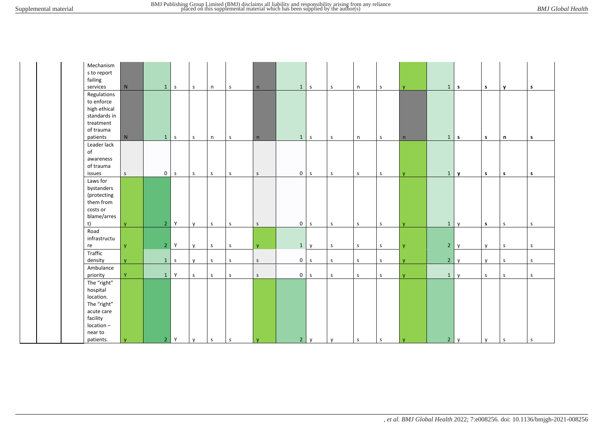| Mechanism<br>s to report<br>failing                                                                                     |                |              |              |              |              |              |                |              |              |              |              |              |                |              |              |             |              |
|-------------------------------------------------------------------------------------------------------------------------|----------------|--------------|--------------|--------------|--------------|--------------|----------------|--------------|--------------|--------------|--------------|--------------|----------------|--------------|--------------|-------------|--------------|
| ${\sf N}$<br>services                                                                                                   | $\mathbf{1}$   | $\mathsf{s}$ | $\mathsf{s}$ | n            | $\mathsf{s}$ | n            | $\mathbf{1}$   | $\mathsf{s}$ | $\mathsf{s}$ | n            | $\mathsf{s}$ | <b>y</b>     | $1 \mid s$     |              | $\mathsf{s}$ | y           | s            |
| Regulations<br>to enforce<br>high ethical<br>standards in<br>treatment<br>of trauma<br>patients<br>N                    | $\mathbf{1}$   | $\mathsf{s}$ | $\sf S$      | n            | $\mathsf S$  | n            | $\mathbf{1}$   | $\mathsf{s}$ | $\mathsf{s}$ | n            | $\mathsf S$  | n            | 1              | $\mathsf{s}$ | s            | n           | s            |
| Leader lack<br>of<br>awareness<br>of trauma<br>issues<br>$\mathsf S$                                                    | $\overline{0}$ | $\mathsf{s}$ | $\mathsf{s}$ | $\mathsf S$  | S            | $\mathsf S$  | 0 <sub>s</sub> |              | $\mathsf{s}$ | $\mathsf{S}$ | $\mathsf S$  | $\mathsf{V}$ | $\mathbf{1}$   | $\mathbf{v}$ | s            | s           | s            |
| Laws for<br>bystanders<br>(protecting<br>them from<br>costs or<br>blame/arres<br>t)<br>$\mathbf{v}$                     | 2 <sup>1</sup> | Y            | y            | $\mathsf S$  | $\mathsf S$  | $\mathsf S$  | $0 \mid s$     |              | $\mathsf S$  | S            | $\mathsf S$  | v            | $\mathbf{1}$   | $\mathsf{v}$ | s            | S           | $\mathsf S$  |
| Road<br>infrastructu<br>re<br><b>y</b>                                                                                  | 2 <sup>1</sup> | Y            | $\mathsf{v}$ | $\mathsf S$  | $\sf S$      | $\mathbf{y}$ | $\mathbf{1}$   | $\mathsf{v}$ | $\mathsf{s}$ | $\mathsf{s}$ | $\mathsf{s}$ | <b>y</b>     | $2^{\circ}$    | $\mathsf{v}$ | y            | $\sf S$     | $\mathsf{s}$ |
| Traffic<br>density<br>$\mathsf{V}$                                                                                      | $\mathbf{1}$   | $\mathsf{s}$ | y            | $\mathsf S$  | S            | S            | $\overline{0}$ | s            | $\mathsf{S}$ | $\mathsf{S}$ | $\mathsf{s}$ | <b>y</b>     | 2 <sup>1</sup> | y            | y            | S           | $\mathsf{s}$ |
| Ambulance<br>Y<br>priority                                                                                              | $\mathbf{1}$   | Y            | $\mathsf{S}$ | $\mathsf{s}$ | $\sf S$      | $\mathsf{s}$ | $0 \mid s$     |              | $\mathsf{s}$ | $\mathsf{S}$ | $\mathsf S$  | <b>V</b>     | 1              | $\mathsf{v}$ | $\mathsf S$  | S           | $\mathsf S$  |
| The "right"<br>hospital<br>location.<br>The "right"<br>acute care<br>facility<br>location-<br>near to<br>patients.<br>y | 2 <sup>7</sup> | $\mathsf Y$  | $\mathsf{y}$ | $\mathsf S$  | $\sf S$      | y            | 2 <sup>1</sup> | y            | y            | $\mathsf S$  | $\mathsf{s}$ | y            | 2 <sup>1</sup> | $\mathsf{y}$ | y            | $\mathsf S$ | $\mathsf S$  |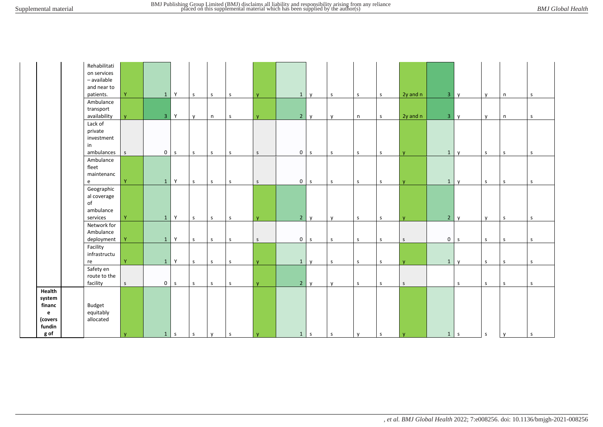|                                                              | Rehabilitati<br>on services<br>- available<br>and near to<br>patients. | Y           | 1              | Y            | $\mathsf{s}$ | $\mathsf S$  | S               | V.           | $\mathbf{1}$   | <b>V</b>     | $\mathsf S$  | $\mathsf S$  | $\mathsf{s}$ | 2y and n     | 3 <sup>7</sup> | y            | $\mathsf{v}$ | n            | $\mathsf{s}$ |
|--------------------------------------------------------------|------------------------------------------------------------------------|-------------|----------------|--------------|--------------|--------------|-----------------|--------------|----------------|--------------|--------------|--------------|--------------|--------------|----------------|--------------|--------------|--------------|--------------|
|                                                              | Ambulance<br>transport<br>availability                                 | <b>y</b>    | $\overline{3}$ | Y            | $\mathsf{y}$ | n            | $\mathsf{s}$    | y.           | $2^{\circ}$    | y            | y            | n            | S            | 2y and n     | 3 <sup>7</sup> | $\mathsf{y}$ | y            | n            | $\mathsf S$  |
|                                                              | Lack of<br>private<br>investment<br>in<br>ambulances                   | $\mathsf S$ | $\overline{0}$ | $\mathsf{s}$ | $\mathsf{s}$ | $\mathsf{s}$ | S               | $\mathsf{S}$ | $\mathsf{O}$   | $\mathsf{s}$ | $\mathsf{s}$ | $\mathsf{s}$ | S            | v.           | $\mathbf{1}$   | $\mathsf{v}$ | $\mathsf{s}$ | $\mathsf{s}$ | $\mathsf{S}$ |
|                                                              | Ambulance<br>fleet<br>maintenanc<br>e                                  | Y           | 1              | Y            | $\mathsf S$  | $\mathsf S$  | $\mathsf{s}$    | $\mathsf S$  | $\mathsf{O}$   | $\mathsf{s}$ | $\mathsf S$  | $\mathsf S$  | $\mathsf{s}$ | <b>V</b>     | $\mathbf{1}$   | $\mathsf{v}$ | $\mathsf{s}$ | $\mathsf{s}$ | $\mathsf S$  |
|                                                              | Geographic<br>al coverage<br>of<br>ambulance<br>services               | Y           | 1              | Y            | $\mathsf S$  | $\mathsf S$  | $\mathsf{s}$    | $\mathbf{V}$ | 2 <sup>7</sup> | $\mathsf{v}$ | $\mathsf{v}$ | $\mathsf S$  | $\mathsf{s}$ | <b>V</b>     | 2 <sup>7</sup> | V            | y            | $\mathsf{s}$ | s            |
|                                                              | Network for<br>Ambulance<br>deployment                                 | Y           | 1              | Y            | $\mathsf S$  | $\mathsf S$  | S               | $\mathsf S$  | $\mathbf 0$    | $\mathsf{s}$ | $\mathsf S$  | $\mathsf S$  | $\mathsf{s}$ | $\mathsf{S}$ | 0              | $\mathsf{s}$ | $\mathsf{s}$ | $\mathsf{s}$ | $\mathsf{s}$ |
|                                                              | Facility<br>infrastructu<br>re                                         | Y.          | 1              | Y            | $\mathsf S$  | $\mathsf S$  | $\mathsf{s}$    | <b>y</b>     | $\mathbf{1}$   | y            | $\mathsf S$  | $\mathsf S$  | S            | <b>y</b>     | $\mathbf{1}$   | y            | $\mathsf{s}$ | $\mathsf{s}$ | $\mathsf{s}$ |
|                                                              | Safety en<br>route to the<br>facility                                  | $\mathsf S$ | $\overline{0}$ | $\mathsf{s}$ | $\mathsf S$  | $\mathsf S$  | $\mathsf{s}$    | <b>V</b>     | 2 <sup>7</sup> | $\mathsf{v}$ | $\mathsf{v}$ | $\mathsf S$  | $\mathsf{S}$ | $\mathsf{S}$ |                | <sub>S</sub> | $\mathsf{s}$ | s            | s            |
| Health<br>system<br>financ<br>e<br>(covers<br>fundin<br>g of | <b>Budget</b><br>equitably<br>allocated                                | y           | 1              | $\mathsf{s}$ | S            | y            | $\vert s \vert$ | $\mathbf{y}$ | $1\phantom{.}$ | $\mathsf S$  | $\mathsf{s}$ | y            | $\mathsf{s}$ | y            | $1 \vert s$    |              | $\mathsf{S}$ | y            | $\mathsf{s}$ |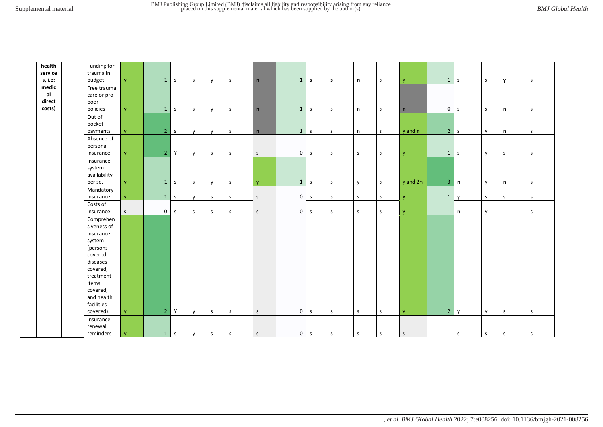facilities

Insurance renewal

| health<br>service<br>s, i.e: | Funding for<br>trauma in<br>budget                                                                                                              | V            |                | $1 \vert s$ | $\mathsf S$  |              |              |              | 1              | $\mathsf{s}$ |              |              | S            |              |                | $1 \mid s$   | $\mathsf{s}$ |              | S.           |
|------------------------------|-------------------------------------------------------------------------------------------------------------------------------------------------|--------------|----------------|-------------|--------------|--------------|--------------|--------------|----------------|--------------|--------------|--------------|--------------|--------------|----------------|--------------|--------------|--------------|--------------|
| medic<br>al<br>direct        | Free trauma<br>care or pro<br>poor                                                                                                              |              |                |             |              | y            | $\mathsf{S}$ | n            |                |              | s.           | n            |              | <b>y</b>     |                |              |              | $\mathbf{y}$ |              |
| costs)                       | policies                                                                                                                                        | V            | $\mathbf{1}$   | $\mathsf S$ | $\mathsf{s}$ | $\mathsf{v}$ | $\mathsf{s}$ | n            | 1              | $\mathsf{s}$ | $\mathsf{s}$ | $\mathsf{n}$ | $\mathsf S$  | n            | 0 <sup>1</sup> | S.           | $\mathsf{s}$ | n            | $\mathsf{s}$ |
|                              | Out of<br>pocket<br>payments                                                                                                                    | $\mathbf{V}$ |                | 2 s         | y            | $\mathsf{v}$ | S            | n            | 1              | $\mathsf{s}$ | $\mathsf{s}$ | $\mathsf{n}$ | $\mathsf{s}$ | y and n      |                | $2 \mid s$   | $\mathsf{v}$ | $\mathsf n$  | $\mathsf{s}$ |
|                              | Absence of<br>personal<br>insurance                                                                                                             | <b>y</b>     | 2 <sup>7</sup> | Y           | y            | $\mathsf S$  | $\mathsf{s}$ | $\mathsf{S}$ | $\overline{0}$ | $\mathsf{s}$ | S            | S            | S            | $\mathsf{V}$ |                | $1 \mid s$   | $\mathsf{v}$ | l s          | $\mathsf{s}$ |
|                              | Insurance<br>system<br>availability<br>per se.                                                                                                  | $\mathbf{V}$ | $\mathbf{1}$   | $\mathsf S$ | $\mathsf{s}$ | $\mathsf{v}$ | $\mathsf{s}$ | <b>y</b>     | 1              | S            | $\mathsf{s}$ | y            | $\mathsf{S}$ | y and 2n     | 3 <sup>1</sup> | n            | $\mathsf{v}$ | n            | $\mathsf{s}$ |
|                              | Mandatory<br>insurance                                                                                                                          | V.           | $\mathbf{1}$   | $\mathsf S$ | y            | $\mathsf S$  | s            | $\mathsf S$  | 0              | $\mathsf S$  | $\mathsf{s}$ | S            | $\mathsf S$  | $\mathbf{V}$ | $\mathbf{1}$   | $\mathsf{v}$ | S            | s            | s            |
|                              | Costs of<br>insurance                                                                                                                           | $\mathsf{S}$ | $\overline{0}$ | $\mathsf S$ | s            | $\mathsf{s}$ | $\mathsf{s}$ | $\mathsf{S}$ | $\mathbf 0$    | S            | $\mathsf{s}$ | $\mathsf{S}$ | s            | $\mathsf{V}$ | $\mathbf{1}$   | n            | y            |              | $\mathsf{s}$ |
|                              | Comprehen<br>siveness of<br>insurance<br>system<br>(persons<br>covered,<br>diseases<br>covered,<br>treatment<br>items<br>covered,<br>and health |              |                |             |              |              |              |              |                |              |              |              |              |              |                |              |              |              |              |

covered). |y | 2 |Y |y |s |s |s | 0 |s |s |s |s |y | 2 |y |y |s |s

reminders y | 1 s |y |s |s |s | o|s |s |s |s |s |s |s |s |s |s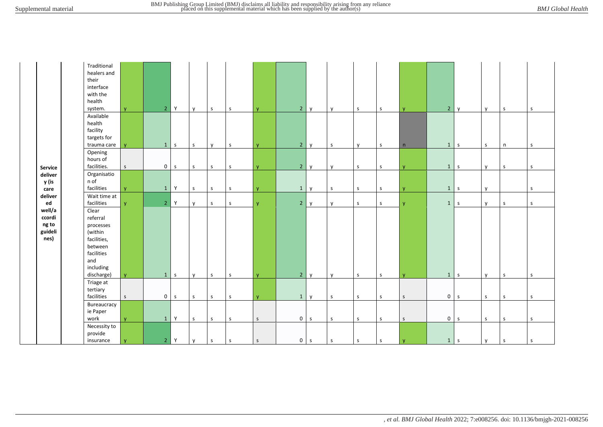|                                              | Traditional<br>healers and<br>their<br>interface<br>with the<br>health<br>system.                                   | v.           |                | $2$ Y        | $\mathsf{v}$ | $\mathsf S$  | S            | $\mathbf{V}$                | 2 <sup>1</sup>      | $\mathsf{v}$ | $\mathsf{v}$ | $\mathsf S$  | $\mathsf S$  | $\mathbf{V}$                 | $2^{\circ}$         | $\mathsf{v}$ | y            | $\mathsf S$  | S            |
|----------------------------------------------|---------------------------------------------------------------------------------------------------------------------|--------------|----------------|--------------|--------------|--------------|--------------|-----------------------------|---------------------|--------------|--------------|--------------|--------------|------------------------------|---------------------|--------------|--------------|--------------|--------------|
|                                              | Available<br>health<br>facility<br>targets for<br>trauma care                                                       | v.           | $\mathbf{1}$   | $\mathsf{s}$ | $\mathsf S$  | y            | S            | $\mathbf{V}$                | 2 <sup>1</sup>      | $\mathsf{v}$ | S            | $\mathsf{v}$ | $\mathsf S$  | n                            | $\mathbf{1}$        | S            | $\mathsf S$  | $\mathsf{n}$ | $\mathsf{S}$ |
| Service                                      | Opening<br>hours of<br>facilities.                                                                                  | $\mathsf S$  | 0 <sup>1</sup> | $\mathsf{s}$ | $\mathsf{s}$ | $\mathsf S$  | S            | $\mathsf{V}$                | 2 <sup>1</sup>      | $\mathsf{v}$ | $\mathbf{v}$ | $\mathsf S$  | $\mathsf S$  | $\mathbf{V}$                 | $\mathbf{1}$        | l s          | $\mathsf{v}$ | $\mathsf{s}$ | $\mathsf{s}$ |
| deliver<br>y (is<br>care                     | Organisatio<br>n of<br>facilities                                                                                   | v.           | 1              | Y            | $\sf S$      | $\mathsf S$  | $\mathsf{s}$ | <b>y</b>                    | 1                   | $\mathsf{v}$ | $\mathsf{s}$ | $\mathsf{s}$ | $\mathsf S$  | V                            |                     | $1 \vert s$  | $\mathsf{v}$ |              | $\mathsf{s}$ |
| deliver<br>ed                                | Wait time at<br>facilities                                                                                          | V.           | $\overline{2}$ | $\mathsf Y$  | $\mathsf{v}$ | $\mathsf S$  | $\mathsf{s}$ | <b>y</b>                    | 2 <sup>1</sup>      | $\mathsf{v}$ | y            | $\mathsf{S}$ | $\mathsf S$  | <b>y</b>                     | $\mathbf{1}$        | l s          | <b>y</b>     | $\mathsf S$  | $\mathsf{s}$ |
| well/a<br>ccordi<br>ng to<br>guideli<br>nes) | Clear<br>referral<br>processes<br>(within<br>facilities,<br>between<br>facilities<br>and<br>including<br>discharge) | V            |                | $1 \mid s$   | $\mathsf{V}$ | $\mathsf{s}$ | S            | $\mathbf{V}$                | 2 <sup>1</sup>      | $\mathsf{v}$ | $\mathbf{v}$ | $\mathsf{S}$ | $\mathsf{s}$ | $\mathbf{V}$                 | $\mathbf{1}$        | Ιs           | V            | $\mathsf{s}$ | $\mathsf{s}$ |
|                                              | Triage at<br>tertiary<br>facilities                                                                                 | S            |                | $0 \quad s$  | $\mathsf{S}$ | $\mathsf{s}$ | $\mathsf{s}$ |                             |                     | $\mathbf{v}$ | $\mathsf{s}$ | $\mathsf{S}$ | $\mathsf{s}$ |                              | $\mathbf 0$         | $\mathsf{S}$ | $\mathsf S$  | $\mathsf{s}$ | $\mathsf{s}$ |
|                                              | Bureaucracy<br>ie Paper<br>work                                                                                     | <b>y</b>     | $\mathbf{1}$   | Y            | $\mathsf S$  | $\mathsf S$  | S            | $\mathsf{V}$<br>$\mathsf S$ | 1<br>$\overline{0}$ | $\mathsf{s}$ | $\mathsf S$  | $\mathsf S$  | $\mathsf{s}$ | $\mathsf{S}$<br>$\mathsf{S}$ | $\mathsf{O}\xspace$ | S            | $\mathsf S$  | $\mathsf{s}$ | $\mathsf{s}$ |
|                                              | Necessity to<br>provide<br>insurance                                                                                | $\mathbf{y}$ |                | $2$ Y        | y            | $\mathsf S$  | $\mathsf S$  | $\mathsf S$                 | $\overline{0}$      | $\mathsf{s}$ | S            | $\mathsf S$  | $\mathsf S$  | $\mathbf{y}$                 |                     | $1 \mid s$   | y            | $\mathsf{s}$ | $\mathsf S$  |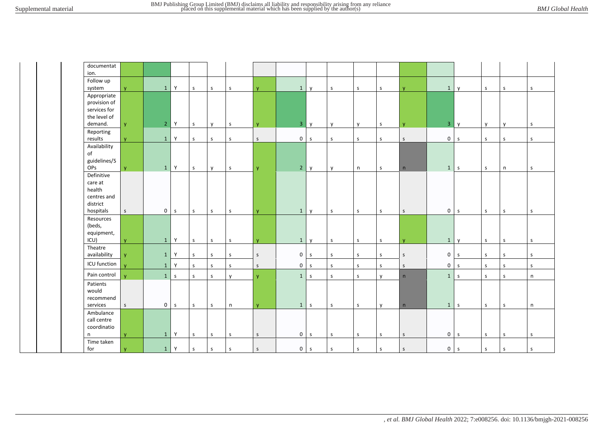| documentat<br>ion.                                                      |              |                |             |              |              |              |              |                |              |              |             |              |              |                |              |              |              |              |
|-------------------------------------------------------------------------|--------------|----------------|-------------|--------------|--------------|--------------|--------------|----------------|--------------|--------------|-------------|--------------|--------------|----------------|--------------|--------------|--------------|--------------|
| Follow up<br>system                                                     | <b>V</b>     | $\mathbf{1}$   | Y           | $\sf S$      | $\mathsf S$  | s            | $\mathbf{V}$ | $\mathbf{1}$   | $\mathsf{v}$ | $\sf S$      | s           | $\mathsf S$  | <b>V</b>     | $\mathbf{1}$   | $\mathsf{v}$ | $\sf S$      | $\mathsf S$  | $\mathsf S$  |
| Appropriate<br>provision of<br>services for<br>the level of<br>demand.  | <b>y</b>     | $\overline{2}$ | Y           | $\mathsf{s}$ | y            | $\mathsf S$  | $\mathbf{y}$ | 3 <sup>7</sup> | y            | y            | y           | $\mathsf S$  | y            | 3 <sup>7</sup> | y            | y            | y            | $\mathsf{s}$ |
| Reporting<br>results                                                    | <b>V</b>     | $\mathbf{1}$   | Y           | $\mathsf{S}$ | $\mathsf S$  | s            | $\mathsf S$  | $\mathsf{O}$   | $\mathsf{s}$ | $\mathsf{s}$ | s           | $\mathsf{s}$ | $\mathsf S$  | $\mathbf 0$    | $\mathsf S$  | $\mathsf{s}$ | s            | $\mathsf S$  |
| Availability<br>of<br>guidelines/S<br><b>OPs</b>                        | <b>y</b>     | $\mathbf{1}$   | Y           | S            | y            | $\mathsf S$  | $\mathbf{y}$ | $2^{\circ}$    | y            | y            | n           | $\mathsf S$  | n            | 1              | $\mathsf{s}$ | $\mathsf{s}$ | $\mathsf{n}$ | $\mathsf{s}$ |
| Definitive<br>care at<br>health<br>centres and<br>district<br>hospitals | $\mathsf{S}$ | $\overline{0}$ | $\mathsf S$ | $\mathsf{s}$ | $\mathsf S$  | $\mathsf{s}$ | $\mathbf{V}$ | $\mathbf{1}$   | $\mathsf{v}$ | S            | S           | $\mathsf{s}$ | $\mathsf{s}$ | $\mathsf{O}$   | $\mathsf{s}$ | $\mathsf{s}$ | $\mathsf{s}$ | $\mathsf{s}$ |
| Resources<br>(beds,<br>equipment,<br>ICU)                               | <b>V</b>     | $\mathbf{1}$   | Y           | $\mathsf{s}$ | $\mathsf S$  | $\mathsf S$  | <b>y</b>     | $\mathbf{1}$   | y            | $\mathsf{s}$ | $\mathsf S$ | $\mathsf S$  | <b>y</b>     | $\mathbf{1}$   | $\mathsf{v}$ | $\mathsf{s}$ | $\mathsf S$  | $\mathsf{s}$ |
| Theatre<br>availability                                                 | $\mathbf{V}$ | $\mathbf{1}$   | Y           | $\mathsf{S}$ | $\mathsf S$  | S            | $\mathsf{S}$ | $\mathbf 0$    | S            | $\mathsf{s}$ | s           | $\mathsf{s}$ | $\mathsf S$  | $\mathsf{O}$   | $\mathsf{s}$ | $\mathsf{s}$ | s            | s            |
| ICU function                                                            | $\mathbf{v}$ | $\mathbf{1}$   | Y           | $\mathsf{S}$ | $\mathsf{s}$ | s            | $\mathsf{S}$ | $\mathsf{O}$   | $\mathsf{s}$ | S            | s           | S            | $\mathsf{s}$ | $\mathbf 0$    | $\mathsf{s}$ | $\mathsf{s}$ | S            | s            |
| Pain control                                                            | v            | 1              | $\mathsf S$ | $\mathsf{S}$ | $\mathsf{s}$ | y            | <b>y</b>     | 1              | $\mathsf{s}$ | S            | $\mathsf S$ | y            | n            | 1              | $\mathsf{s}$ | $\mathsf{s}$ | $\mathsf{s}$ | n            |
| Patients<br>would<br>recommend<br>services                              | $\mathsf{S}$ | $\overline{0}$ | $\mathsf S$ | $\mathsf S$  | $\mathsf S$  | $\sf n$      | $\mathbf{y}$ | $\mathbf{1}$   | $\mathsf{s}$ | $\mathsf S$  | $\sf S$     | y            | n            | 1              | $\mathsf{s}$ | $\mathsf S$  | $\mathsf S$  | $\mathsf{n}$ |
| Ambulance<br>call centre<br>coordinatio<br>n                            | <b>y</b>     | $\mathbf{1}$   | Y           | $\mathsf S$  | $\mathsf S$  | s            | $\mathsf S$  | 0              | S            | $\mathsf S$  | s           | $\mathsf S$  | $\mathsf S$  | $\mathbf 0$    | $\mathsf{s}$ | $\mathsf S$  | $\mathsf S$  | $\mathsf S$  |
| Time taken<br>for                                                       | y            | $\mathbf{1}$   | Y           | $\mathsf{s}$ | $\mathsf S$  | $\sf S$      | $\mathsf S$  | 0              | $\mathsf{s}$ | $\mathsf S$  | $\mathsf S$ | $\mathsf S$  | $\mathsf S$  | $\mathbf 0$    | $\mathsf{s}$ | $\mathsf S$  | $\mathsf S$  | $\mathsf S$  |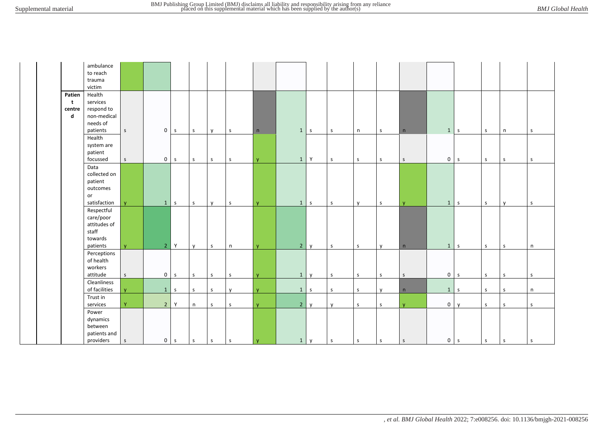|                       | ambulance<br>to reach<br>trauma<br>victim                               |              |                     |              |              |              |              |              |                |              |              |              |              |              |                |   |              |              |              |
|-----------------------|-------------------------------------------------------------------------|--------------|---------------------|--------------|--------------|--------------|--------------|--------------|----------------|--------------|--------------|--------------|--------------|--------------|----------------|---|--------------|--------------|--------------|
| Patien<br>t           | Health<br>services                                                      |              |                     |              |              |              |              |              |                |              |              |              |              |              |                |   |              |              |              |
| centre<br>$\mathbf d$ | respond to<br>non-medical<br>needs of<br>patients                       | S            | $\mathsf 0$         | $\mathsf{s}$ | $\mathsf S$  | $\mathsf{y}$ | $\mathsf{s}$ | n            | $\mathbf{1}$   | $\mathsf{s}$ | S            | n            | $\mathsf{S}$ | n            | $1 \mid s$     |   | $\mathsf S$  | n            | $\mathsf{s}$ |
|                       | Health<br>system are<br>patient<br>focussed                             | S            | $\mathsf 0$         | $\mathsf S$  | $\mathsf{S}$ | $\mathsf S$  | S            | <b>y</b>     | $\mathbf{1}$   | Y            | $\mathsf S$  | $\mathsf{s}$ | S            | $\mathsf{S}$ | 0              | s | $\mathsf S$  | $\mathsf{s}$ | <sub>S</sub> |
|                       | Data<br>collected on<br>patient<br>outcomes<br>or<br>satisfaction       | <b>V</b>     | $\mathbf{1}$        | $\mathsf{s}$ | S            | $\mathsf{v}$ | S            | $\mathsf{V}$ | $\mathbf{1}$   | S            | S            | $\mathsf{v}$ | S            | $\mathsf{V}$ | $1 \mid s$     |   | $\mathsf S$  | $\mathsf{v}$ | $\mathsf{s}$ |
|                       | Respectful<br>care/poor<br>attitudes of<br>staff<br>towards<br>patients | $\mathbf{V}$ | $\overline{2}$      | Y            | $\mathsf{v}$ | $\mathsf{s}$ | n            | $\mathbf{V}$ | 2 <sup>7</sup> | $\mathsf{v}$ | $\mathsf{s}$ | $\mathsf{s}$ | $\mathsf{V}$ | n            | $1 \vert s$    |   | $\mathsf{s}$ | $\mathsf{s}$ | n            |
|                       | Perceptions<br>of health<br>workers<br>attitude                         | $\mathsf{S}$ | $\mathsf{O}\xspace$ | $\mathsf S$  | $\mathsf S$  | $\mathsf{s}$ | $\mathsf{s}$ | <b>y</b>     | $\mathbf{1}$   | y            | $\mathsf{s}$ | S            | $\sf S$      | S            | $0 \mid s$     |   | $\mathsf S$  | $\mathsf{s}$ | $\mathsf S$  |
|                       | Cleanliness<br>of facilities                                            | <b>V</b>     | $\mathbf{1}$        | $\mathsf S$  | $\mathsf{s}$ | $\mathsf{s}$ | $\mathsf{v}$ | v.           | $\mathbf{1}$   | s            | $\mathsf{s}$ | $\mathsf{s}$ | $\mathsf{v}$ | n            | $1 \mid s$     |   | $\sf S$      | $\mathsf{s}$ | n            |
|                       | Trust in<br>services                                                    | Y            | $\overline{2}$      | Y            | n            | $\mathsf{s}$ | $\mathsf{s}$ | $\mathbf{V}$ | 2 <sup>1</sup> | $\mathsf{v}$ | $\mathsf{v}$ | $\mathsf{s}$ | $\mathsf{s}$ | $\mathbf{V}$ | $\overline{0}$ | y | $\sf S$      | $\mathsf{s}$ | $\mathsf{s}$ |
|                       | Power<br>dynamics<br>between<br>patients and<br>providers               | $\mathsf{s}$ | $\mathbf 0$         | $\mathsf S$  | $\mathsf{s}$ | ${\sf s}$    | s            | $\mathbf{v}$ | 1              | y            | $\mathsf{s}$ | $\mathsf S$  | $\mathsf S$  | $\mathsf S$  | $0 \mid s$     |   | $\mathsf S$  | ${\sf S}$    | $\mathsf{s}$ |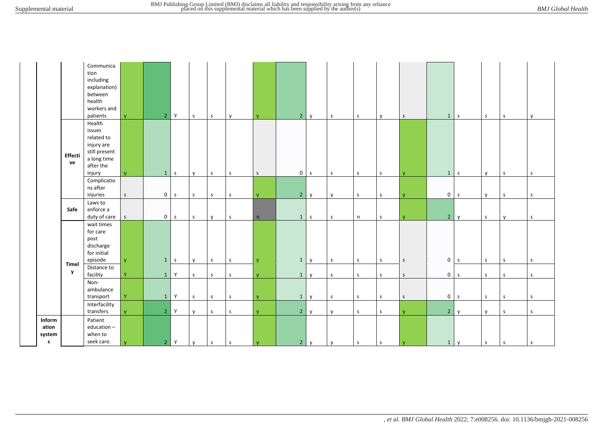|                                           |               | Communica<br>tion<br>including<br>explanation)<br>between<br>health<br>workers and<br>patients      | $\mathbf{V}$ | $\overline{2}$ | Y          | $\mathsf{s}$ | $\mathsf{s}$ | $\mathsf{v}$ | <b>y</b>     | $2^{\circ}$    | y            | S            | S           | <b>V</b>     | $\mathsf{S}$ | $1 \mid s$     |              | $\mathsf S$  | S            | $\mathsf{v}$ |
|-------------------------------------------|---------------|-----------------------------------------------------------------------------------------------------|--------------|----------------|------------|--------------|--------------|--------------|--------------|----------------|--------------|--------------|-------------|--------------|--------------|----------------|--------------|--------------|--------------|--------------|
|                                           | Effecti<br>ve | Health<br>issues<br>related to<br>injury are<br>still present<br>a long time<br>after the<br>injury | $\mathbf{v}$ |                | $1 \mid s$ | $\mathsf{v}$ | $\mathsf S$  | S            | $\mathsf S$  | $\mathbf 0$    | $\mathsf S$  | S            | $\mathsf S$ | $\mathsf{s}$ | $\mathbf{V}$ | $1 \mid s$     |              | $\mathsf{v}$ | S            | $\mathsf{s}$ |
|                                           |               | Complicatio<br>ns after<br>injuries                                                                 | $\mathsf{S}$ | $\mathbf{0}$   | s          | $\mathsf S$  | $\sf S$      | $\mathsf{S}$ | $\mathbf{V}$ | $2^{\circ}$    | $\mathsf{y}$ | y            | $\mathsf S$ | $\mathsf S$  | $\mathbf{V}$ | $\overline{0}$ | l s          | y            | $\mathsf{s}$ | $\sf S$      |
|                                           | Safe          | Laws to<br>enforce a<br>duty of care $\left  \right $ s                                             |              | $\overline{0}$ | s          | $\mathsf{s}$ | $\mathsf{v}$ | $\mathsf{s}$ | n            | 1              | $\mathsf{s}$ | $\mathsf S$  | $\sf n$     | $\mathsf{s}$ | $\mathbf{v}$ | $2^{\circ}$    | $\mathsf{v}$ | $\mathsf S$  | $\mathsf{V}$ | $\mathsf{s}$ |
|                                           |               | wait times<br>for care<br>post<br>discharge<br>for initial<br>episode                               | $\mathsf{y}$ | $1 \,$ s       |            | y            | $\mathsf S$  | S            | <b>y</b>     | $\mathbf{1}$   | $\mathsf{y}$ | $\mathsf{s}$ | $\mathsf S$ | $\mathsf{s}$ | $\mathsf{S}$ | $0 \mid s$     |              | $\mathsf{s}$ | $\mathsf{s}$ | $\mathsf{s}$ |
|                                           | Timel<br>y    | Distance to<br>facility                                                                             | Y            | 1              | Y          | $\mathsf S$  | $\mathsf{s}$ | $\mathsf{S}$ | y            | $\mathbf{1}$   | y            | $\mathsf{s}$ | $\mathsf S$ | S            | $\mathsf S$  | $\overline{0}$ | $\mathsf{s}$ | $\mathsf S$  | $\mathsf S$  | $\sf S$      |
|                                           |               | Non-<br>ambulance<br>transport                                                                      | Y            | 1              | Y          | $\mathsf{S}$ | $\sf S$      | S            | $\mathsf{V}$ | $\mathbf{1}$   | $\mathsf{v}$ | $\mathsf{s}$ | $\mathsf S$ | $\mathsf S$  | $\mathsf{S}$ | $\mathbf 0$    | $\mathsf{s}$ | $\mathsf S$  | $\mathsf S$  | $\mathsf{s}$ |
|                                           |               | Interfacility<br>transfers                                                                          | $\mathbf{y}$ | $\overline{2}$ | Y          | $\mathsf{v}$ | $\mathsf{s}$ | $\mathsf{s}$ | <b>y</b>     | 2 <sup>7</sup> | y            | y            | $\sf S$     | $\mathsf{S}$ | $\mathbf{v}$ | $2^{\circ}$    | $\mathbf{v}$ | $\mathsf{v}$ | $\mathsf{s}$ | $\sf S$      |
| Inform<br>ation<br>system<br>$\mathsf{s}$ |               | Patient<br>education-<br>when to<br>seek care.                                                      | $\mathbf{y}$ | 2 <sup>1</sup> | Y          | y            | $\mathsf S$  | $\mathsf S$  | $\mathbf{y}$ | $\overline{2}$ | y            | y            | $\mathsf S$ | S            | $\mathbf{y}$ | $1 \mid y$     |              | $\mathsf S$  | $\mathsf S$  | $\mathsf S$  |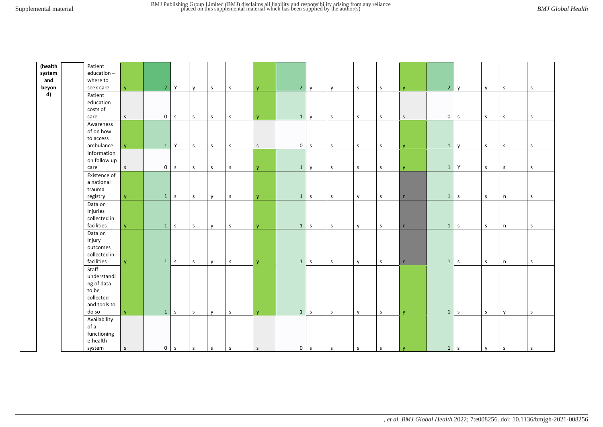| (health       |                        |                |                |              |              |              |              |              |                                |              |              |              |              |                |                 |              |              |              |
|---------------|------------------------|----------------|----------------|--------------|--------------|--------------|--------------|--------------|--------------------------------|--------------|--------------|--------------|--------------|----------------|-----------------|--------------|--------------|--------------|
|               | Patient                |                |                |              |              |              |              |              |                                |              |              |              |              |                |                 |              |              |              |
| system<br>and | education-<br>where to |                |                |              |              |              |              |              |                                |              |              |              |              |                |                 |              |              |              |
|               |                        |                |                |              |              |              |              |              |                                |              |              |              |              |                |                 |              |              |              |
| beyon         | seek care.             | $\mathbf{v}$   | 2 <sup>1</sup> | Y            | $\mathsf{v}$ | S            | $\mathsf{s}$ | $\mathsf{V}$ | 2 y                            | $\mathsf{v}$ | $\mathsf{s}$ | S            | $\mathbf{v}$ | $\overline{2}$ | $\mathsf{I}$ v  | $\mathsf{v}$ | S            | $\mathsf{s}$ |
| d)            | Patient                |                |                |              |              |              |              |              |                                |              |              |              |              |                |                 |              |              |              |
|               | education              |                |                |              |              |              |              |              |                                |              |              |              |              |                |                 |              |              |              |
|               | costs of               |                |                |              |              |              |              |              |                                |              |              |              |              |                |                 |              |              |              |
|               | care                   | $\mathsf S$    | $\mathbf 0$    | $\mathsf S$  | $\mathsf S$  | $\mathsf{s}$ | S            | V.           | $\mathbf{1}$<br>$\mathsf{v}$   | S            | S            | S            | $\mathsf S$  | 0              | S               | $\sf S$      | S            | S            |
|               | Awareness              |                |                |              |              |              |              |              |                                |              |              |              |              |                |                 |              |              |              |
|               | of on how              |                |                |              |              |              |              |              |                                |              |              |              |              |                |                 |              |              |              |
|               | to access              |                |                |              |              |              |              |              |                                |              |              |              |              |                |                 |              |              |              |
|               | ambulance              | $\overline{M}$ | $\mathbf{1}$   | Y            | s            | $\mathsf{s}$ | $\sf S$      | $\mathsf S$  | $\overline{0}$<br>$\mathsf{s}$ | S            | $\mathsf S$  | S            | $\mathbf v$  | $\mathbf{1}$   | $\mathsf{v}$    | $\sf S$      | $\mathsf{s}$ | $\mathsf{s}$ |
|               | Information            |                |                |              |              |              |              |              |                                |              |              |              |              |                |                 |              |              |              |
|               | on follow up           |                |                |              |              |              |              |              |                                |              |              |              |              |                |                 |              |              |              |
|               | care                   | $\mathsf S$    | $\mathbf 0$    | S            | $\sf S$      | S            | $\mathsf S$  | <b>y</b>     | $\mathbf{1}$<br>$\mathsf{v}$   | $\mathsf{s}$ | $\mathsf{s}$ | $\mathsf{s}$ | $\mathsf{V}$ | $\mathbf{1}$   | Y               | $\sf S$      | S            | $\mathsf{s}$ |
|               | Existence of           |                |                |              |              |              |              |              |                                |              |              |              |              |                |                 |              |              |              |
|               | a national             |                |                |              |              |              |              |              |                                |              |              |              |              |                |                 |              |              |              |
|               | trauma                 |                |                |              |              |              |              |              |                                |              |              |              |              |                |                 |              |              |              |
|               | registry               | $\mathbf{v}$   | 1              | S            | s            | $\mathsf{v}$ | S            | $\mathbf{V}$ | 1<br>S                         | S            | $\mathsf{V}$ | S            | n            |                | $1 \mid s$      | $\mathsf{s}$ | n            | $\mathsf{s}$ |
|               | Data on                |                |                |              |              |              |              |              |                                |              |              |              |              |                |                 |              |              |              |
|               | injuries               |                |                |              |              |              |              |              |                                |              |              |              |              |                |                 |              |              |              |
|               | collected in           |                |                |              |              |              |              |              |                                |              |              |              |              |                |                 |              |              |              |
|               | facilities             | $\mathbf{V}$   | $\mathbf{1}$   | $\mathsf{s}$ | $\sf S$      | $\mathsf{v}$ | $\sf S$      | <b>y</b>     | $\mathbf{1}$<br>$\mathsf S$    | S            | $\mathsf{v}$ | S            | n            | $\mathbf{1}$   | S               | $\sf S$      | n            | $\mathsf{s}$ |
|               | Data on                |                |                |              |              |              |              |              |                                |              |              |              |              |                |                 |              |              |              |
|               | injury                 |                |                |              |              |              |              |              |                                |              |              |              |              |                |                 |              |              |              |
|               | outcomes               |                |                |              |              |              |              |              |                                |              |              |              |              |                |                 |              |              |              |
|               | collected in           |                |                |              |              |              |              |              |                                |              |              |              |              |                |                 |              |              |              |
|               | facilities             | $\mathbf{V}$   | 1              | S            | $\sf S$      | $\mathsf{v}$ | $\sf S$      |              | 1<br>$\mathsf{s}$              | $\mathsf{s}$ | $\mathsf{v}$ | S.           | n            | $\mathbf{1}$   | $\vert s \vert$ | $\sf S$      |              | s            |
|               | Staff                  |                |                |              |              |              |              | <b>y</b>     |                                |              |              |              |              |                |                 |              | n            |              |
|               | understandi            |                |                |              |              |              |              |              |                                |              |              |              |              |                |                 |              |              |              |
|               |                        |                |                |              |              |              |              |              |                                |              |              |              |              |                |                 |              |              |              |
|               | ng of data             |                |                |              |              |              |              |              |                                |              |              |              |              |                |                 |              |              |              |
|               | to be                  |                |                |              |              |              |              |              |                                |              |              |              |              |                |                 |              |              |              |
|               | collected              |                |                |              |              |              |              |              |                                |              |              |              |              |                |                 |              |              |              |
|               | and tools to           |                |                |              |              |              |              |              |                                |              |              |              |              |                |                 |              |              |              |
|               | do so                  | $\mathbf{V}$   | 1              | S            | $\mathsf S$  | $\mathsf{v}$ | $\mathsf S$  | <b>y</b>     | 1<br>S                         | $\mathsf{s}$ | $\mathsf{y}$ | S            | $\mathbf{V}$ |                | $1 \mid s$      | $\sf S$      | $\mathsf{v}$ | $\mathsf S$  |
|               | Availability           |                |                |              |              |              |              |              |                                |              |              |              |              |                |                 |              |              |              |
|               | of a                   |                |                |              |              |              |              |              |                                |              |              |              |              |                |                 |              |              |              |
|               | functioning            |                |                |              |              |              |              |              |                                |              |              |              |              |                |                 |              |              |              |
|               | e-health               |                |                |              |              |              |              |              |                                |              |              |              |              |                |                 |              |              |              |
|               | system                 | $\mathsf S$    | $\overline{0}$ | $\mathsf{s}$ | $\mathsf{s}$ | S            | $\mathsf S$  | S            | 0 <sub>s</sub>                 | S            | $\mathsf S$  | S            | l y          |                | $1 \mid s$      | $\mathsf{y}$ | l s          | S            |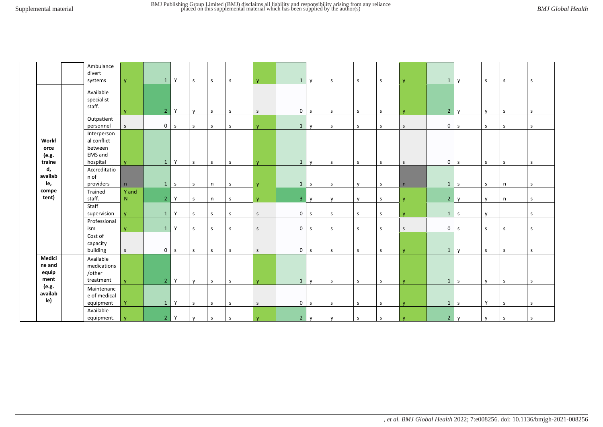|                                  | Ambulance<br>divert<br>systems                               | $\mathbf{V}$ | $\mathbf{1}$   | Y           | $\mathsf{s}$ | S            | $\mathsf{s}$ | <b>y</b>     | 1              | <b>V</b>     | S            | $\mathsf{s}$ | S            | $\mathbf{v}$ | $\mathbf{1}$   | <b>V</b>                 | $\mathsf S$  | $\mathsf{s}$ | $\mathsf{s}$ |
|----------------------------------|--------------------------------------------------------------|--------------|----------------|-------------|--------------|--------------|--------------|--------------|----------------|--------------|--------------|--------------|--------------|--------------|----------------|--------------------------|--------------|--------------|--------------|
|                                  | Available<br>specialist<br>staff.                            | $\mathbf{V}$ | 2 <sup>1</sup> | Y           | y            | <sub>S</sub> | S            | $\mathsf S$  | 0              | <sub>S</sub> | S.           | S.           | S.           | $\mathbf{v}$ | $\overline{2}$ | y                        | y            | S            | <sub>S</sub> |
|                                  | Outpatient<br>personnel                                      | $\mathsf S$  | $\mathbf 0$    | s           | s            | $\mathsf S$  | s            | v            | $\mathbf{1}$   | $\mathsf{v}$ | $\mathsf{s}$ | S            | $\mathsf S$  | $\mathsf S$  | 0              | s                        | s            | $\mathsf{s}$ | $\mathsf{s}$ |
| Workf<br>orce<br>(e.g.<br>traine | Interperson<br>al conflict<br>between<br>EMS and<br>hospital | $\mathbf{v}$ | $\mathbf{1}$   | Y           | $\sf S$      | $\mathsf{s}$ | $\sf S$      | $\mathbf{V}$ | $\mathbf{1}$   | $\mathsf{v}$ | $\mathsf{s}$ | $\mathsf{s}$ | $\mathsf{s}$ | S            | 0              | $\vert s \vert$          | $\sf S$      | S            | s            |
| d,<br>availab<br>le,             | Accreditatio<br>n of<br>providers                            | n            | $\mathbf{1}$   | $\mathsf S$ | s            | n            | S            | y            | $\mathbf{1}$   | $\mathsf{s}$ | S.           | y            | S            | n            | $\mathbf{1}$   | S.                       | $\mathsf S$  | n            | s            |
| compe<br>tent)                   | Trained<br>staff.                                            | Y and<br>N   | 2 <sup>1</sup> | Y           | s            | n            | S            | <b>y</b>     | $\overline{3}$ | <b>V</b>     | $\mathsf{v}$ | $\mathsf{v}$ | S            | $\mathbf{v}$ | $2^{\circ}$    | $\mathsf{v}$             | $\mathsf{V}$ | n            | s            |
|                                  | Staff<br>supervision                                         | $\mathbf{v}$ | $\mathbf{1}$   | Y           | s            | S            | S            | $\mathsf{S}$ | 0              | $\mathsf{s}$ | $\mathsf{s}$ | $\mathsf{s}$ | $\mathsf{S}$ | $\mathsf{V}$ | $\mathbf{1}$   | $\mathsf{S}$             | $\mathsf{v}$ |              | S            |
|                                  | Professional<br>ism                                          | $\mathbf{v}$ | $\mathbf{1}$   | Y           | S            | $\mathsf{s}$ | $\mathsf{s}$ | $\mathsf{S}$ | $\overline{0}$ | s            | s.           | $\mathsf{s}$ | <sub>S</sub> | S            | 0              | $\overline{\phantom{a}}$ | $\mathsf{s}$ | s.           | s            |
|                                  | Cost of<br>capacity<br>building                              | $\mathsf S$  | $\mathbf 0$    | $\mathsf S$ | s            | $\mathsf S$  | s            | $\mathsf{s}$ | 0              | <sub>S</sub> | $\mathsf{S}$ | $\mathsf S$  | S            | $\mathsf{v}$ | $\mathbf{1}$   | $\mathsf{v}$             | $\mathsf S$  | $\mathsf{s}$ | $\mathsf{s}$ |
| Medici<br>ne and<br>equip        | Available<br>medications<br>/other                           |              |                |             |              |              |              |              |                |              |              |              |              |              |                |                          |              |              |              |
| ment<br>(e.g.                    | treatment<br>Maintenanc                                      | $\mathbf{v}$ | 2 <sup>1</sup> | Y           | $\mathsf{v}$ | $\mathsf{s}$ | $\sf S$      | $\mathbf{y}$ | 1              | <b>V</b>     | $\mathsf{s}$ | $\mathsf S$  | $\mathsf S$  | $\mathbf{V}$ | $\mathbf{1}$   | $\vert s \vert$          | y            | $\mathsf{s}$ | s            |
| availab<br>le)                   | e of medical<br>equipment                                    | Y            | 1              | Y           | s            | S            | S            | $\mathsf{S}$ | $\overline{0}$ | S.           | S.           | S            | S.           | $\mathsf{V}$ | $\mathbf{1}$   | <sub>S</sub>             | Y            | <sub>S</sub> | s            |
|                                  | Available<br>equipment.                                      | v            | 2 <sup>1</sup> | Υ           | y            | $\mathsf{s}$ | ${\sf S}$    | $\mathbf{v}$ | $\overline{2}$ | y            | $\mathsf{V}$ | $\mathsf S$  | S            | $\mathbf v$  | $\overline{2}$ | $\mathsf{v}$             | $\mathsf{v}$ | $\mathsf{s}$ | $\mathsf S$  |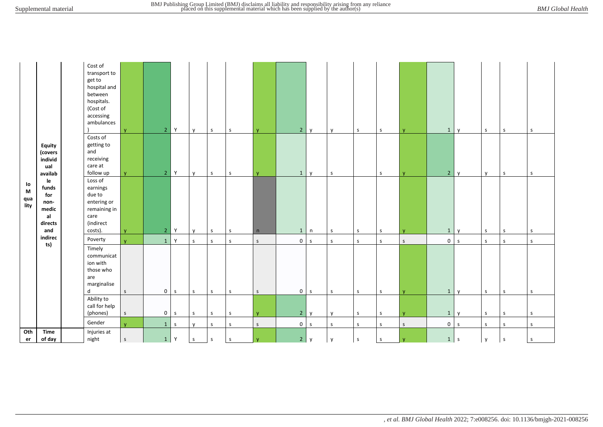|                                                |                                                             | Cost of<br>transport to<br>get to<br>hospital and<br>between<br>hospitals.<br>(Cost of<br>accessing<br>ambulances | $\mathbf{V}$ | 2 <sup>1</sup> | Y            | $\mathsf{v}$ | $\mathsf{s}$ | s            | $\mathbf{V}$ | 2 y            |              | V            | $\mathsf S$  | S            | $\mathbf v$  | $\mathbf{1}$   | $\mathsf{v}$ | S            | S            | S            |
|------------------------------------------------|-------------------------------------------------------------|-------------------------------------------------------------------------------------------------------------------|--------------|----------------|--------------|--------------|--------------|--------------|--------------|----------------|--------------|--------------|--------------|--------------|--------------|----------------|--------------|--------------|--------------|--------------|
|                                                | <b>Equity</b><br>(covers<br>individ<br>ual<br>availab       | Costs of<br>getting to<br>and<br>receiving<br>care at<br>follow up                                                | <b>V</b>     | $\overline{2}$ | Y            | $\mathsf{v}$ | $\mathsf{s}$ | $\sf S$      | <b>y</b>     | 1              | y            | $\mathsf{s}$ |              | S            | $\mathbf v$  | 2 <sup>1</sup> | $\mathsf{v}$ | <b>y</b>     | $\mathsf{s}$ | $\mathsf{s}$ |
| lo<br>$\boldsymbol{\mathsf{M}}$<br>qua<br>lity | le<br>funds<br>for<br>non-<br>medic<br>al<br>directs<br>and | Loss of<br>earnings<br>due to<br>entering or<br>remaining in<br>care<br>(indirect<br>costs).                      | $\mathbf{V}$ | 2 <sup>1</sup> | Y            | $\mathsf{v}$ | $\mathsf{s}$ | $\mathsf{s}$ | n            | 1              | n            | S            | s            | $\mathsf{S}$ | $\mathsf{v}$ | $\mathbf{1}$   | $\mathsf{v}$ | S            | $\mathsf{s}$ | $\mathsf{s}$ |
|                                                | indirec                                                     | Poverty                                                                                                           | $\mathbf{v}$ | $\mathbf{1}$   | Y            | $\mathsf{s}$ | $\mathsf{s}$ | s            | $\mathsf{S}$ | $\overline{0}$ | $\mathsf S$  | $\mathsf{s}$ | $\mathsf{s}$ | $\mathsf{s}$ | $\mathsf{S}$ | $\overline{0}$ | $\mathsf S$  | $\mathsf{s}$ | S            | S            |
|                                                | ts)                                                         | Timely<br>communicat<br>ion with<br>those who<br>are<br>marginalise<br>d                                          | S            | $\overline{0}$ | $\mathsf{s}$ | $\mathsf{s}$ | $\mathsf{s}$ | S            | $\mathsf S$  | $\overline{0}$ | $\mathsf{S}$ | $\mathsf{s}$ | s            | S            |              | 1              | $\mathsf{V}$ | S            | <b>S</b>     | $\mathsf{s}$ |
|                                                |                                                             | Ability to<br>call for help<br>(phones)                                                                           | $\mathsf S$  | $\overline{0}$ | $\mathsf{s}$ | $\mathsf{s}$ | $\mathsf{s}$ | $\mathsf S$  | $\mathbf{V}$ | 2 y            |              | $\mathsf{v}$ | $\mathsf S$  | $\mathsf{s}$ | $\mathbf{v}$ | $\mathbf{1}$   | $\mathsf{v}$ | S            | $\mathsf{s}$ | $\mathsf{s}$ |
|                                                |                                                             | Gender                                                                                                            | $\mathbf{v}$ | $\mathbf{1}$   | $\mathsf{s}$ | $\mathsf{y}$ | $\sf S$      | $\mathsf S$  | $\mathsf S$  | $\overline{0}$ | $\mathsf S$  | $\mathsf{s}$ | $\mathsf S$  | $\mathsf S$  | $\mathsf{S}$ | 0 <sub>s</sub> |              | $\mathsf{s}$ | S            | $\mathsf{s}$ |
| Oth<br>er                                      | <b>Time</b><br>of day                                       | Injuries at<br>night                                                                                              | $\mathsf S$  | 1              | Y            | $\mathsf{s}$ | $\mathsf S$  | $\mathsf S$  | V            | 2 <sup>1</sup> | y            | $\mathbf{v}$ | $\mathsf S$  | $\mathsf{s}$ | v            | 1              | $\mathsf S$  | $\mathsf{v}$ | $\mathsf S$  | $\mathsf S$  |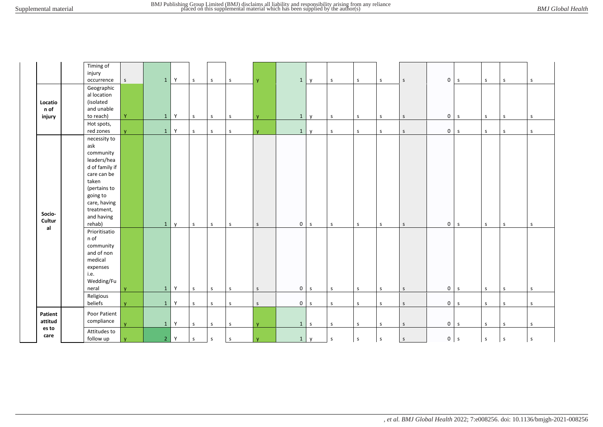|                           | Timing of<br>injury<br>occurrence                                                                                                                                           | $\mathsf S$  | $\mathbf{1}$   | Y            | $\mathsf{s}$ | $\mathsf{s}$ | S       | <b>y</b>     |                | $1 \mid y$   | $\mathsf{s}$ | S            | S            | S            | $\overline{0}$ | S            | S            | $\mathsf{s}$ | $\mathsf{s}$ |
|---------------------------|-----------------------------------------------------------------------------------------------------------------------------------------------------------------------------|--------------|----------------|--------------|--------------|--------------|---------|--------------|----------------|--------------|--------------|--------------|--------------|--------------|----------------|--------------|--------------|--------------|--------------|
| Locatio<br>n of<br>injury | Geographic<br>al location<br>(isolated<br>and unable<br>to reach)                                                                                                           | Ÿ            | $\mathbf{1}$   | Y            | $\mathsf S$  | $\mathsf{s}$ | $\sf S$ | <b>y</b>     | 1              | $\mathbf{y}$ | $\mathsf{s}$ | $\mathsf S$  | $\mathsf S$  | $\mathsf S$  | $\mathsf 0$    | $\mathsf{s}$ | $\mathsf S$  | $\mathsf{s}$ | $\sf S$      |
|                           | Hot spots,<br>red zones                                                                                                                                                     | v            | $\mathbf{1}$   | Y            | $\mathsf{s}$ | $\mathsf{S}$ | $\sf S$ | v.           |                | $1 \mid y$   | S            | $\mathsf S$  | S            | $\mathsf S$  | $\overline{0}$ | $\mathsf{s}$ | $\mathsf{s}$ | $\mathsf{s}$ | $\mathsf{S}$ |
| Socio-<br>Cultur          | necessity to<br>ask<br>community<br>leaders/hea<br>d of family if<br>care can be<br>taken<br>(pertains to<br>going to<br>care, having<br>treatment,<br>and having<br>rehab) |              | $\mathbf{1}$   | $\mathsf{v}$ | S            | S            | S       | $\mathsf{S}$ |                | $0 \mid s$   | $\mathsf S$  | S            | S            | $\mathsf S$  | $\mathsf 0$    | $\mathsf{s}$ | S            | <sub>S</sub> | $\mathsf{S}$ |
| al                        | Prioritisatio<br>n of<br>community<br>and of non<br>medical<br>expenses<br>i.e.<br>Wedding/Fu<br>neral                                                                      | $\mathbf{V}$ | $\mathbf{1}$   | Y            | $\mathsf{s}$ | $\mathsf{s}$ | $\sf S$ | $\mathsf{S}$ | $\overline{0}$ | S            | $\mathsf S$  | $\mathsf{s}$ | $\mathsf S$  | $\mathsf S$  | $\mathsf 0$    | $\mathsf{S}$ | $\mathsf{s}$ | $\mathsf S$  | $\mathsf{s}$ |
|                           | Religious<br>beliefs                                                                                                                                                        | v.           | $\mathbf 1$    | Y            | $\mathsf S$  | $\mathsf{s}$ | S       | $\mathsf{S}$ |                | $0 \mid s$   | S            | S            | S            | S            |                | $0 \mid s$   | S            | $\mathsf{s}$ | $\mathsf{s}$ |
| Patient<br>attitud        | Poor Patient<br>compliance                                                                                                                                                  | $\mathbf{v}$ | $\mathbf 1$    | Y            | $\mathsf{s}$ | $\mathsf{s}$ | $\sf S$ | <b>V</b>     |                | $1 \mid s$   | $\mathsf S$  | $\mathsf{s}$ | $\mathsf{S}$ | $\mathsf S$  |                | $0 \mid s$   | $\mathsf S$  | $\mathsf{S}$ | S            |
| es to<br>care             | Attitudes to<br>follow up                                                                                                                                                   |              | 2 <sup>1</sup> | $\mathsf{Y}$ | $\mathsf{s}$ | $\mathsf{s}$ | $\sf S$ | $\mathbf{V}$ |                | $1 \mid y$   | $\mathsf{s}$ | $\mathsf S$  | $\mathsf S$  | $\mathsf{s}$ | $\overline{0}$ | $\mathsf{s}$ | $\mathsf{s}$ | $\mathsf{s}$ | $\sf S$      |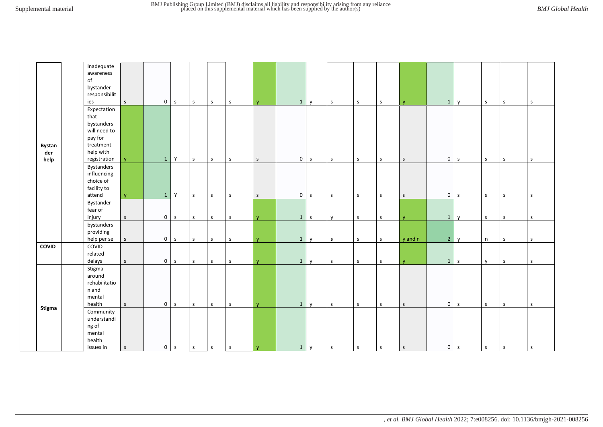|                              | Inadequate<br>awareness<br>of<br>bystander<br>responsibilit<br>ies                                     | $\mathsf S$  | $\mathsf{O}$        | $\mathsf{s}$ | s            | S            | $\sf S$     | $\mathbf{V}$ | 1              | $\mathsf{y}$ | $\sf S$      | S            | $\mathsf S$  | $\mathbf{V}$ | $\mathbf{1}$ | $\mathsf{v}$ | $\mathsf{S}$ | S            | S           |
|------------------------------|--------------------------------------------------------------------------------------------------------|--------------|---------------------|--------------|--------------|--------------|-------------|--------------|----------------|--------------|--------------|--------------|--------------|--------------|--------------|--------------|--------------|--------------|-------------|
| <b>Bystan</b><br>der<br>help | Expectation<br>that<br>bystanders<br>will need to<br>pay for<br>treatment<br>help with<br>registration | $\mathbf{v}$ | $\mathbf{1}$        | Y            | $\mathsf S$  | $\mathsf S$  | ${\sf S}$   | $\mathsf S$  | 0 <sub>s</sub> |              | $\mathsf{S}$ | $\mathsf{S}$ | $\mathsf S$  | S            | $\mathbf 0$  | S            | $\mathsf{S}$ | S            | S           |
|                              | <b>Bystanders</b><br>influencing<br>choice of<br>facility to<br>attend                                 | $\mathbf{V}$ | $\mathbf{1}$        | Y            | $\mathsf S$  | $\mathsf S$  | ${\sf S}$   | $\mathsf S$  | $0 \mid s$     |              | $\sf S$      | $\mathsf S$  | $\mathsf S$  | $\mathsf S$  | $\mathbf 0$  | $\mathsf S$  | $\mathsf{S}$ | $\mathsf S$  | s           |
|                              | Bystander<br>fear of<br>injury                                                                         | S            | $\mathbf 0$         | $\mathsf S$  | $\mathsf S$  | $\mathsf S$  | ${\sf S}$   | $\mathbf{V}$ | 1              | $\mathsf S$  | $\mathsf{v}$ | $\mathsf S$  | $\mathsf S$  | $\mathsf{V}$ | $\mathbf{1}$ | $\mathsf{v}$ | $\mathsf{S}$ | $\mathsf S$  | $\sf S$     |
|                              | bystanders<br>providing<br>help per se                                                                 | $\mathsf S$  | $\mathsf{O}\xspace$ | $\mathsf S$  | $\mathsf S$  | $\mathsf{s}$ | $\sf S$     | <b>y</b>     | $\mathbf{1}$   | $\mathsf{v}$ | s            | $\mathsf S$  | $\mathsf S$  | y and n      | $2^{\circ}$  | $\mathsf{y}$ | n            | $\mathsf S$  | $\sf S$     |
| <b>COVID</b>                 | COVID<br>related<br>delays                                                                             | $\mathsf{S}$ | $\mathsf{O}$        | $\mathsf S$  | $\mathsf S$  | $\mathsf{s}$ | $\sf S$     | <b>y</b>     | 1              | $\mathsf{v}$ | $\sf S$      | $\mathsf S$  | $\mathsf S$  | $\mathbf{V}$ |              | $1 \mid s$   | $\mathsf{v}$ | $\mathsf S$  | $\sf S$     |
|                              | Stigma<br>around<br>rehabilitatio<br>n and<br>mental<br>health                                         | $\mathsf{S}$ | $\mathbf 0$         | $\mathsf{s}$ | $\mathsf{s}$ | $\mathsf{S}$ | $\sf S$     | <b>V</b>     | 1              | $\mathsf{v}$ | $\sf S$      | $\mathsf{s}$ | $\mathsf S$  | $\mathsf S$  | $\mathbf 0$  | $\mathsf{s}$ | $\mathsf{S}$ | $\mathsf{s}$ | $\sf S$     |
| Stigma                       | Community<br>understandi<br>ng of<br>mental<br>health<br>issues in                                     | $\mathsf S$  | $\mathsf{O}\xspace$ | $\mathsf{s}$ | $\mathsf S$  | S            | $\mathsf S$ | <b>y</b>     | $1 \mid y$     |              | $\mathsf S$  | $\mathsf S$  | $\mathsf{s}$ | $\mathsf S$  | $\mathbf{0}$ | $\mathsf S$  | ${\sf S}$    | $\mathsf S$  | $\mathsf S$ |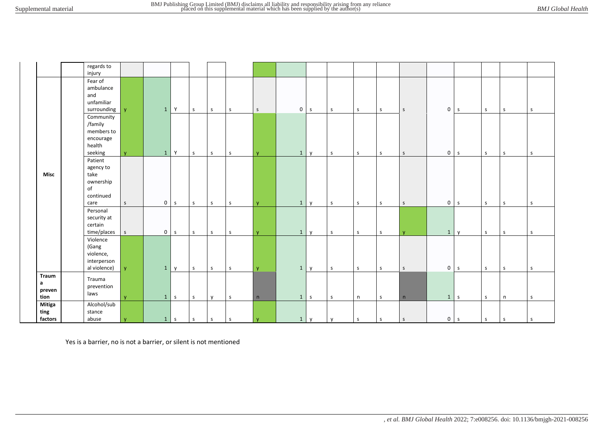|           |                   | regards to<br>injury                                                 |          |                |             |             |              |              |              |              |              |              |              |             |             |                |              |              |              |              |
|-----------|-------------------|----------------------------------------------------------------------|----------|----------------|-------------|-------------|--------------|--------------|--------------|--------------|--------------|--------------|--------------|-------------|-------------|----------------|--------------|--------------|--------------|--------------|
|           |                   | Fear of<br>ambulance<br>and<br>unfamiliar<br>surrounding             | V.       | 1              | Y           | $\mathsf S$ | $\mathsf{s}$ | $\mathsf{s}$ | $\mathsf{s}$ |              | $0 \mid s$   | $\mathsf S$  | S            | S           | $\mathsf S$ | 0 <sub>s</sub> |              | <sub>S</sub> | $\mathsf{s}$ | $\mathsf{s}$ |
|           |                   | Community<br>/family<br>members to<br>encourage<br>health<br>seeking | <b>V</b> | $\mathbf{1}$   | Y           | s           | $\mathsf{S}$ | $\mathsf{s}$ | $\mathbf{V}$ | $\mathbf{1}$ | $\mathsf{v}$ | $\mathsf{s}$ | <sub>S</sub> | S           | $\mathsf S$ | 0 <sub>s</sub> |              | S            | S            | $\mathsf{s}$ |
|           | Misc              | Patient<br>agency to<br>take<br>ownership<br>of<br>continued<br>care | S        | 0 <sup>1</sup> | $\mathsf S$ | $\mathsf S$ | $\mathsf{s}$ | $\mathsf{s}$ | $\mathbf{v}$ | $\mathbf{1}$ | y            | $\mathsf S$  | $\mathsf{S}$ | $\mathsf S$ | $\mathsf S$ | $\overline{0}$ | $\mathsf S$  | $\mathsf{S}$ | $\mathsf{s}$ | $\mathsf{s}$ |
|           |                   | Personal<br>security at<br>certain<br>time/places                    | S        |                | $0 \mid s$  | $\mathsf S$ | $\mathsf{s}$ | $\mathsf{S}$ | $\mathbf{V}$ | $\mathbf{1}$ | $\mathsf{v}$ | $\mathsf{s}$ | S            | S           | <b>V</b>    | $\mathbf{1}$   | $\mathsf{v}$ | S            | S            | $\mathsf{s}$ |
|           |                   | Violence<br>(Gang<br>violence,<br>interperson<br>al violence)        | V.       |                | $1 \mid y$  | $\mathsf S$ | $\mathsf{s}$ | $\mathsf{s}$ | $\mathbf{v}$ | 1            | $\mathsf{y}$ | $\mathsf{s}$ | S            | S           | $\mathsf S$ | $0 \mid s$     |              | S            | $\mathsf{s}$ | $\mathsf{s}$ |
| a<br>tion | Traum<br>preven   | Trauma<br>prevention<br>laws                                         | <b>V</b> |                | $1 \mid s$  | $\mathsf S$ | y            | $\mathsf{s}$ | n            |              | $1 \mid s$   | $\mathsf S$  | n            | $\mathsf S$ | n           | $1 \quad s$    |              | S            | n            | S            |
| ting      | Mitiga<br>factors | Alcohol/sub<br>stance<br>abuse                                       |          | 1              | l s         | $\mathsf S$ | $\mathsf{s}$ | $\mathsf{s}$ | $\mathbf{V}$ | $\mathbf{1}$ | $\mathsf{y}$ | $\mathsf{v}$ | $\mathsf S$  | $\mathsf S$ | $\mathsf S$ | 0 <sub>s</sub> |              | $\mathsf{s}$ | $\mathsf S$  | $\mathsf S$  |

Yes is a barrier, no is not a barrier, or silent is not mentioned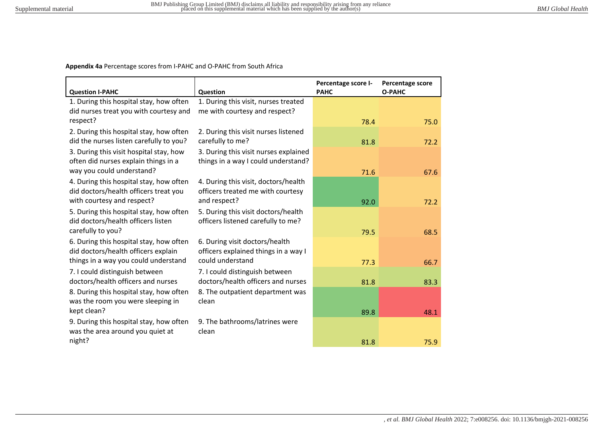**Appendix 4a** Percentage scores from I-PAHC and O-PAHC from South Africa

| <b>Question I-PAHC</b>                  | Question                              | Percentage score I-<br><b>PAHC</b> | Percentage score<br><b>O-PAHC</b> |
|-----------------------------------------|---------------------------------------|------------------------------------|-----------------------------------|
| 1. During this hospital stay, how often | 1. During this visit, nurses treated  |                                    |                                   |
| did nurses treat you with courtesy and  | me with courtesy and respect?         |                                    |                                   |
| respect?                                |                                       | 78.4                               | 75.0                              |
| 2. During this hospital stay, how often | 2. During this visit nurses listened  |                                    |                                   |
| did the nurses listen carefully to you? | carefully to me?                      | 81.8                               | 72.2                              |
| 3. During this visit hospital stay, how | 3. During this visit nurses explained |                                    |                                   |
| often did nurses explain things in a    | things in a way I could understand?   |                                    |                                   |
| way you could understand?               |                                       | 71.6                               | 67.6                              |
| 4. During this hospital stay, how often | 4. During this visit, doctors/health  |                                    |                                   |
| did doctors/health officers treat you   | officers treated me with courtesy     |                                    |                                   |
| with courtesy and respect?              | and respect?                          | 92.0                               | 72.2                              |
| 5. During this hospital stay, how often | 5. During this visit doctors/health   |                                    |                                   |
| did doctors/health officers listen      | officers listened carefully to me?    |                                    |                                   |
| carefully to you?                       |                                       | 79.5                               | 68.5                              |
| 6. During this hospital stay, how often | 6. During visit doctors/health        |                                    |                                   |
| did doctors/health officers explain     | officers explained things in a way I  |                                    |                                   |
| things in a way you could understand    | could understand                      | 77.3                               | 66.7                              |
| 7. I could distinguish between          | 7. I could distinguish between        |                                    |                                   |
| doctors/health officers and nurses      | doctors/health officers and nurses    | 81.8                               | 83.3                              |
| 8. During this hospital stay, how often | 8. The outpatient department was      |                                    |                                   |
| was the room you were sleeping in       | clean                                 |                                    |                                   |
| kept clean?                             |                                       | 89.8                               | 48.1                              |
| 9. During this hospital stay, how often | 9. The bathrooms/latrines were        |                                    |                                   |
| was the area around you quiet at        | clean                                 |                                    |                                   |
| night?                                  |                                       | 81.8                               | 75.9                              |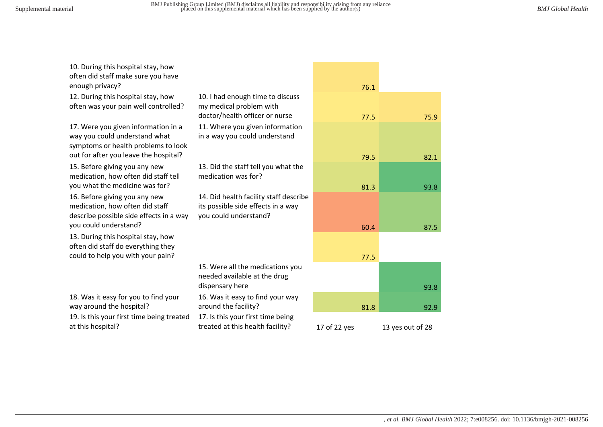10. During this hospital stay, how

| often did staff make sure you have                                                                                                                   |                                                                                                       |              |      |
|------------------------------------------------------------------------------------------------------------------------------------------------------|-------------------------------------------------------------------------------------------------------|--------------|------|
| enough privacy?                                                                                                                                      |                                                                                                       |              | 76.1 |
| 12. During this hospital stay, how<br>often was your pain well controlled?                                                                           | 10. I had enough time to discuss<br>my medical problem with<br>doctor/health officer or nurse         |              | 77.5 |
| 17. Were you given information in a<br>way you could understand what<br>symptoms or health problems to look<br>out for after you leave the hospital? | 11. Where you given information<br>in a way you could understand                                      |              |      |
|                                                                                                                                                      |                                                                                                       |              | 79.5 |
| 15. Before giving you any new<br>medication, how often did staff tell                                                                                | 13. Did the staff tell you what the<br>medication was for?                                            |              |      |
| you what the medicine was for?                                                                                                                       |                                                                                                       |              | 81.3 |
| 16. Before giving you any new<br>medication, how often did staff<br>describe possible side effects in a way<br>you could understand?                 | 14. Did health facility staff describe<br>its possible side effects in a way<br>you could understand? |              |      |
| 13. During this hospital stay, how<br>often did staff do everything they                                                                             |                                                                                                       |              | 60.4 |
| could to help you with your pain?                                                                                                                    |                                                                                                       |              | 77.5 |
|                                                                                                                                                      | 15. Were all the medications you<br>needed available at the drug<br>dispensary here                   |              |      |
| 18. Was it easy for you to find your<br>way around the hospital?                                                                                     | 16. Was it easy to find your way<br>around the facility?                                              |              | 81.8 |
| 19. Is this your first time being treated<br>at this hospital?                                                                                       | 17. Is this your first time being<br>treated at this health facility?                                 | 17 of 22 ves |      |

|                                                                                                       |              | 76.1 |                  |
|-------------------------------------------------------------------------------------------------------|--------------|------|------------------|
| 10. I had enough time to discuss<br>my medical problem with<br>doctor/health officer or nurse         |              | 77.5 | 75.9             |
| 11. Where you given information<br>in a way you could understand                                      |              |      |                  |
|                                                                                                       |              | 79.5 | 82.1             |
| 13. Did the staff tell you what the<br>medication was for?                                            |              |      |                  |
|                                                                                                       |              | 81.3 | 93.8             |
| 14. Did health facility staff describe<br>its possible side effects in a way<br>you could understand? |              |      |                  |
|                                                                                                       |              | 60.4 | 87.5             |
|                                                                                                       |              |      |                  |
|                                                                                                       |              | 77.5 |                  |
| 15. Were all the medications you<br>needed available at the drug<br>dispensary here                   |              |      |                  |
| 16. Was it easy to find your way                                                                      |              |      | 93.8             |
| around the facility?                                                                                  |              | 81.8 | 92.9             |
| 17. Is this your first time being<br>treated at this health facility?                                 | 17 of 22 yes |      | 13 yes out of 28 |

*, et al. BMJ Global Health* 2022; 7:e008256. doi: 10.1136/bmjgh-2021-008256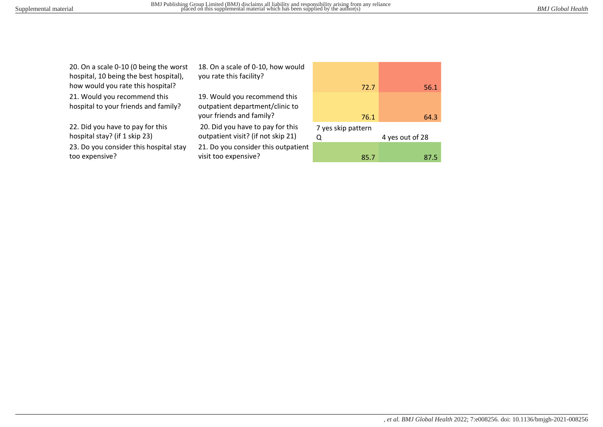20. On a scale 0-10 (0 being the worst hospital, 10 being the best hospital), how would you rate this hospital?

21. Would you recommend this hospital to your friends and family?

22. Did you have to pay for this hospital stay? (if 1 skip 23) 23. Do you consider this hospital stay too expensive?

18. On a scale of 0-10, how would you rate this facility?

19. Would you recommend this outpatient department/clinic to

 20. Did you have to pay for this outpatient visit? (if not skip 21) 21. Do you consider this outpatient visit too expensive?



| 7 yes skip pattern |                 |
|--------------------|-----------------|
|                    | 4 yes out of 28 |
|                    |                 |
| 85.7               | 87.5            |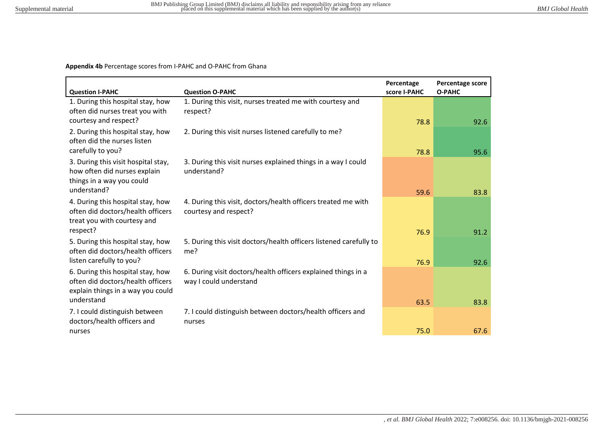# **Appendix 4b** Percentage scores from I-PAHC and O-PAHC from Ghana

| <b>Question I-PAHC</b>                                                                                            | <b>Question O-PAHC</b>                                                                  | Percentage<br>score I-PAHC | Percentage score<br><b>O-PAHC</b> |
|-------------------------------------------------------------------------------------------------------------------|-----------------------------------------------------------------------------------------|----------------------------|-----------------------------------|
| 1. During this hospital stay, how<br>often did nurses treat you with<br>courtesy and respect?                     | 1. During this visit, nurses treated me with courtesy and<br>respect?                   | 78.8                       | 92.6                              |
| 2. During this hospital stay, how<br>often did the nurses listen<br>carefully to you?                             | 2. During this visit nurses listened carefully to me?                                   | 78.8                       | 95.6                              |
| 3. During this visit hospital stay,<br>how often did nurses explain<br>things in a way you could<br>understand?   | 3. During this visit nurses explained things in a way I could<br>understand?            | 59.6                       | 83.8                              |
| 4. During this hospital stay, how<br>often did doctors/health officers<br>treat you with courtesy and<br>respect? | 4. During this visit, doctors/health officers treated me with<br>courtesy and respect?  | 76.9                       | 91.2                              |
| 5. During this hospital stay, how<br>often did doctors/health officers<br>listen carefully to you?                | 5. During this visit doctors/health officers listened carefully to<br>me?               | 76.9                       | 92.6                              |
| 6. During this hospital stay, how<br>often did doctors/health officers<br>explain things in a way you could       | 6. During visit doctors/health officers explained things in a<br>way I could understand |                            |                                   |
| understand<br>7. I could distinguish between<br>doctors/health officers and                                       | 7. I could distinguish between doctors/health officers and<br>nurses                    | 63.5                       | 83.8                              |
| nurses                                                                                                            |                                                                                         | 75.0                       | 67.6                              |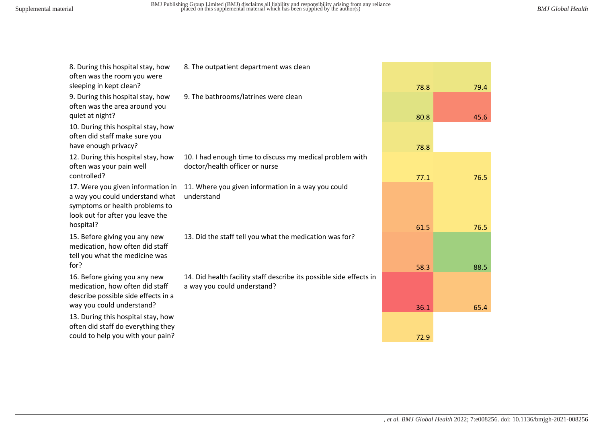| 9. During this hospital stay, how<br>9. The bathrooms/latrines were clean<br>often was the area around you<br>quiet at night?                                                                                                              | 78.8<br>80.8<br>78.8 | 45.6 |
|--------------------------------------------------------------------------------------------------------------------------------------------------------------------------------------------------------------------------------------------|----------------------|------|
|                                                                                                                                                                                                                                            |                      |      |
| 10. During this hospital stay, how<br>often did staff make sure you<br>have enough privacy?                                                                                                                                                |                      |      |
| 12. During this hospital stay, how<br>10. I had enough time to discuss my medical problem with<br>often was your pain well<br>doctor/health officer or nurse<br>controlled?                                                                | 77.1                 | 76.5 |
| 11. Where you given information in a way you could<br>17. Were you given information in<br>a way you could understand what<br>understand<br>symptoms or health problems to<br>look out for after you leave the<br>hospital?                | 61.5                 | 76.5 |
| 15. Before giving you any new<br>13. Did the staff tell you what the medication was for?<br>medication, how often did staff<br>tell you what the medicine was<br>for?                                                                      | 58.3                 | 88.5 |
| 16. Before giving you any new<br>14. Did health facility staff describe its possible side effects in<br>medication, how often did staff<br>a way you could understand?<br>describe possible side effects in a<br>way you could understand? | 36.1                 | 65.4 |
| 13. During this hospital stay, how<br>often did staff do everything they<br>could to help you with your pain?                                                                                                                              | 72.9                 |      |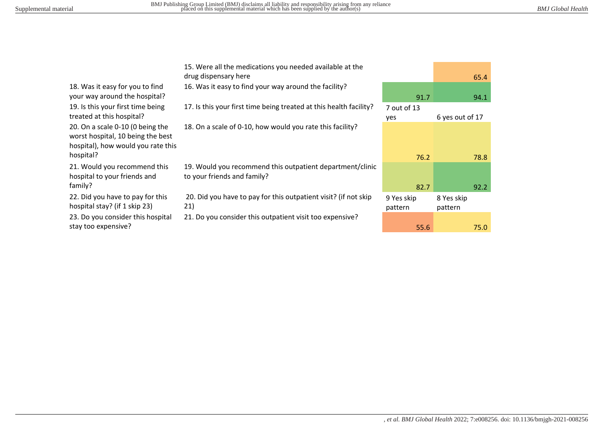18. Was it easy for you to find your way around the hospital? 19. Is this your first time being treated at this hospital? 20. On a scale 0-10 (0 being the worst hospital, 10 being the best hospital), how would you rate this hospital?

21. Would you recommend this hospital to your friends and family?

22. Did you have to pay for this hospital stay? (if 1 skip 23) 23. Do you consider this hospital stay too expensive?

15. Were all the medications you needed available at the drug dispensary here 65.4

16. Was it easy to find your way around the facility?

17. Is this your first time being treated at this health facility? 7 out of 13

18. On a scale of 0-10, how would you rate this facility?

19. Would you recommend this outpatient department/clinic to your friends and family?

 20. Did you have to pay for this outpatient visit? (if not skip 21)

21. Do you consider this outpatient visit too expensive?

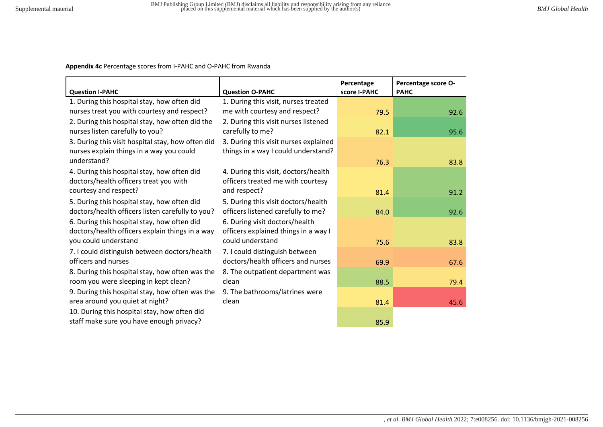**Appendix 4c** Percentage scores from I-PAHC and O-PAHC from Rwanda

| <b>Question I-PAHC</b>                            | <b>Question O-PAHC</b>                | Percentage<br>score I-PAHC | Percentage score O-<br><b>PAHC</b> |
|---------------------------------------------------|---------------------------------------|----------------------------|------------------------------------|
| 1. During this hospital stay, how often did       | 1. During this visit, nurses treated  |                            |                                    |
| nurses treat you with courtesy and respect?       | me with courtesy and respect?         | 79.5                       | 92.6                               |
| 2. During this hospital stay, how often did the   | 2. During this visit nurses listened  |                            |                                    |
| nurses listen carefully to you?                   | carefully to me?                      | 82.1                       | 95.6                               |
| 3. During this visit hospital stay, how often did | 3. During this visit nurses explained |                            |                                    |
| nurses explain things in a way you could          | things in a way I could understand?   |                            |                                    |
| understand?                                       |                                       | 76.3                       | 83.8                               |
| 4. During this hospital stay, how often did       | 4. During this visit, doctors/health  |                            |                                    |
| doctors/health officers treat you with            | officers treated me with courtesy     |                            |                                    |
| courtesy and respect?                             | and respect?                          | 81.4                       | 91.2                               |
| 5. During this hospital stay, how often did       | 5. During this visit doctors/health   |                            |                                    |
| doctors/health officers listen carefully to you?  | officers listened carefully to me?    | 84.0                       | 92.6                               |
| 6. During this hospital stay, how often did       | 6. During visit doctors/health        |                            |                                    |
| doctors/health officers explain things in a way   | officers explained things in a way I  |                            |                                    |
| you could understand                              | could understand                      | 75.6                       | 83.8                               |
| 7. I could distinguish between doctors/health     | 7. I could distinguish between        |                            |                                    |
| officers and nurses                               | doctors/health officers and nurses    | 69.9                       | 67.6                               |
| 8. During this hospital stay, how often was the   | 8. The outpatient department was      |                            |                                    |
| room you were sleeping in kept clean?             | clean                                 | 88.5                       | 79.4                               |
| 9. During this hospital stay, how often was the   | 9. The bathrooms/latrines were        |                            |                                    |
| area around you quiet at night?                   | clean                                 | 81.4                       | 45.6                               |
| 10. During this hospital stay, how often did      |                                       |                            |                                    |
| staff make sure you have enough privacy?          |                                       | 85.9                       |                                    |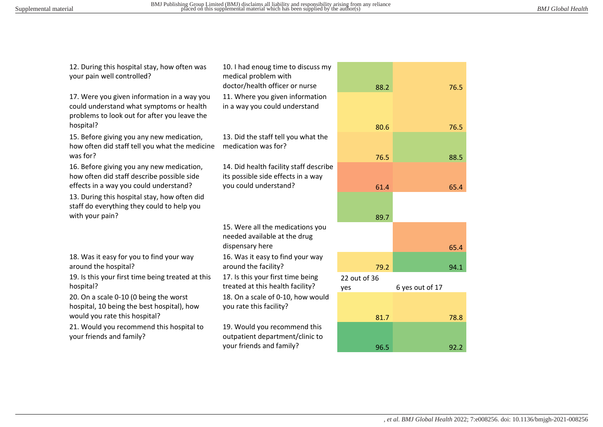| 12. During this hospital stay, how often was<br>your pain well controlled?                                                                           | 10. I had enoug time to discuss my<br>medical problem with<br>doctor/health officer or nurse |                     |                 |
|------------------------------------------------------------------------------------------------------------------------------------------------------|----------------------------------------------------------------------------------------------|---------------------|-----------------|
|                                                                                                                                                      |                                                                                              | 88.2                | 76.5            |
| 17. Were you given information in a way you<br>could understand what symptoms or health<br>problems to look out for after you leave the<br>hospital? | 11. Where you given information<br>in a way you could understand                             |                     |                 |
|                                                                                                                                                      |                                                                                              | 80.6                | 76.5            |
| 15. Before giving you any new medication,<br>how often did staff tell you what the medicine                                                          | 13. Did the staff tell you what the<br>medication was for?                                   |                     |                 |
| was for?                                                                                                                                             |                                                                                              | 76.5                | 88.5            |
| 16. Before giving you any new medication,<br>how often did staff describe possible side                                                              | 14. Did health facility staff describe<br>its possible side effects in a way                 |                     |                 |
| effects in a way you could understand?                                                                                                               | you could understand?                                                                        | 61.4                | 65.4            |
| 13. During this hospital stay, how often did<br>staff do everything they could to help you                                                           |                                                                                              |                     |                 |
| with your pain?                                                                                                                                      |                                                                                              | 89.7                |                 |
|                                                                                                                                                      | 15. Were all the medications you<br>needed available at the drug<br>dispensary here          |                     |                 |
|                                                                                                                                                      |                                                                                              |                     | 65.4            |
| 18. Was it easy for you to find your way<br>around the hospital?                                                                                     | 16. Was it easy to find your way<br>around the facility?                                     | 79.2                | 94.1            |
| 19. Is this your first time being treated at this<br>hospital?                                                                                       | 17. Is this your first time being<br>treated at this health facility?                        | 22 out of 36<br>yes | 6 yes out of 17 |
| 20. On a scale 0-10 (0 being the worst<br>hospital, 10 being the best hospital), how                                                                 | 18. On a scale of 0-10, how would<br>you rate this facility?                                 |                     |                 |
| would you rate this hospital?                                                                                                                        |                                                                                              | 81.7                | 78.8            |
| 21. Would you recommend this hospital to<br>your friends and family?                                                                                 | 19. Would you recommend this<br>outpatient department/clinic to                              |                     |                 |
|                                                                                                                                                      | your friends and family?                                                                     | 96.5                | 92.2            |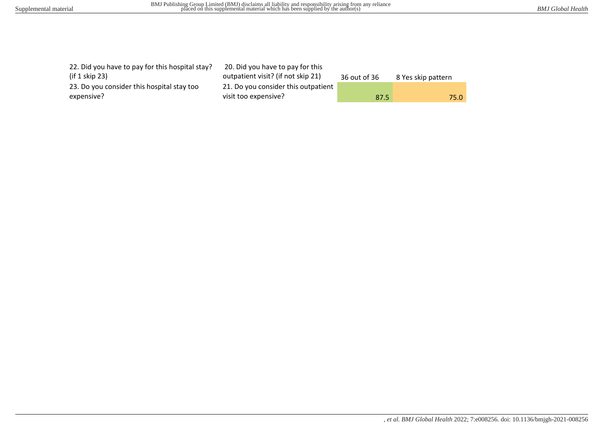| 22. Did you have to pay for this hospital stay?<br>(if $1$ skip $23$ ) | 20. Did you have to pay for this<br>outpatient visit? (if not skip 21) | 36 out of 36 | 8 Yes skip pattern |
|------------------------------------------------------------------------|------------------------------------------------------------------------|--------------|--------------------|
| 23. Do you consider this hospital stay too                             | 21. Do you consider this outpatient                                    |              |                    |
| expensive?                                                             | visit too expensive?                                                   | 87.5         | 75.0               |